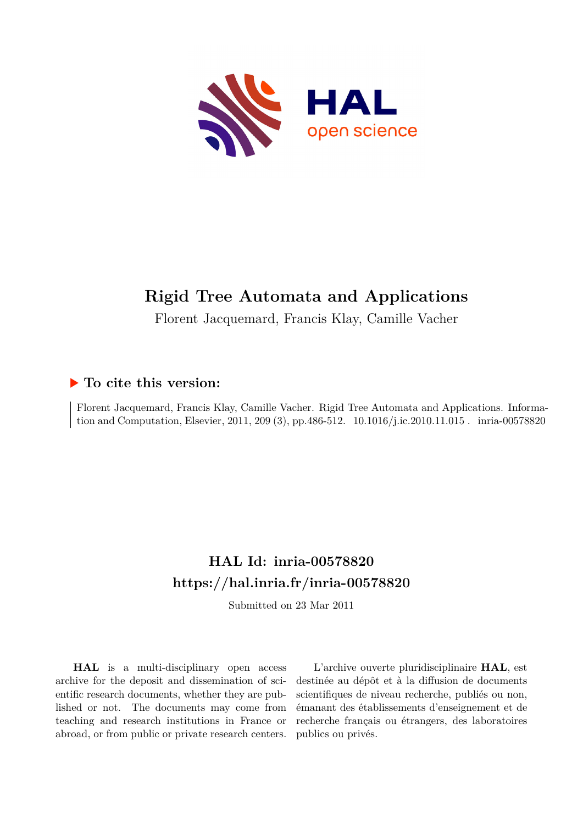

# **Rigid Tree Automata and Applications**

Florent Jacquemard, Francis Klay, Camille Vacher

# **To cite this version:**

Florent Jacquemard, Francis Klay, Camille Vacher. Rigid Tree Automata and Applications. Information and Computation, Elsevier, 2011, 209 (3), pp.486-512.  $10.1016/j.ic.2010.11.015$ . inria-00578820

# **HAL Id: inria-00578820 <https://hal.inria.fr/inria-00578820>**

Submitted on 23 Mar 2011

**HAL** is a multi-disciplinary open access archive for the deposit and dissemination of scientific research documents, whether they are published or not. The documents may come from teaching and research institutions in France or abroad, or from public or private research centers.

L'archive ouverte pluridisciplinaire **HAL**, est destinée au dépôt et à la diffusion de documents scientifiques de niveau recherche, publiés ou non, émanant des établissements d'enseignement et de recherche français ou étrangers, des laboratoires publics ou privés.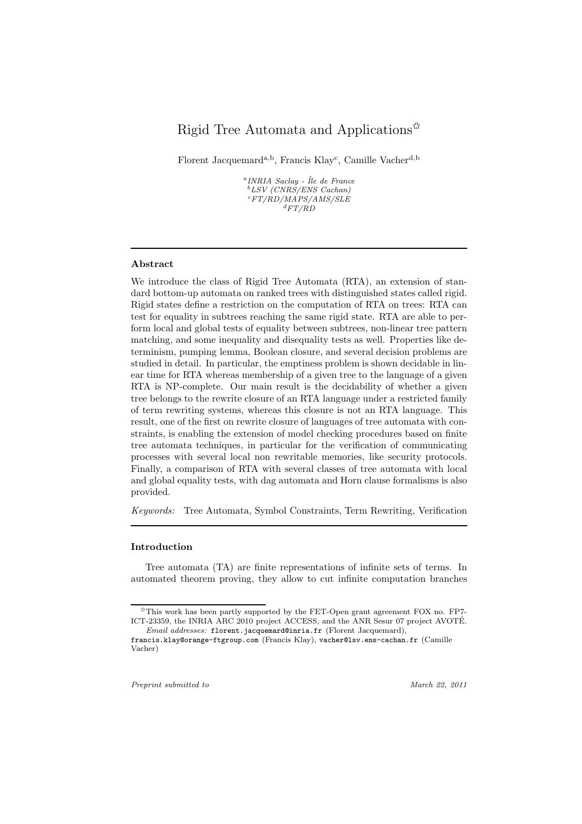# Rigid Tree Automata and Applications $\mathbf{\hat{z}}$

Florent Jacquemard<sup>a,b</sup>, Francis Klay<sup>c</sup>, Camille Vacher<sup>d,b</sup>

 $^{a}INRIA$  Saclay - Île de France <sup>b</sup>LSV (CNRS/ENS Cachan)  $\sqrt[c]{F T / R} D / M \overline{A} P S / A M S / S L E$  ${}^dFT/\r{RD}$ 

# Abstract

We introduce the class of Rigid Tree Automata (RTA), an extension of standard bottom-up automata on ranked trees with distinguished states called rigid. Rigid states define a restriction on the computation of RTA on trees: RTA can test for equality in subtrees reaching the same rigid state. RTA are able to perform local and global tests of equality between subtrees, non-linear tree pattern matching, and some inequality and disequality tests as well. Properties like determinism, pumping lemma, Boolean closure, and several decision problems are studied in detail. In particular, the emptiness problem is shown decidable in linear time for RTA whereas membership of a given tree to the language of a given RTA is NP-complete. Our main result is the decidability of whether a given tree belongs to the rewrite closure of an RTA language under a restricted family of term rewriting systems, whereas this closure is not an RTA language. This result, one of the first on rewrite closure of languages of tree automata with constraints, is enabling the extension of model checking procedures based on finite tree automata techniques, in particular for the verification of communicating processes with several local non rewritable memories, like security protocols. Finally, a comparison of RTA with several classes of tree automata with local and global equality tests, with dag automata and Horn clause formalisms is also provided.

Keywords: Tree Automata, Symbol Constraints, Term Rewriting, Verification

## Introduction

Tree automata (TA) are finite representations of infinite sets of terms. In automated theorem proving, they allow to cut infinite computation branches

Preprint submitted to March 22, 2011

<sup>✩</sup>This work has been partly supported by the FET-Open grant agreement FOX no. FP7- ICT-23359, the INRIA ARC 2010 project ACCESS, and the ANR Sesur 07 project AVOTE. ´ Email addresses: florent.jacquemard@inria.fr (Florent Jacquemard),

francis.klay@orange-ftgroup.com (Francis Klay), vacher@lsv.ens-cachan.fr (Camille Vacher)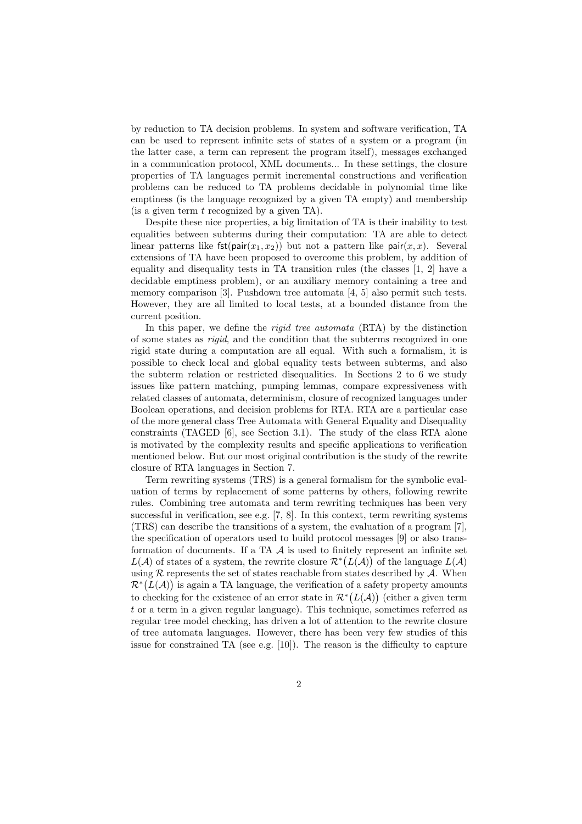by reduction to TA decision problems. In system and software verification, TA can be used to represent infinite sets of states of a system or a program (in the latter case, a term can represent the program itself), messages exchanged in a communication protocol, XML documents... In these settings, the closure properties of TA languages permit incremental constructions and verification problems can be reduced to TA problems decidable in polynomial time like emptiness (is the language recognized by a given TA empty) and membership (is a given term  $t$  recognized by a given TA).

Despite these nice properties, a big limitation of TA is their inability to test equalities between subterms during their computation: TA are able to detect linear patterns like  $fst(pair(x_1, x_2))$  but not a pattern like pair $(x, x)$ . Several extensions of TA have been proposed to overcome this problem, by addition of equality and disequality tests in TA transition rules (the classes [1, 2] have a decidable emptiness problem), or an auxiliary memory containing a tree and memory comparison [3]. Pushdown tree automata [4, 5] also permit such tests. However, they are all limited to local tests, at a bounded distance from the current position.

In this paper, we define the *rigid tree automata* (RTA) by the distinction of some states as rigid, and the condition that the subterms recognized in one rigid state during a computation are all equal. With such a formalism, it is possible to check local and global equality tests between subterms, and also the subterm relation or restricted disequalities. In Sections 2 to 6 we study issues like pattern matching, pumping lemmas, compare expressiveness with related classes of automata, determinism, closure of recognized languages under Boolean operations, and decision problems for RTA. RTA are a particular case of the more general class Tree Automata with General Equality and Disequality constraints (TAGED [6], see Section 3.1). The study of the class RTA alone is motivated by the complexity results and specific applications to verification mentioned below. But our most original contribution is the study of the rewrite closure of RTA languages in Section 7.

Term rewriting systems (TRS) is a general formalism for the symbolic evaluation of terms by replacement of some patterns by others, following rewrite rules. Combining tree automata and term rewriting techniques has been very successful in verification, see e.g.  $[7, 8]$ . In this context, term rewriting systems (TRS) can describe the transitions of a system, the evaluation of a program [7], the specification of operators used to build protocol messages [9] or also transformation of documents. If a TA  $A$  is used to finitely represent an infinite set  $L(\mathcal{A})$  of states of a system, the rewrite closure  $\mathcal{R}^*(L(\mathcal{A}))$  of the language  $L(\mathcal{A})$ using  $R$  represents the set of states reachable from states described by  $A$ . When  $\mathcal{R}^*(L(\mathcal{A}))$  is again a TA language, the verification of a safety property amounts to checking for the existence of an error state in  $\mathcal{R}^*(L(\mathcal{A}))$  (either a given term t or a term in a given regular language). This technique, sometimes referred as regular tree model checking, has driven a lot of attention to the rewrite closure of tree automata languages. However, there has been very few studies of this issue for constrained TA (see e.g.  $[10]$ ). The reason is the difficulty to capture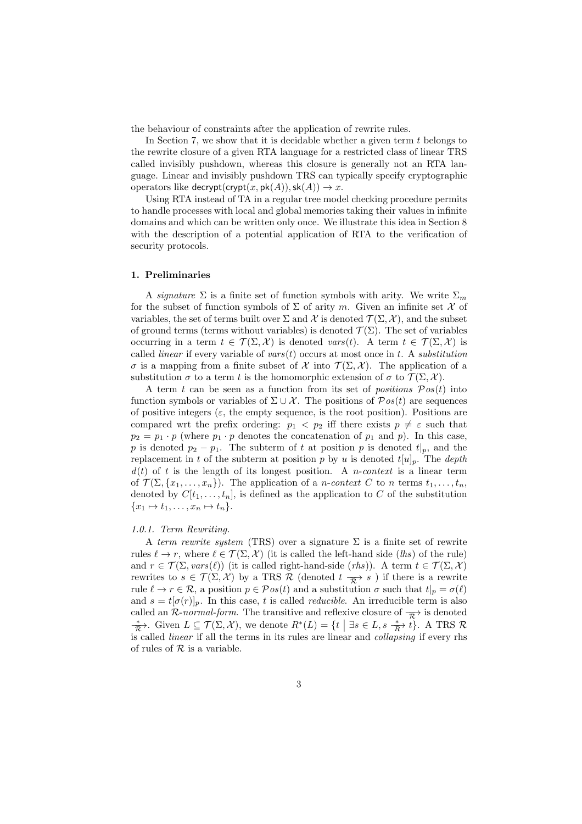the behaviour of constraints after the application of rewrite rules.

In Section 7, we show that it is decidable whether a given term  $t$  belongs to the rewrite closure of a given RTA language for a restricted class of linear TRS called invisibly pushdown, whereas this closure is generally not an RTA language. Linear and invisibly pushdown TRS can typically specify cryptographic operators like decrypt(crypt(x, pk(A)), sk(A))  $\rightarrow$  x.

Using RTA instead of TA in a regular tree model checking procedure permits to handle processes with local and global memories taking their values in infinite domains and which can be written only once. We illustrate this idea in Section 8 with the description of a potential application of RTA to the verification of security protocols.

#### 1. Preliminaries

A signature  $\Sigma$  is a finite set of function symbols with arity. We write  $\Sigma_m$ for the subset of function symbols of  $\Sigma$  of arity m. Given an infinite set X of variables, the set of terms built over  $\Sigma$  and  $\mathcal X$  is denoted  $\mathcal T(\Sigma,\mathcal X)$ , and the subset of ground terms (terms without variables) is denoted  $\mathcal{T}(\Sigma)$ . The set of variables occurring in a term  $t \in \mathcal{T}(\Sigma, \mathcal{X})$  is denoted vars(t). A term  $t \in \mathcal{T}(\Sigma, \mathcal{X})$  is called *linear* if every variable of vars $(t)$  occurs at most once in t. A *substitution* σ is a mapping from a finite subset of  $\mathcal X$  into  $\mathcal T(\Sigma,\mathcal X)$ . The application of a substitution  $\sigma$  to a term t is the homomorphic extension of  $\sigma$  to  $\mathcal{T}(\Sigma,\mathcal{X})$ .

A term t can be seen as a function from its set of *positions*  $Pos(t)$  into function symbols or variables of  $\Sigma \cup \mathcal{X}$ . The positions of  $\mathcal{P}os(t)$  are sequences of positive integers ( $\varepsilon$ , the empty sequence, is the root position). Positions are compared wrt the prefix ordering:  $p_1 < p_2$  iff there exists  $p \neq \varepsilon$  such that  $p_2 = p_1 \cdot p$  (where  $p_1 \cdot p$  denotes the concatenation of  $p_1$  and  $p$ ). In this case, p is denoted  $p_2 - p_1$ . The subterm of t at position p is denoted  $t|_p$ , and the replacement in t of the subterm at position p by u is denoted  $t[u]_p$ . The depth  $d(t)$  of t is the length of its longest position. A *n*-context is a linear term of  $\mathcal{T}(\Sigma, \{x_1, \ldots, x_n\})$ . The application of a *n-context* C to *n* terms  $t_1, \ldots, t_n$ , denoted by  $C[t_1, \ldots, t_n]$ , is defined as the application to C of the substitution  ${x_1 \mapsto t_1, \ldots, x_n \mapsto t_n}.$ 

#### 1.0.1. Term Rewriting.

A term rewrite system (TRS) over a signature  $\Sigma$  is a finite set of rewrite rules  $\ell \to r$ , where  $\ell \in \mathcal{T}(\Sigma, \mathcal{X})$  (it is called the left-hand side (*lhs*) of the rule) and  $r \in \mathcal{T}(\Sigma, vars(\ell))$  (it is called right-hand-side (*rhs*)). A term  $t \in \mathcal{T}(\Sigma, \mathcal{X})$ rewrites to  $s \in \mathcal{T}(\Sigma, \mathcal{X})$  by a TRS R (denoted  $t \frac{\pi}{\mathcal{R}}$ ) if there is a rewrite rule  $\ell \to r \in \mathcal{R}$ , a position  $p \in \mathcal{P}os(t)$  and a substitution  $\sigma$  such that  $t|_p = \sigma(\ell)$ and  $s = t[\sigma(r)]_p$ . In this case, t is called *reducible*. An irreducible term is also called an R-normal-form. The transitive and reflexive closure of  $\overrightarrow{\mathcal{R}}$  is denoted  $\overline{\mathcal{R}}$ . Given  $L \subseteq \mathcal{T}(\Sigma, \mathcal{X})$ , we denote  $R^*(L) = \{t \mid \exists s \in L, s \stackrel{*}{\longrightarrow} t\}$ . A TRS  $\mathcal{R}$ is called linear if all the terms in its rules are linear and collapsing if every rhs of rules of  $R$  is a variable.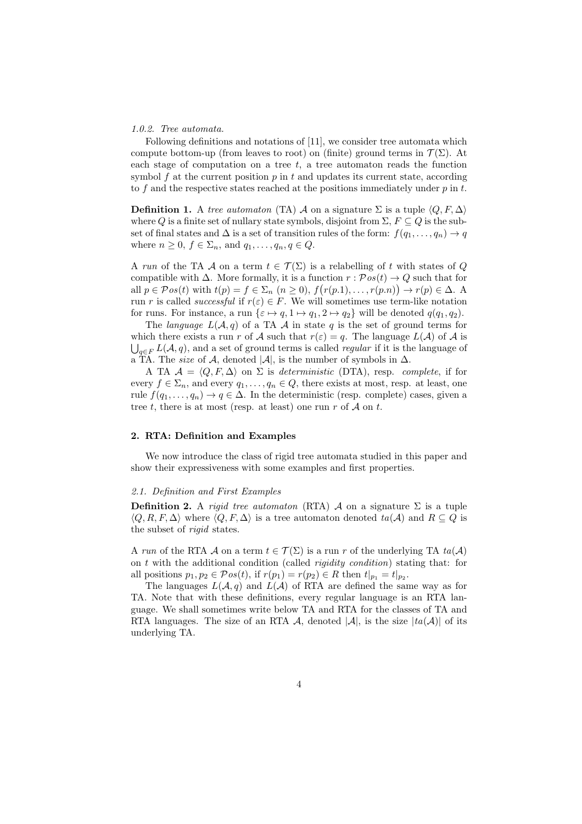#### 1.0.2. Tree automata.

Following definitions and notations of [11], we consider tree automata which compute bottom-up (from leaves to root) on (finite) ground terms in  $\mathcal{T}(\Sigma)$ . At each stage of computation on a tree  $t$ , a tree automaton reads the function symbol  $f$  at the current position  $p$  in  $t$  and updates its current state, according to f and the respective states reached at the positions immediately under  $p$  in  $t$ .

**Definition 1.** A tree automaton (TA) A on a signature  $\Sigma$  is a tuple  $\langle Q, F, \Delta \rangle$ where Q is a finite set of nullary state symbols, disjoint from  $\Sigma$ ,  $F \subseteq Q$  is the subset of final states and  $\Delta$  is a set of transition rules of the form:  $f(q_1, \ldots, q_n) \to q$ where  $n \geq 0$ ,  $f \in \Sigma_n$ , and  $q_1, \ldots, q_n, q \in Q$ .

A run of the TA A on a term  $t \in \mathcal{T}(\Sigma)$  is a relabelling of t with states of O compatible with  $\Delta$ . More formally, it is a function  $r : \mathcal{P}os(t) \to Q$  such that for all  $p \in \mathcal{P}os(t)$  with  $t(p) = f \in \Sigma_n$   $(n \ge 0)$ ,  $f(r(p,1), \ldots, r(p,n)) \to r(p) \in \Delta$ . A run r is called *successful* if  $r(\varepsilon) \in F$ . We will sometimes use term-like notation for runs. For instance, a run  $\{\varepsilon \mapsto q, 1 \mapsto q_1, 2 \mapsto q_2\}$  will be denoted  $q(q_1, q_2)$ .

The *language*  $L(\mathcal{A}, q)$  of a TA  $\mathcal A$  in state q is the set of ground terms for which there exists a run r of A such that  $r(\varepsilon) = q$ . The language  $L(\mathcal{A})$  of A is  $\bigcup_{q \in F} L(\mathcal{A}, q)$ , and a set of ground terms is called *regular* if it is the language of a TA. The *size* of A, denoted  $|\mathcal{A}|$ , is the number of symbols in  $\Delta$ .

A TA  $A = \langle Q, F, \Delta \rangle$  on  $\Sigma$  is deterministic (DTA), resp. complete, if for every  $f \in \Sigma_n$ , and every  $q_1, \ldots, q_n \in Q$ , there exists at most, resp. at least, one rule  $f(q_1, \ldots, q_n) \to q \in \Delta$ . In the deterministic (resp. complete) cases, given a tree t, there is at most (resp. at least) one run r of  $A$  on t.

# 2. RTA: Definition and Examples

We now introduce the class of rigid tree automata studied in this paper and show their expressiveness with some examples and first properties.

#### 2.1. Definition and First Examples

**Definition 2.** A rigid tree automaton (RTA) A on a signature  $\Sigma$  is a tuple  $\langle Q, R, F, \Delta \rangle$  where  $\langle Q, F, \Delta \rangle$  is a tree automaton denoted  $ta(\mathcal{A})$  and  $R \subseteq Q$  is the subset of rigid states.

A run of the RTA A on a term  $t \in \mathcal{T}(\Sigma)$  is a run r of the underlying TA  $ta(\mathcal{A})$ on  $t$  with the additional condition (called *rigidity condition*) stating that: for all positions  $p_1, p_2 \in \mathcal{P}os(t)$ , if  $r(p_1) = r(p_2) \in R$  then  $t|_{p_1} = t|_{p_2}$ .

The languages  $L(\mathcal{A}, q)$  and  $L(\mathcal{A})$  of RTA are defined the same way as for TA. Note that with these definitions, every regular language is an RTA language. We shall sometimes write below TA and RTA for the classes of TA and RTA languages. The size of an RTA A, denoted  $|\mathcal{A}|$ , is the size  $|ta(\mathcal{A})|$  of its underlying TA.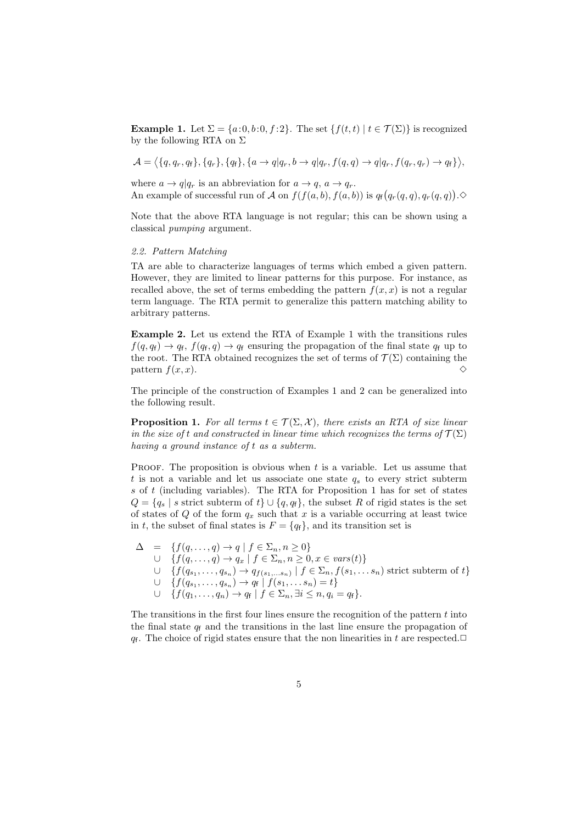**Example 1.** Let  $\Sigma = \{a:0,b:0,f:2\}$ . The set  $\{f(t,t) | t \in \mathcal{T}(\Sigma)\}$  is recognized by the following RTA on  $\Sigma$ 

 $\mathcal{A}=\big\langle\{q,q_r,q_\mathsf{f}\},\{q_r\},\{q_\mathsf{f}\},\{a\rightarrow q|q_r,b\rightarrow q|q_r,f(q,q)\rightarrow q|q_r,f(q_r,q_r)\rightarrow q_\mathsf{f}\}\big\rangle,$ 

where  $a \to q|q_r$  is an abbreviation for  $a \to q$ ,  $a \to q_r$ . An example of successful run of A on  $f(f(a, b), f(a, b))$  is  $q_f(q_r(q, q), q_r(q, q))$ .

Note that the above RTA language is not regular; this can be shown using a classical pumping argument.

# 2.2. Pattern Matching

TA are able to characterize languages of terms which embed a given pattern. However, they are limited to linear patterns for this purpose. For instance, as recalled above, the set of terms embedding the pattern  $f(x, x)$  is not a regular term language. The RTA permit to generalize this pattern matching ability to arbitrary patterns.

Example 2. Let us extend the RTA of Example 1 with the transitions rules  $f(q, q_f) \to q_f, f(q_f, q) \to q_f$  ensuring the propagation of the final state  $q_f$  up to the root. The RTA obtained recognizes the set of terms of  $\mathcal{T}(\Sigma)$  containing the pattern  $f(x, x)$ .

The principle of the construction of Examples 1 and 2 can be generalized into the following result.

**Proposition 1.** For all terms  $t \in \mathcal{T}(\Sigma, \mathcal{X})$ , there exists an RTA of size linear in the size of t and constructed in linear time which recognizes the terms of  $\mathcal{T}(\Sigma)$ having a ground instance of t as a subterm.

PROOF. The proposition is obvious when  $t$  is a variable. Let us assume that t is not a variable and let us associate one state  $q_s$  to every strict subterm s of t (including variables). The RTA for Proposition 1 has for set of states  $Q = \{q_s \mid s \text{ strict subterm of } t\} \cup \{q, q_f\},\$  the subset R of rigid states is the set of states of  $Q$  of the form  $q_x$  such that x is a variable occurring at least twice in t, the subset of final states is  $F = \{q_f\}$ , and its transition set is

$$
\Delta = \{f(q, \ldots, q) \rightarrow q \mid f \in \Sigma_n, n \geq 0\}
$$
  
\n
$$
\cup \{f(q, \ldots, q) \rightarrow q_x \mid f \in \Sigma_n, n \geq 0, x \in vars(t)\}
$$
  
\n
$$
\cup \{f(q_{s_1}, \ldots, q_{s_n}) \rightarrow q_{f(s_1, \ldots, s_n)} \mid f \in \Sigma_n, f(s_1, \ldots, s_n) \text{ strict subterm of } t\}
$$
  
\n
$$
\cup \{f(q_{s_1}, \ldots, q_{s_n}) \rightarrow q_f \mid f(s_1, \ldots, s_n) = t\}
$$
  
\n
$$
\cup \{f(q_1, \ldots, q_n) \rightarrow q_f \mid f \in \Sigma_n, \exists i \leq n, q_i = q_f\}.
$$

The transitions in the first four lines ensure the recognition of the pattern  $t$  into the final state  $q_f$  and the transitions in the last line ensure the propagation of  $q_f$ . The choice of rigid states ensure that the non linearities in t are respected.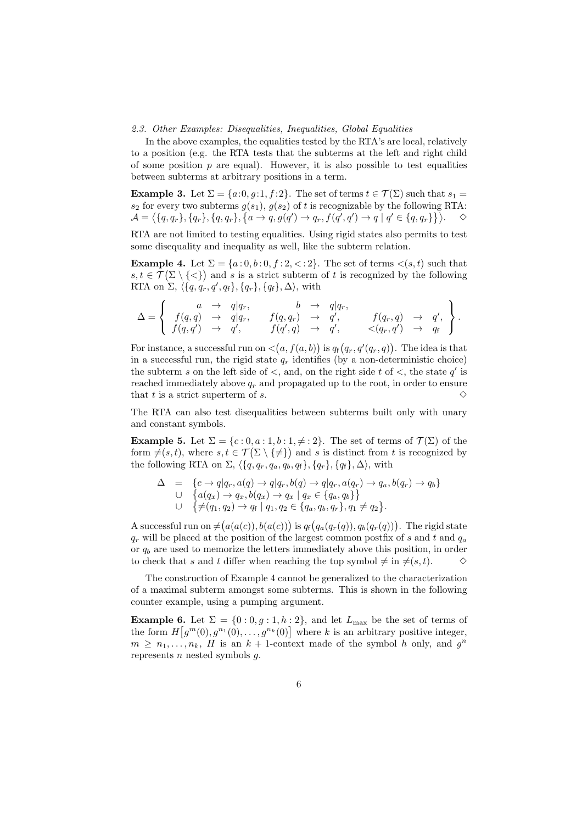#### 2.3. Other Examples: Disequalities, Inequalities, Global Equalities

In the above examples, the equalities tested by the RTA's are local, relatively to a position (e.g. the RTA tests that the subterms at the left and right child of some position  $p$  are equal). However, it is also possible to test equalities between subterms at arbitrary positions in a term.

**Example 3.** Let  $\Sigma = \{a:0,g:1,f:2\}$ . The set of terms  $t \in \mathcal{T}(\Sigma)$  such that  $s_1 =$  $s_2$  for every two subterms  $g(s_1)$ ,  $g(s_2)$  of t is recognizable by the following RTA:  $\mathcal{A} = \big\langle \{q, q_r\}, \{q_r\}, \{q, q_r\}, \big\{a \rightarrow q, g(q') \rightarrow q_r, f(q', q') \rightarrow q \mid q' \in \{q, q_r\} \} \big\rangle. \quad \ \ \Diamond$ 

RTA are not limited to testing equalities. Using rigid states also permits to test some disequality and inequality as well, like the subterm relation.

**Example 4.** Let  $\Sigma = \{a : 0, b : 0, t : 2, < 2\}$ . The set of terms  $\langle s, t \rangle$  such that  $s, t \in \mathcal{T}(\Sigma \setminus \{<\})$  and s is a strict subterm of t is recognized by the following RTA on  $\Sigma$ ,  $\langle \{q, q_r, q', q_f\}, \{q_r\}, \{q_f\}, \Delta \rangle$ , with

∆ = a → q|qr, b → q|qr, f(q, q) → q|qr, f(q, qr) → q ′ , f(qr, q) → q ′ , f(q, q′ ) → q ′ , f(q ′ , q) → q ′ , <(qr, q′ ) → q<sup>f</sup> .

For instance, a successful run on  $\langle (a, f(a, b))$  is  $q_f(q_r, q'(q_r, q))$ . The idea is that in a successful run, the rigid state  $q_r$  identifies (by a non-deterministic choice) the subterm s on the left side of  $\lt$ , and, on the right side t of  $\lt$ , the state  $q'$  is reached immediately above  $q_r$  and propagated up to the root, in order to ensure that t is a strict superterm of s.  $\Diamond$ 

The RTA can also test disequalities between subterms built only with unary and constant symbols.

**Example 5.** Let  $\Sigma = \{c : 0, a : 1, b : 1, \neq : 2\}$ . The set of terms of  $\mathcal{T}(\Sigma)$  of the form  $\neq(s, t)$ , where  $s, t \in \mathcal{T}(\Sigma \setminus \{\neq\})$  and s is distinct from t is recognized by the following RTA on  $\Sigma$ ,  $\langle \{q, q_r, q_a, q_b, q_f\}, \{q_r\}, \{q_f\}, \Delta \rangle$ , with

$$
\Delta = \{c \to q | q_r, a(q) \to q | q_r, b(q) \to q | q_r, a(q_r) \to q_a, b(q_r) \to q_b\}
$$
  
\n
$$
\cup \{a(q_x) \to q_x, b(q_x) \to q_x | q_x \in \{q_a, q_b\}\}
$$
  
\n
$$
\cup \{\neq (q_1, q_2) \to q_f | q_1, q_2 \in \{q_a, q_b, q_r\}, q_1 \neq q_2\}.
$$

A successful run on  $\neq$   $(a(a(c)), b(a(c)))$  is  $q_f(q_a(q_r(q)), q_b(q_r(q)))$ . The rigid state  $q_r$  will be placed at the position of the largest common postfix of s and t and  $q_a$ or  $q_b$  are used to memorize the letters immediately above this position, in order to check that s and t differ when reaching the top symbol  $\neq$  in  $\neq$ (s, t).  $\diamond$ 

The construction of Example 4 cannot be generalized to the characterization of a maximal subterm amongst some subterms. This is shown in the following counter example, using a pumping argument.

**Example 6.** Let  $\Sigma = \{0:0,g:1,h:2\}$ , and let  $L_{\text{max}}$  be the set of terms of the form  $H[g^m(0), g^{n_1}(0), \ldots, g^{n_k}(0)]$  where k is an arbitrary positive integer,  $m \geq n_1, \ldots, n_k$ , H is an  $k+1$ -context made of the symbol h only, and  $g^n$ represents  $n$  nested symbols  $q$ .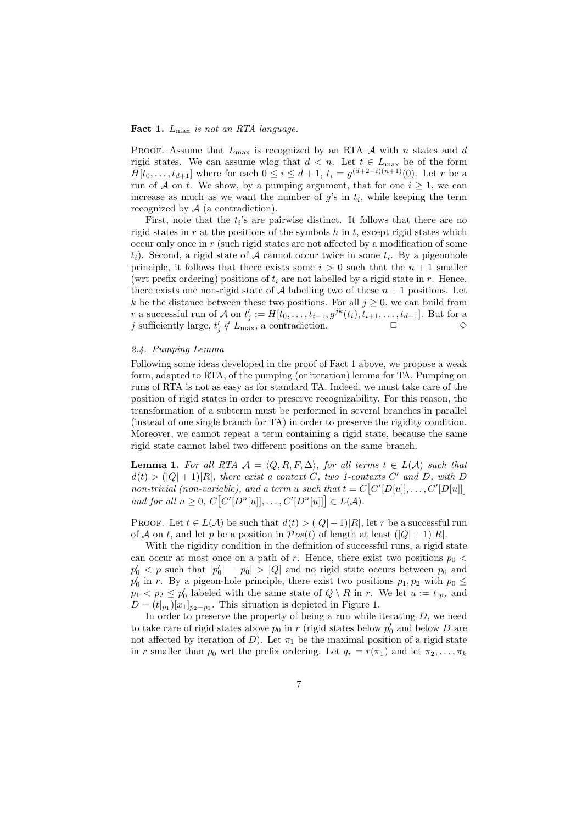#### Fact 1.  $L_{\text{max}}$  is not an RTA language.

PROOF. Assume that  $L_{\text{max}}$  is recognized by an RTA A with n states and d rigid states. We can assume wlog that  $d < n$ . Let  $t \in L_{\text{max}}$  be of the form  $H[t_0, \ldots, t_{d+1}]$  where for each  $0 \leq i \leq d+1$ ,  $t_i = g^{(d+2-i)(n+1)}(0)$ . Let r be a run of A on t. We show, by a pumping argument, that for one  $i \geq 1$ , we can increase as much as we want the number of  $g$ 's in  $t_i$ , while keeping the term recognized by  $A$  (a contradiction).

First, note that the  $t_i$ 's are pairwise distinct. It follows that there are no rigid states in r at the positions of the symbols  $h$  in t, except rigid states which occur only once in  $r$  (such rigid states are not affected by a modification of some  $(t_i)$ . Second, a rigid state of A cannot occur twice in some  $t_i$ . By a pigeonhole principle, it follows that there exists some  $i > 0$  such that the  $n + 1$  smaller (wrt prefix ordering) positions of  $t_i$  are not labelled by a rigid state in r. Hence, there exists one non-rigid state of A labelling two of these  $n + 1$  positions. Let k be the distance between these two positions. For all  $j \geq 0$ , we can build from r a successful run of A on  $t'_{j} := H[t_0, \ldots, t_{i-1}, g^{jk}(t_i), t_{i+1}, \ldots, t_{d+1}]$ . But for a j sufficiently large,  $t'_j \notin L_{\text{max}}$ , a contradiction.  $\Box$ 

# 2.4. Pumping Lemma

Following some ideas developed in the proof of Fact 1 above, we propose a weak form, adapted to RTA, of the pumping (or iteration) lemma for TA. Pumping on runs of RTA is not as easy as for standard TA. Indeed, we must take care of the position of rigid states in order to preserve recognizability. For this reason, the transformation of a subterm must be performed in several branches in parallel (instead of one single branch for TA) in order to preserve the rigidity condition. Moreover, we cannot repeat a term containing a rigid state, because the same rigid state cannot label two different positions on the same branch.

**Lemma 1.** For all RTA  $A = \langle Q, R, F, \Delta \rangle$ , for all terms  $t \in L(A)$  such that  $d(t) > (|Q|+1)|R|$ , there exist a context C, two 1-contexts C' and D, with D non-trivial (non-variable), and a term u such that  $t = C[C'[D[u]], \ldots, C'[D[u]]]$ and for all  $n \geq 0$ ,  $C[C'[D^n[u]], \ldots, C'[D^n[u]]] \in L(A)$ .

PROOF. Let  $t \in L(\mathcal{A})$  be such that  $d(t) > (|Q|+1)|R|$ , let r be a successful run of A on t, and let p be a position in  $\mathcal{P}os(t)$  of length at least  $(|Q|+1)|R|$ .

With the rigidity condition in the definition of successful runs, a rigid state can occur at most once on a path of r. Hence, there exist two positions  $p_0$  <  $p'_0$  < p such that  $|p'_0| - |p_0| > |Q|$  and no rigid state occurs between  $p_0$  and  $p'_0$  in r. By a pigeon-hole principle, there exist two positions  $p_1, p_2$  with  $p_0 \leq$  $p_1 < p_2 \leq p'_0$  labeled with the same state of  $Q \setminus R$  in r. We let  $u := t|_{p_2}$  and  $D = (t|_{p_1})[x_1]_{p_2-p_1}$ . This situation is depicted in Figure 1.

In order to preserve the property of being a run while iterating  $D$ , we need to take care of rigid states above  $p_0$  in r (rigid states below  $p'_0$  and below D are not affected by iteration of D). Let  $\pi_1$  be the maximal position of a rigid state in r smaller than  $p_0$  wrt the prefix ordering. Let  $q_r = r(\pi_1)$  and let  $\pi_2, \ldots, \pi_k$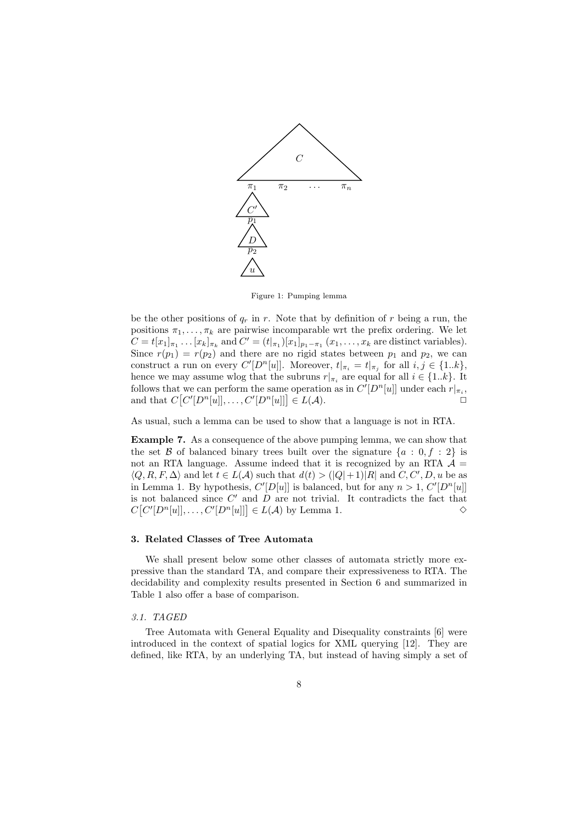

Figure 1: Pumping lemma

be the other positions of  $q_r$  in r. Note that by definition of r being a run, the positions  $\pi_1, \ldots, \pi_k$  are pairwise incomparable wrt the prefix ordering. We let  $C = t[x_1]_{\pi_1} \dots [x_k]_{\pi_k}$  and  $C' = (t|_{\pi_1})[x_1]_{p_1-\pi_1} (x_1, \dots, x_k$  are distinct variables). Since  $r(p_1) = r(p_2)$  and there are no rigid states between  $p_1$  and  $p_2$ , we can construct a run on every  $C'[D^n[u]]$ . Moreover,  $t|_{\pi_i} = t|_{\pi_j}$  for all  $i, j \in \{1..k\}$ , hence we may assume wlog that the subruns  $r|_{\pi_i}$  are equal for all  $i \in \{1..k\}$ . It follows that we can perform the same operation as in  $C'[D^n[u]]$  under each  $r|_{\pi_i}$ , and that  $C[C'[D^n[u]], \ldots, C'[D^n[u]]] \in L(\mathcal{A}).$ 

As usual, such a lemma can be used to show that a language is not in RTA.

Example 7. As a consequence of the above pumping lemma, we can show that the set B of balanced binary trees built over the signature  $\{a : 0, f : 2\}$  is not an RTA language. Assume indeed that it is recognized by an RTA  $\mathcal{A} =$  $\langle Q, R, F, \Delta \rangle$  and let  $t \in L(\mathcal{A})$  such that  $d(t) > (|Q|+1)|R|$  and  $C, C', D, u$  be as in Lemma 1. By hypothesis,  $C'[D[u]]$  is balanced, but for any  $n > 1$ ,  $C'[D^n[u]]$ is not balanced since  $C'$  and  $D$  are not trivial. It contradicts the fact that  $C[C'[D^n[u]], \ldots, C'[D^n[u]]] \in L(\mathcal{A})$  by Lemma 1.  $\diamond$ 

# 3. Related Classes of Tree Automata

We shall present below some other classes of automata strictly more expressive than the standard TA, and compare their expressiveness to RTA. The decidability and complexity results presented in Section 6 and summarized in Table 1 also offer a base of comparison.

### 3.1. TAGED

Tree Automata with General Equality and Disequality constraints [6] were introduced in the context of spatial logics for XML querying [12]. They are defined, like RTA, by an underlying TA, but instead of having simply a set of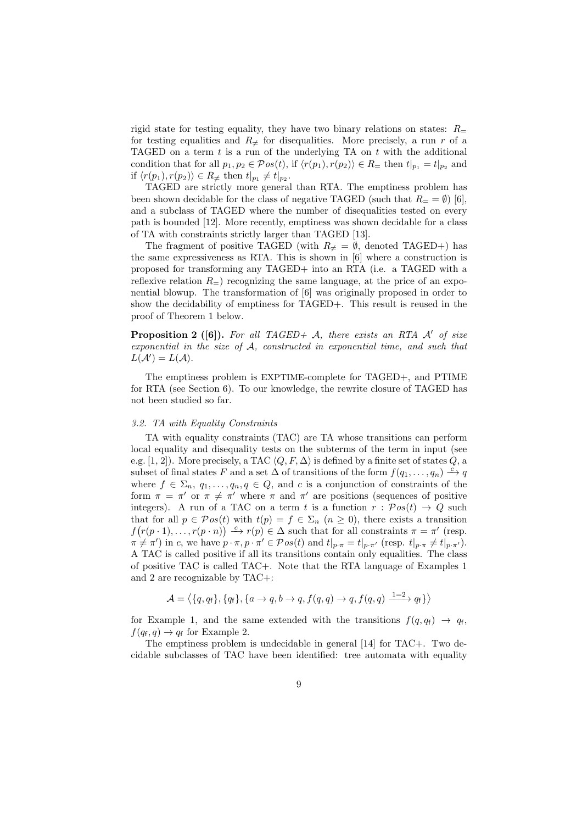rigid state for testing equality, they have two binary relations on states:  $R_{\pm}$ for testing equalities and  $R_{\neq}$  for disequalities. More precisely, a run r of a TAGED on a term  $t$  is a run of the underlying TA on  $t$  with the additional condition that for all  $p_1, p_2 \in \mathcal{P}os(t)$ , if  $\langle r(p_1), r(p_2) \rangle \in R$  = then  $t|_{p_1} = t|_{p_2}$  and if  $\langle r(p_1), r(p_2) \rangle \in R_{\neq}$  then  $t|_{p_1} \neq t|_{p_2}$ .

TAGED are strictly more general than RTA. The emptiness problem has been shown decidable for the class of negative TAGED (such that  $R_ = = \emptyset$ ) [6], and a subclass of TAGED where the number of disequalities tested on every path is bounded [12]. More recently, emptiness was shown decidable for a class of TA with constraints strictly larger than TAGED [13].

The fragment of positive TAGED (with  $R_{\neq} = \emptyset$ , denoted TAGED+) has the same expressiveness as RTA. This is shown in [6] where a construction is proposed for transforming any TAGED+ into an RTA (i.e. a TAGED with a reflexive relation  $R_{=}$ ) recognizing the same language, at the price of an exponential blowup. The transformation of [6] was originally proposed in order to show the decidability of emptiness for TAGED+. This result is reused in the proof of Theorem 1 below.

**Proposition 2** ([6]). For all TAGED+ A, there exists an RTA  $A'$  of size exponential in the size of A, constructed in exponential time, and such that  $L(\mathcal{A}') = L(\mathcal{A}).$ 

The emptiness problem is EXPTIME-complete for TAGED+, and PTIME for RTA (see Section 6). To our knowledge, the rewrite closure of TAGED has not been studied so far.

#### 3.2. TA with Equality Constraints

TA with equality constraints (TAC) are TA whose transitions can perform local equality and disequality tests on the subterms of the term in input (see e.g. [1, 2]). More precisely, a TAC  $\langle Q, F, \Delta \rangle$  is defined by a finite set of states Q, a subset of final states F and a set  $\Delta$  of transitions of the form  $f(q_1, \ldots, q_n) \stackrel{c}{\longrightarrow} q$ where  $f \in \Sigma_n$ ,  $q_1, \ldots, q_n, q \in Q$ , and c is a conjunction of constraints of the form  $\pi = \pi'$  or  $\pi \neq \pi'$  where  $\pi$  and  $\pi'$  are positions (sequences of positive integers). A run of a TAC on a term t is a function  $r : \mathcal{P}os(t) \to Q$  such that for all  $p \in \mathcal{P}os(t)$  with  $t(p) = f \in \Sigma_n$   $(n \geq 0)$ , there exists a transition  $f(r(p\cdot 1),\ldots,r(p\cdot n)) \xrightarrow{c} r(p) \in \Delta$  such that for all constraints  $\pi = \pi'$  (resp.  $\pi \neq \pi'$ ) in c, we have  $p \cdot \pi$ ,  $p \cdot \pi' \in \mathcal{P}os(t)$  and  $t|_{p \cdot \pi} = t|_{p \cdot \pi'}$  (resp.  $t|_{p \cdot \pi} \neq t|_{p \cdot \pi'}$ ). A TAC is called positive if all its transitions contain only equalities. The class of positive TAC is called TAC+. Note that the RTA language of Examples 1 and 2 are recognizable by TAC+:

$$
\mathcal{A} = \langle \{q, q_f\}, \{q_f\}, \{a \rightarrow q, b \rightarrow q, f(q, q) \rightarrow q, f(q, q) \xrightarrow{1=2} q_f\} \rangle
$$

for Example 1, and the same extended with the transitions  $f(q, q_f) \rightarrow q_f$ ,  $f(q_f, q) \rightarrow q_f$  for Example 2.

The emptiness problem is undecidable in general [14] for TAC+. Two decidable subclasses of TAC have been identified: tree automata with equality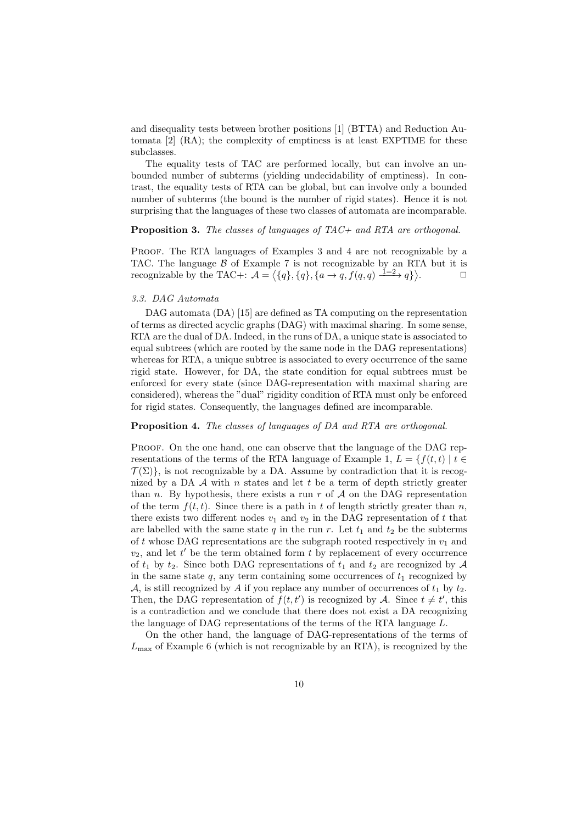and disequality tests between brother positions [1] (BTTA) and Reduction Automata [2] (RA); the complexity of emptiness is at least EXPTIME for these subclasses.

The equality tests of TAC are performed locally, but can involve an unbounded number of subterms (yielding undecidability of emptiness). In contrast, the equality tests of RTA can be global, but can involve only a bounded number of subterms (the bound is the number of rigid states). Hence it is not surprising that the languages of these two classes of automata are incomparable.

#### Proposition 3. The classes of languages of TAC+ and RTA are orthogonal.

PROOF. The RTA languages of Examples 3 and 4 are not recognizable by a TAC. The language  $\beta$  of Example 7 is not recognizable by an RTA but it is recognizable by the TAC+:  $\mathcal{A} = \langle \{q\}, \{q\}, \{a \rightarrow q, f(q,q) \xrightarrow{\mathbf{i} = 2} q \} \rangle$  $\Box$ 

#### 3.3. DAG Automata

DAG automata (DA) [15] are defined as TA computing on the representation of terms as directed acyclic graphs (DAG) with maximal sharing. In some sense, RTA are the dual of DA. Indeed, in the runs of DA, a unique state is associated to equal subtrees (which are rooted by the same node in the DAG representations) whereas for RTA, a unique subtree is associated to every occurrence of the same rigid state. However, for DA, the state condition for equal subtrees must be enforced for every state (since DAG-representation with maximal sharing are considered), whereas the "dual" rigidity condition of RTA must only be enforced for rigid states. Consequently, the languages defined are incomparable.

### Proposition 4. The classes of languages of DA and RTA are orthogonal.

Proof. On the one hand, one can observe that the language of the DAG representations of the terms of the RTA language of Example 1,  $L = \{f(t, t) | t \in$  $\mathcal{T}(\Sigma)$ , is not recognizable by a DA. Assume by contradiction that it is recognized by a DA  $\mathcal A$  with n states and let t be a term of depth strictly greater than n. By hypothesis, there exists a run  $r$  of  $A$  on the DAG representation of the term  $f(t, t)$ . Since there is a path in t of length strictly greater than n, there exists two different nodes  $v_1$  and  $v_2$  in the DAG representation of t that are labelled with the same state  $q$  in the run r. Let  $t_1$  and  $t_2$  be the subterms of t whose DAG representations are the subgraph rooted respectively in  $v_1$  and  $v_2$ , and let  $t'$  be the term obtained form  $t$  by replacement of every occurrence of  $t_1$  by  $t_2$ . Since both DAG representations of  $t_1$  and  $t_2$  are recognized by A in the same state  $q$ , any term containing some occurrences of  $t_1$  recognized by A, is still recognized by A if you replace any number of occurrences of  $t_1$  by  $t_2$ . Then, the DAG representation of  $f(t, t')$  is recognized by A. Since  $t \neq t'$ , this is a contradiction and we conclude that there does not exist a DA recognizing the language of DAG representations of the terms of the RTA language L.

On the other hand, the language of DAG-representations of the terms of  $L_{\text{max}}$  of Example 6 (which is not recognizable by an RTA), is recognized by the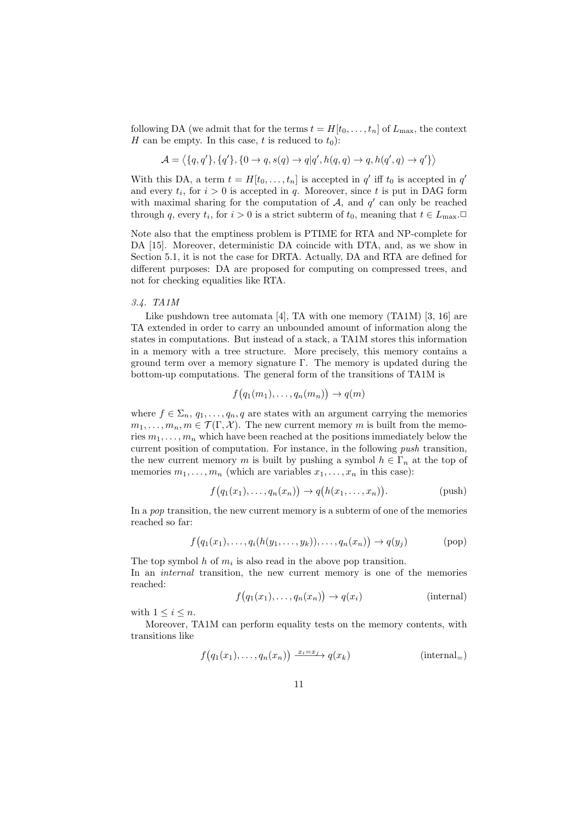following DA (we admit that for the terms  $t = H[t_0, \ldots, t_n]$  of  $L_{\text{max}}$ , the context H can be empty. In this case, t is reduced to  $t_0$ :

$$
\mathcal{A} = \langle \{q,q'\}, \{q'\}, \{0 \to q, s(q) \to q | q', h(q,q) \to q, h(q',q) \to q' \} \rangle
$$

With this DA, a term  $t = H[t_0, \ldots, t_n]$  is accepted in  $q'$  iff  $t_0$  is accepted in  $q'$ and every  $t_i$ , for  $i > 0$  is accepted in q. Moreover, since t is put in DAG form with maximal sharing for the computation of  $A$ , and  $q'$  can only be reached through q, every  $t_i$ , for  $i > 0$  is a strict subterm of  $t_0$ , meaning that  $t \in L_{\text{max}}$ .

Note also that the emptiness problem is PTIME for RTA and NP-complete for DA [15]. Moreover, deterministic DA coincide with DTA, and, as we show in Section 5.1, it is not the case for DRTA. Actually, DA and RTA are defined for different purposes: DA are proposed for computing on compressed trees, and not for checking equalities like RTA.

# 3.4. TA1M

Like pushdown tree automata  $[4]$ , TA with one memory (TA1M)  $[3, 16]$  are TA extended in order to carry an unbounded amount of information along the states in computations. But instead of a stack, a TA1M stores this information in a memory with a tree structure. More precisely, this memory contains a ground term over a memory signature Γ. The memory is updated during the bottom-up computations. The general form of the transitions of TA1M is

$$
f(q_1(m_1),\ldots,q_n(m_n))\to q(m)
$$

where  $f \in \Sigma_n$ ,  $q_1, \ldots, q_n$ , q are states with an argument carrying the memories  $m_1, \ldots, m_n, m \in \mathcal{T}(\Gamma, \mathcal{X})$ . The new current memory m is built from the memories  $m_1, \ldots, m_n$  which have been reached at the positions immediately below the current position of computation. For instance, in the following push transition, the new current memory m is built by pushing a symbol  $h \in \Gamma_n$  at the top of memories  $m_1, \ldots, m_n$  (which are variables  $x_1, \ldots, x_n$  in this case):

$$
f(q_1(x_1),...,q_n(x_n)) \to q(h(x_1,...,x_n)).
$$
 (push)

In a pop transition, the new current memory is a subterm of one of the memories reached so far:

$$
f(q_1(x_1),...,q_i(h(y_1,...,y_k)),...,q_n(x_n)) \to q(y_j)
$$
 (pop)

The top symbol h of  $m_i$  is also read in the above pop transition. In an *internal* transition, the new current memory is one of the memories reached:

$$
f(q_1(x_1),...,q_n(x_n)) \to q(x_i)
$$
 (internal)

with  $1 \leq i \leq n$ .

Moreover, TA1M can perform equality tests on the memory contents, with transitions like

$$
f(q_1(x_1),..., q_n(x_n)) \xrightarrow{x_i=x_j} q(x_k)
$$
 (internal<sub>=</sub>)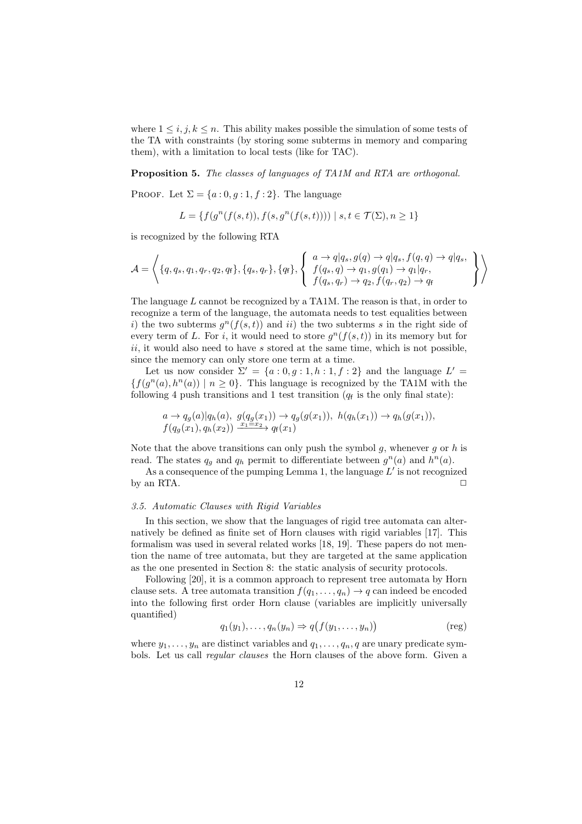where  $1 \leq i, j, k \leq n$ . This ability makes possible the simulation of some tests of the TA with constraints (by storing some subterms in memory and comparing them), with a limitation to local tests (like for TAC).

Proposition 5. The classes of languages of TA1M and RTA are orthogonal.

PROOF. Let  $\Sigma = \{a:0,q:1,f:2\}$ . The language

 $L = \{f(g^{n}(f(s,t)), f(s, g^{n}(f(s,t)))) \mid s, t \in \mathcal{T}(\Sigma), n \geq 1\}$ 

is recognized by the following RTA

$$
\mathcal{A} = \left\langle \{q, q_s, q_1, q_r, q_2, q_f\}, \{q_s, q_r\}, \{q_f\}, \left\{q_f\}, \left\{\begin{array}{l} a \to q | q_s, g(q) \to q | q_s, f(q, q) \to q | q_s, \\ f(q_s, q) \to q_1, g(q_1) \to q_1 | q_r, \\ f(q_s, q_r) \to q_2, f(q_r, q_2) \to q_f \end{array} \right\} \right\rangle
$$

The language L cannot be recognized by a TA1M. The reason is that, in order to recognize a term of the language, the automata needs to test equalities between i) the two subterms  $g^{n}(f(s,t))$  and ii) the two subterms s in the right side of every term of L. For i, it would need to store  $g^{n}(f(s,t))$  in its memory but for  $ii$ , it would also need to have s stored at the same time, which is not possible, since the memory can only store one term at a time.

Let us now consider  $\Sigma' = \{a: 0, g: 1, h: 1, f: 2\}$  and the language  $L' =$  ${f(g<sup>n</sup>(a), h<sup>n</sup>(a)) | n \ge 0}.$  This language is recognized by the TA1M with the following 4 push transitions and 1 test transition  $(q_f$  is the only final state):

$$
a \to q_g(a)|q_h(a), g(q_g(x_1)) \to q_g(g(x_1)), h(q_h(x_1)) \to q_h(g(x_1)),
$$
  

$$
f(q_g(x_1), q_h(x_2)) \xrightarrow{x_1=x_2} q_f(x_1)
$$

Note that the above transitions can only push the symbol  $g$ , whenever  $g$  or  $h$  is read. The states  $q_g$  and  $q_h$  permit to differentiate between  $g^n(a)$  and  $h^n(a)$ .

As a consequence of the pumping Lemma 1, the language  $L'$  is not recognized by an RTA.  $\Box$ 

#### 3.5. Automatic Clauses with Rigid Variables

In this section, we show that the languages of rigid tree automata can alternatively be defined as finite set of Horn clauses with rigid variables [17]. This formalism was used in several related works [18, 19]. These papers do not mention the name of tree automata, but they are targeted at the same application as the one presented in Section 8: the static analysis of security protocols.

Following [20], it is a common approach to represent tree automata by Horn clause sets. A tree automata transition  $f(q_1, \ldots, q_n) \to q$  can indeed be encoded into the following first order Horn clause (variables are implicitly universally quantified)

$$
q_1(y_1), \ldots, q_n(y_n) \Rightarrow q(f(y_1, \ldots, y_n))
$$
 (reg)

where  $y_1, \ldots, y_n$  are distinct variables and  $q_1, \ldots, q_n, q$  are unary predicate symbols. Let us call regular clauses the Horn clauses of the above form. Given a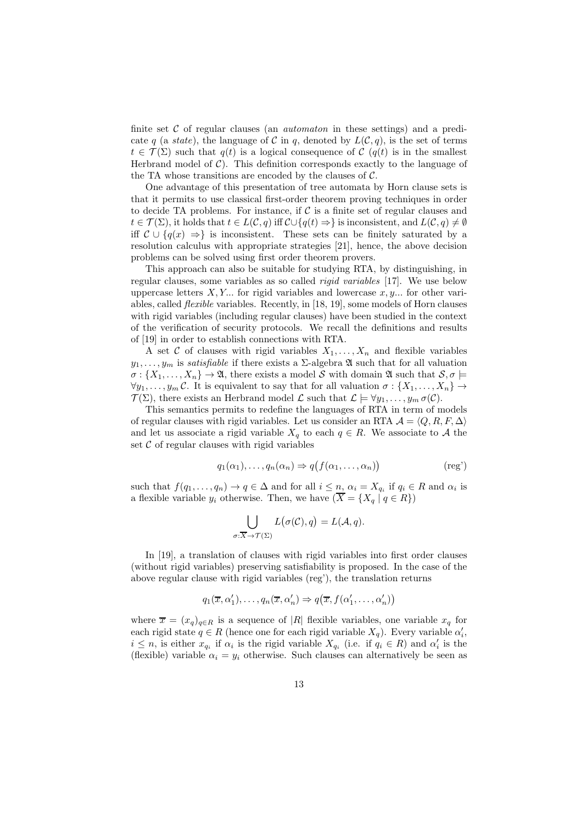finite set  $\mathcal C$  of regular clauses (an *automaton* in these settings) and a predicate q (a state), the language of C in q, denoted by  $L(C, q)$ , is the set of terms  $t \in \mathcal{T}(\Sigma)$  such that  $q(t)$  is a logical consequence of C  $(q(t))$  is in the smallest Herbrand model of  $C$ ). This definition corresponds exactly to the language of the TA whose transitions are encoded by the clauses of  $C$ .

One advantage of this presentation of tree automata by Horn clause sets is that it permits to use classical first-order theorem proving techniques in order to decide TA problems. For instance, if  $\mathcal C$  is a finite set of regular clauses and  $t \in \mathcal{T}(\Sigma)$ , it holds that  $t \in L(\mathcal{C}, q)$  iff  $\mathcal{C} \cup \{q(t) \Rightarrow\}$  is inconsistent, and  $L(\mathcal{C}, q) \neq \emptyset$ iff  $\mathcal{C} \cup \{q(x) \to \}$  is inconsistent. These sets can be finitely saturated by a resolution calculus with appropriate strategies [21], hence, the above decision problems can be solved using first order theorem provers.

This approach can also be suitable for studying RTA, by distinguishing, in regular clauses, some variables as so called rigid variables [17]. We use below uppercase letters  $X, Y, \ldots$  for rigid variables and lowercase  $x, y, \ldots$  for other variables, called flexible variables. Recently, in [18, 19], some models of Horn clauses with rigid variables (including regular clauses) have been studied in the context of the verification of security protocols. We recall the definitions and results of [19] in order to establish connections with RTA.

A set C of clauses with rigid variables  $X_1, \ldots, X_n$  and flexible variables  $y_1, \ldots, y_m$  is satisfiable if there exists a  $\Sigma$ -algebra  $\mathfrak A$  such that for all valuation  $\sigma: \{X_1, \ldots, X_n\} \to \mathfrak{A}$ , there exists a model S with domain  $\mathfrak{A}$  such that  $\mathcal{S}, \sigma \models$  $\forall y_1, \ldots, y_m \mathcal{C}$ . It is equivalent to say that for all valuation  $\sigma : \{X_1, \ldots, X_n\} \to$  $\mathcal{T}(\Sigma)$ , there exists an Herbrand model  $\mathcal{L}$  such that  $\mathcal{L} \models \forall y_1, \ldots, y_m \sigma(\mathcal{C})$ .

This semantics permits to redefine the languages of RTA in term of models of regular clauses with rigid variables. Let us consider an RTA  $A = \langle Q, R, F, \Delta \rangle$ and let us associate a rigid variable  $X_q$  to each  $q \in R$ . We associate to A the set  $\mathcal C$  of regular clauses with rigid variables

$$
q_1(\alpha_1), \dots, q_n(\alpha_n) \Rightarrow q(f(\alpha_1, \dots, \alpha_n))
$$
 (reg')

such that  $f(q_1, \ldots, q_n) \to q \in \Delta$  and for all  $i \leq n$ ,  $\alpha_i = X_{q_i}$  if  $q_i \in R$  and  $\alpha_i$  is a flexible variable  $y_i$  otherwise. Then, we have  $(\overline{X} = \{X_q | q \in R\})$ 

$$
\bigcup_{\sigma: \overline{X} \to \mathcal{T}(\Sigma)} L(\sigma(\mathcal{C}), q) = L(\mathcal{A}, q).
$$

In [19], a translation of clauses with rigid variables into first order clauses (without rigid variables) preserving satisfiability is proposed. In the case of the above regular clause with rigid variables (reg'), the translation returns

$$
q_1(\overline{x}, \alpha'_1), \ldots, q_n(\overline{x}, \alpha'_n) \Rightarrow q(\overline{x}, f(\alpha'_1, \ldots, \alpha'_n))
$$

where  $\bar{x} = (x_q)_{q \in R}$  is a sequence of |R| flexible variables, one variable  $x_q$  for each rigid state  $q \in R$  (hence one for each rigid variable  $X_q$ ). Every variable  $\alpha'_i$ ,  $i \leq n$ , is either  $x_{q_i}$  if  $\alpha_i$  is the rigid variable  $X_{q_i}$  (i.e. if  $q_i \in R$ ) and  $\alpha'_i$  is the (flexible) variable  $\alpha_i = y_i$  otherwise. Such clauses can alternatively be seen as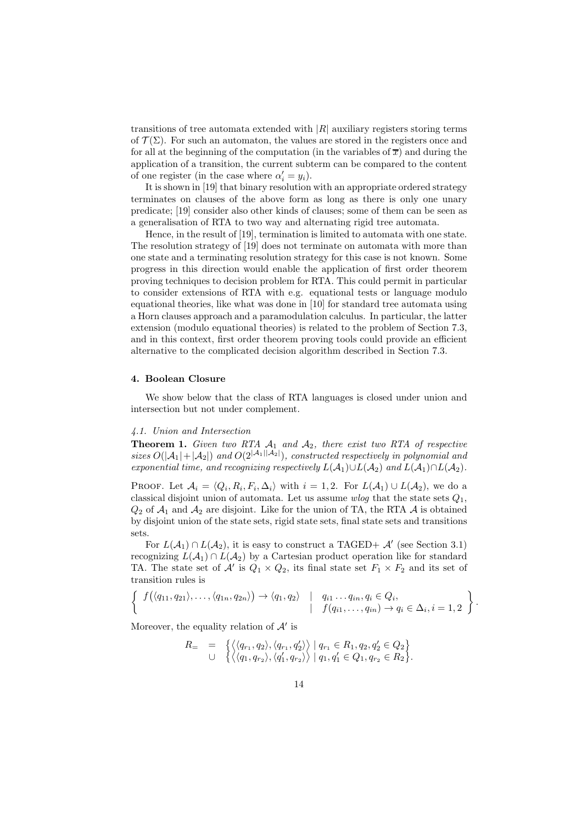transitions of tree automata extended with  $|R|$  auxiliary registers storing terms of  $\mathcal{T}(\Sigma)$ . For such an automaton, the values are stored in the registers once and for all at the beginning of the computation (in the variables of  $\bar{x}$ ) and during the application of a transition, the current subterm can be compared to the content of one register (in the case where  $\alpha'_i = y_i$ ).

It is shown in [19] that binary resolution with an appropriate ordered strategy terminates on clauses of the above form as long as there is only one unary predicate; [19] consider also other kinds of clauses; some of them can be seen as a generalisation of RTA to two way and alternating rigid tree automata.

Hence, in the result of [19], termination is limited to automata with one state. The resolution strategy of [19] does not terminate on automata with more than one state and a terminating resolution strategy for this case is not known. Some progress in this direction would enable the application of first order theorem proving techniques to decision problem for RTA. This could permit in particular to consider extensions of RTA with e.g. equational tests or language modulo equational theories, like what was done in [10] for standard tree automata using a Horn clauses approach and a paramodulation calculus. In particular, the latter extension (modulo equational theories) is related to the problem of Section 7.3, and in this context, first order theorem proving tools could provide an efficient alternative to the complicated decision algorithm described in Section 7.3.

#### 4. Boolean Closure

We show below that the class of RTA languages is closed under union and intersection but not under complement.

#### 4.1. Union and Intersection

**Theorem 1.** Given two RTA  $A_1$  and  $A_2$ , there exist two RTA of respective sizes  $O(|A_1|+|A_2|)$  and  $O(2^{|A_1||A_2|})$ , constructed respectively in polynomial and exponential time, and recognizing respectively  $L(A_1) \cup L(A_2)$  and  $L(A_1) \cap L(A_2)$ .

PROOF. Let  $\mathcal{A}_i = \langle Q_i, R_i, F_i, \Delta_i \rangle$  with  $i = 1, 2$ . For  $L(\mathcal{A}_1) \cup L(\mathcal{A}_2)$ , we do a classical disjoint union of automata. Let us assume *wlog* that the state sets  $Q_1$ ,  $Q_2$  of  $\mathcal{A}_1$  and  $\mathcal{A}_2$  are disjoint. Like for the union of TA, the RTA  $\mathcal A$  is obtained by disjoint union of the state sets, rigid state sets, final state sets and transitions sets.

For  $L(A_1) \cap L(A_2)$ , it is easy to construct a TAGED+  $\mathcal{A}'$  (see Section 3.1) recognizing  $L(\mathcal{A}_1) \cap L(\mathcal{A}_2)$  by a Cartesian product operation like for standard TA. The state set of  $\mathcal{A}'$  is  $Q_1 \times Q_2$ , its final state set  $F_1 \times F_2$  and its set of transition rules is

$$
\left\{\n\begin{array}{c}\nf(\langle q_{11}, q_{21}\rangle,\ldots,\langle q_{1n}, q_{2n}\rangle) \rightarrow \langle q_1, q_2\rangle & \mid q_{i1}\ldots q_{in}, q_i \in Q_i, \\
\downarrow & \vdots \\
f(q_{i1},\ldots,q_{in}) \rightarrow q_i \in \Delta_i, i = 1, 2\n\end{array}\n\right\}
$$

.

Moreover, the equality relation of  $\mathcal{A}'$  is

$$
R_{=} = \left\{ \begin{array}{l}\langle \langle q_{r_1}, q_2 \rangle, \langle q_{r_1}, q'_2 \rangle \rangle \mid q_{r_1} \in R_1, q_2, q'_2 \in Q_2 \rangle \\ \cup \left\{ \langle \langle q_1, q_{r_2} \rangle, \langle q'_1, q_{r_2} \rangle \rangle \mid q_1, q'_1 \in Q_1, q_{r_2} \in R_2 \right\} .\end{array} \right.
$$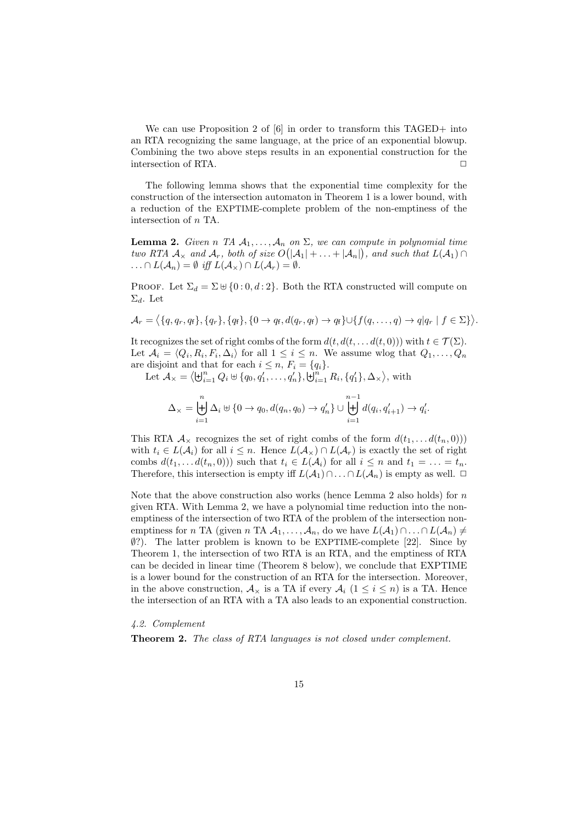We can use Proposition 2 of [6] in order to transform this TAGED+ into an RTA recognizing the same language, at the price of an exponential blowup. Combining the two above steps results in an exponential construction for the intersection of RTA.  $\Box$ 

The following lemma shows that the exponential time complexity for the construction of the intersection automaton in Theorem 1 is a lower bound, with a reduction of the EXPTIME-complete problem of the non-emptiness of the intersection of n TA.

**Lemma 2.** Given n TA  $A_1, \ldots, A_n$  on  $\Sigma$ , we can compute in polynomial time two RTA  $\mathcal{A}_{\times}$  and  $\mathcal{A}_{r}$ , both of size  $O(|\mathcal{A}_{1}| + \ldots + |\mathcal{A}_{n}|)$ , and such that  $L(\mathcal{A}_{1}) \cap$  $\ldots \cap L(\mathcal{A}_n) = \emptyset$  iff  $L(\mathcal{A}_{\times}) \cap L(\mathcal{A}_r) = \emptyset$ .

PROOF. Let  $\Sigma_d = \Sigma \cup \{0:0,d:2\}$ . Both the RTA constructed will compute on  $\Sigma_d$ . Let

$$
\mathcal{A}_r = \langle \{q, q_r, q_\mathsf{f}\}, \{q_r\}, \{q_\mathsf{f}\}, \{0 \to q_\mathsf{f}, d(q_r, q_\mathsf{f}) \to q_\mathsf{f}\} \cup \{f(q, \ldots, q) \to q|q_r \mid f \in \Sigma\} \rangle.
$$

It recognizes the set of right combs of the form  $d(t, d(t, \ldots d(t, 0)))$  with  $t \in \mathcal{T}(\Sigma)$ . Let  $A_i = \langle Q_i, R_i, F_i, \Delta_i \rangle$  for all  $1 \leq i \leq n$ . We assume wlog that  $Q_1, \ldots, Q_n$ are disjoint and that for each  $i \leq n$ ,  $F_i = \{q_i\}$ .

Let  $\mathcal{A}_{\times} = \langle \biguplus_{i=1}^{n} Q_i \uplus \{q_0, q'_1, \dots, q'_n\}, \biguplus_{i=1}^{n} R_i, \{q'_1\}, \Delta_{\times} \rangle$ , with

$$
\Delta_{\times} = \biguplus_{i=1}^{n} \Delta_{i} \uplus \{0 \to q_{0}, d(q_{n}, q_{0}) \to q_{n}'\} \cup \biguplus_{i=1}^{n-1} d(q_{i}, q_{i+1}') \to q_{i}'.
$$

This RTA  $\mathcal{A}_{\times}$  recognizes the set of right combs of the form  $d(t_1, \ldots d(t_n, 0))$ with  $t_i \in L(\mathcal{A}_i)$  for all  $i \leq n$ . Hence  $L(\mathcal{A}_{\times}) \cap L(\mathcal{A}_{r})$  is exactly the set of right combs  $d(t_1, \ldots d(t_n, 0))$  such that  $t_i \in L(\mathcal{A}_i)$  for all  $i \leq n$  and  $t_1 = \ldots = t_n$ . Therefore, this intersection is empty iff  $L(\mathcal{A}_1) \cap ... \cap L(\mathcal{A}_n)$  is empty as well.  $\Box$ 

Note that the above construction also works (hence Lemma 2 also holds) for  $n$ given RTA. With Lemma 2, we have a polynomial time reduction into the nonemptiness of the intersection of two RTA of the problem of the intersection nonemptiness for n TA (given n TA  $A_1, \ldots, A_n$ , do we have  $L(A_1) \cap \ldots \cap L(A_n) \neq$ ∅?). The latter problem is known to be EXPTIME-complete [22]. Since by Theorem 1, the intersection of two RTA is an RTA, and the emptiness of RTA can be decided in linear time (Theorem 8 below), we conclude that EXPTIME is a lower bound for the construction of an RTA for the intersection. Moreover, in the above construction,  $\mathcal{A}_{\times}$  is a TA if every  $\mathcal{A}_{i}$   $(1 \leq i \leq n)$  is a TA. Hence the intersection of an RTA with a TA also leads to an exponential construction.

4.2. Complement

Theorem 2. The class of RTA languages is not closed under complement.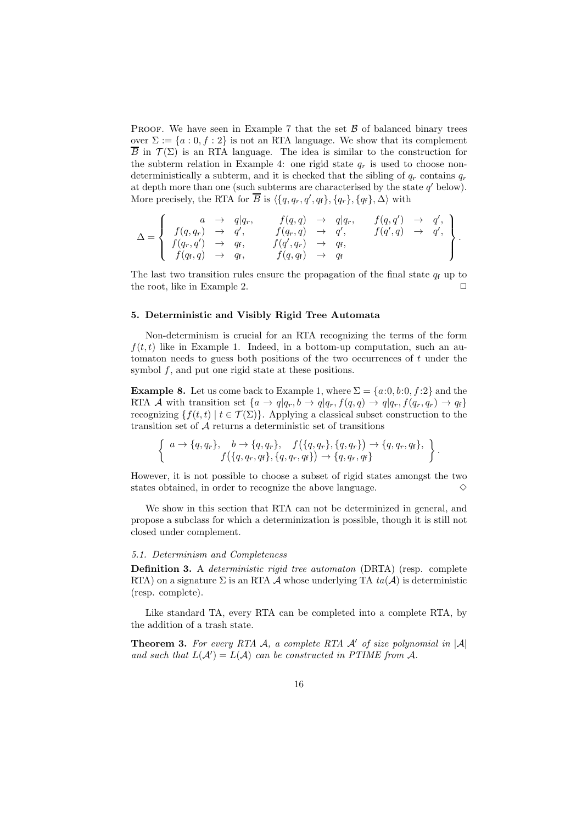PROOF. We have seen in Example 7 that the set  $\beta$  of balanced binary trees over  $\Sigma := \{a : 0, f : 2\}$  is not an RTA language. We show that its complement  $\overline{B}$  in  $\mathcal{T}(\Sigma)$  is an RTA language. The idea is similar to the construction for the subterm relation in Example 4: one rigid state  $q_r$  is used to choose nondeterministically a subterm, and it is checked that the sibling of  $q_r$  contains  $q_r$ at depth more than one (such subterms are characterised by the state  $q'$  below). More precisely, the RTA for  $\overline{B}$  is  $\langle \{q, q_r, q', q_f\}, \{q_r\}, \{q_f\}, \Delta \rangle$  with

$$
\Delta = \left\{\begin{array}{cccc}a & \rightarrow & q|q_r, & f(q,q) & \rightarrow & q|q_r, & f(q,q') & \rightarrow & q', \\f(q,q_r) & \rightarrow & q', & f(q_r,q) & \rightarrow & q', & f(q',q) & \rightarrow & q', \\f(q_r,q') & \rightarrow & q_f, & f(q',q_r) & \rightarrow & q_f, & f(q,q_f) & \rightarrow & q_f\end{array}\right\}.
$$

The last two transition rules ensure the propagation of the final state  $q_f$  up to the root, like in Example 2.  $\Box$ 

# 5. Deterministic and Visibly Rigid Tree Automata

Non-determinism is crucial for an RTA recognizing the terms of the form  $f(t, t)$  like in Example 1. Indeed, in a bottom-up computation, such an automaton needs to guess both positions of the two occurrences of  $t$  under the symbol f, and put one rigid state at these positions.

**Example 8.** Let us come back to Example 1, where  $\Sigma = \{a:0, b:0, f:2\}$  and the RTA A with transition set  $\{a \to q | q_r, b \to q | q_r, f(q, q) \to q | q_r, f(q_r, q_r) \to q_f\}$ recognizing  $\{f(t, t) | t \in \mathcal{T}(\Sigma)\}\$ . Applying a classical subset construction to the transition set of A returns a deterministic set of transitions

$$
\left\{\n\begin{array}{c}\na \to \{q, q_r\}, & b \to \{q, q_r\}, \\
f(\{q, q_r, q_f\}, \{q, q_r\}, \{q, q_r\}) \to \{q, q_r, q_f\}, \\
f(\{q, q_r, q_f\}, \{q, q_r, q_f\}) \to \{q, q_r, q_f\}\n\end{array}\n\right\}.
$$

However, it is not possible to choose a subset of rigid states amongst the two states obtained, in order to recognize the above language.  $\Diamond$ 

We show in this section that RTA can not be determinized in general, and propose a subclass for which a determinization is possible, though it is still not closed under complement.

### 5.1. Determinism and Completeness

Definition 3. A deterministic rigid tree automaton (DRTA) (resp. complete RTA) on a signature  $\Sigma$  is an RTA A whose underlying TA  $ta(\mathcal{A})$  is deterministic (resp. complete).

Like standard TA, every RTA can be completed into a complete RTA, by the addition of a trash state.

**Theorem 3.** For every RTA A, a complete RTA  $\mathcal{A}'$  of size polynomial in  $|\mathcal{A}|$ and such that  $L(A') = L(A)$  can be constructed in PTIME from A.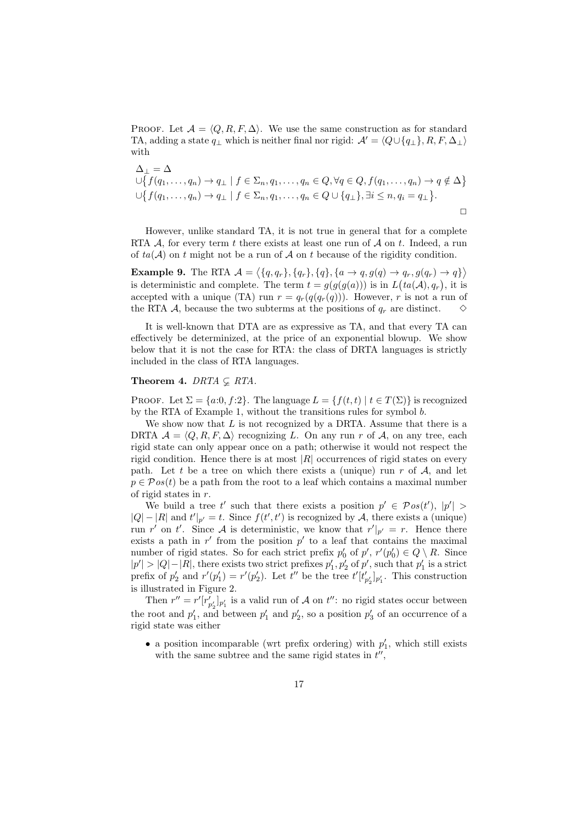PROOF. Let  $\mathcal{A} = \langle Q, R, F, \Delta \rangle$ . We use the same construction as for standard TA, adding a state  $q_{\perp}$  which is neither final nor rigid:  $\mathcal{A}' = \langle Q \cup \{q_{\perp}\}, R, F, \Delta_{\perp} \rangle$ with

$$
\Delta_{\perp} = \Delta
$$
  
\n
$$
\bigcup \{ f(q_1, \ldots, q_n) \to q_{\perp} \mid f \in \Sigma_n, q_1, \ldots, q_n \in Q, \forall q \in Q, f(q_1, \ldots, q_n) \to q \notin \Delta \}
$$
  
\n
$$
\bigcup \{ f(q_1, \ldots, q_n) \to q_{\perp} \mid f \in \Sigma_n, q_1, \ldots, q_n \in Q \cup \{q_{\perp}\}, \exists i \leq n, q_i = q_{\perp} \}.
$$

However, unlike standard TA, it is not true in general that for a complete RTA  $\mathcal A$ , for every term t there exists at least one run of  $\mathcal A$  on t. Indeed, a run of  $ta(\mathcal{A})$  on t might not be a run of  $\mathcal A$  on t because of the rigidity condition.

**Example 9.** The RTA  $\mathcal{A} = \langle \{q, q_r\}, \{q_r\}, \{q\}, \{a \rightarrow q, g(q) \rightarrow q_r, g(q_r) \rightarrow q\} \rangle$ is deterministic and complete. The term  $t = g(g(g(a)))$  is in  $L(ta(\mathcal{A}), q_r)$ , it is accepted with a unique (TA) run  $r = q_r(q(q_r(q)))$ . However, r is not a run of the RTA A, because the two subterms at the positions of  $q_r$  are distinct.  $\Diamond$ 

It is well-known that DTA are as expressive as TA, and that every TA can effectively be determinized, at the price of an exponential blowup. We show below that it is not the case for RTA: the class of DRTA languages is strictly included in the class of RTA languages.

# Theorem 4. DRTA  $\subset$  RTA.

PROOF. Let  $\Sigma = \{a:0, f:2\}$ . The language  $L = \{f(t, t) | t \in T(\Sigma)\}\$ is recognized by the RTA of Example 1, without the transitions rules for symbol b.

We show now that  $L$  is not recognized by a DRTA. Assume that there is a DRTA  $\mathcal{A} = \langle Q, R, F, \Delta \rangle$  recognizing L. On any run r of A, on any tree, each rigid state can only appear once on a path; otherwise it would not respect the rigid condition. Hence there is at most  $|R|$  occurrences of rigid states on every path. Let t be a tree on which there exists a (unique) run  $r$  of  $A$ , and let  $p \in \mathcal{P}os(t)$  be a path from the root to a leaf which contains a maximal number of rigid states in r.

We build a tree t' such that there exists a position  $p' \in \mathcal{P}os(t')$ ,  $|p'| >$  $|Q| - |R|$  and  $t'|_{p'} = t$ . Since  $f(t', t')$  is recognized by A, there exists a (unique) run r' on t'. Since A is deterministic, we know that  $r'|_{p'} = r$ . Hence there exists a path in  $r'$  from the position  $p'$  to a leaf that contains the maximal number of rigid states. So for each strict prefix  $p'_0$  of  $p'$ ,  $r'(p'_0) \in Q \setminus R$ . Since  $|p'| > |Q| - |R|$ , there exists two strict prefixes  $p'_1, p'_2$  of  $p'$ , such that  $p'_1$  is a strict prefix of  $p'_2$  and  $r'(p'_1) = r'(p'_2)$ . Let  $t''$  be the tree  $t'[t'_{p'_2}]_{p'_1}$ . This construction is illustrated in Figure 2.

Then  $r'' = r'[r'_{p'_2}]_{p'_1}$  is a valid run of A on  $t''$ : no rigid states occur between the root and  $p'_1$ , and between  $p'_1$  and  $p'_2$ , so a position  $p'_3$  of an occurrence of a rigid state was either

• a position incomparable (wrt prefix ordering) with  $p'_1$ , which still exists with the same subtree and the same rigid states in  $t''$ ,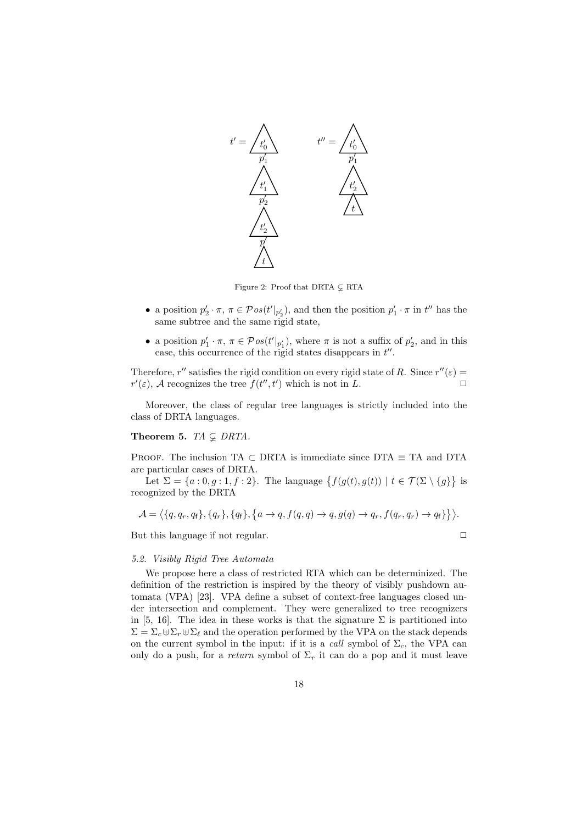

Figure 2: Proof that DRTA  $\subset$  RTA

- a position  $p'_2 \cdot \pi$ ,  $\pi \in \mathcal{P}os(t'|_{p'_2})$ , and then the position  $p'_1 \cdot \pi$  in  $t''$  has the same subtree and the same rigid state,
- a position  $p'_1 \cdot \pi$ ,  $\pi \in \mathcal{P}os(t'|_{p'_1})$ , where  $\pi$  is not a suffix of  $p'_2$ , and in this case, this occurrence of the rigid states disappears in  $t''$ .

Therefore, r'' satisfies the rigid condition on every rigid state of R. Since  $r''(\varepsilon)$  =  $r'(\varepsilon)$ , A recognizes the tree  $f(t'', t')$  which is not in L.

Moreover, the class of regular tree languages is strictly included into the class of DRTA languages.

Theorem 5. TA  $\subsetneq$  DRTA.

PROOF. The inclusion TA  $\subset$  DRTA is immediate since DTA  $\equiv$  TA and DTA are particular cases of DRTA.

Let  $\Sigma = \{a:0,g:1,f:2\}$ . The language  $\{f(g(t),g(t)) \mid t \in \mathcal{T}(\Sigma \setminus \{g\}\}\)$ recognized by the DRTA

$$
\mathcal{A} = \langle \{q, q_r, q_f\}, \{q_r\}, \{q_f\}, \{a \rightarrow q, f(q, q) \rightarrow q, g(q) \rightarrow q_r, f(q_r, q_r) \rightarrow q_f\} \rangle.
$$

But this language if not regular.  $\Box$ 

#### 5.2. Visibly Rigid Tree Automata

We propose here a class of restricted RTA which can be determinized. The definition of the restriction is inspired by the theory of visibly pushdown automata (VPA) [23]. VPA define a subset of context-free languages closed under intersection and complement. They were generalized to tree recognizers in [5, 16]. The idea in these works is that the signature  $\Sigma$  is partitioned into  $\Sigma = \Sigma_c \oplus \Sigma_r \oplus \Sigma_\ell$  and the operation performed by the VPA on the stack depends on the current symbol in the input: if it is a *call* symbol of  $\Sigma_c$ , the VPA can only do a push, for a return symbol of  $\Sigma_r$  it can do a pop and it must leave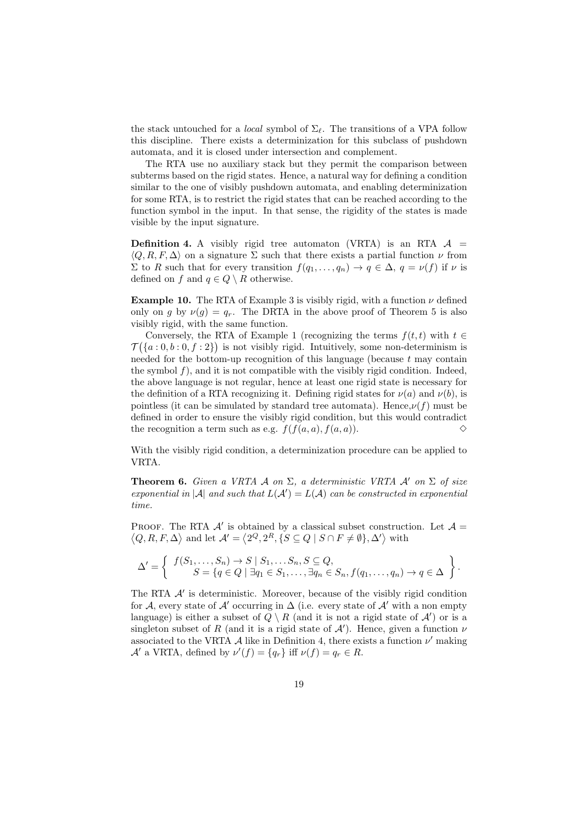the stack untouched for a *local* symbol of  $\Sigma_{\ell}$ . The transitions of a VPA follow this discipline. There exists a determinization for this subclass of pushdown automata, and it is closed under intersection and complement.

The RTA use no auxiliary stack but they permit the comparison between subterms based on the rigid states. Hence, a natural way for defining a condition similar to the one of visibly pushdown automata, and enabling determinization for some RTA, is to restrict the rigid states that can be reached according to the function symbol in the input. In that sense, the rigidity of the states is made visible by the input signature.

**Definition 4.** A visibly rigid tree automaton (VRTA) is an RTA  $\mathcal{A}$  =  $\langle Q, R, F, \Delta \rangle$  on a signature  $\Sigma$  such that there exists a partial function  $\nu$  from  $\Sigma$  to R such that for every transition  $f(q_1, \ldots, q_n) \to q \in \Delta$ ,  $q = \nu(f)$  if  $\nu$  is defined on f and  $q \in Q \setminus R$  otherwise.

**Example 10.** The RTA of Example 3 is visibly rigid, with a function  $\nu$  defined only on g by  $\nu(g) = q_r$ . The DRTA in the above proof of Theorem 5 is also visibly rigid, with the same function.

Conversely, the RTA of Example 1 (recognizing the terms  $f(t, t)$  with  $t \in$  $\mathcal{T}(\{a:0,b:0,f:2\})$  is not visibly rigid. Intuitively, some non-determinism is needed for the bottom-up recognition of this language (because  $t$  may contain the symbol  $f$ ), and it is not compatible with the visibly rigid condition. Indeed, the above language is not regular, hence at least one rigid state is necessary for the definition of a RTA recognizing it. Defining rigid states for  $\nu(a)$  and  $\nu(b)$ , is pointless (it can be simulated by standard tree automata). Hence,  $\nu(f)$  must be defined in order to ensure the visibly rigid condition, but this would contradict the recognition a term such as e.g.  $f(f(a, a), f(a, a))$ .

With the visibly rigid condition, a determinization procedure can be applied to VRTA.

**Theorem 6.** Given a VRTA A on  $\Sigma$ , a deterministic VRTA A' on  $\Sigma$  of size exponential in |A| and such that  $L(A') = L(A)$  can be constructed in exponential time.

PROOF. The RTA  $\mathcal{A}'$  is obtained by a classical subset construction. Let  $\mathcal{A} =$  $\langle Q, R, F, \Delta \rangle$  and let  $\mathcal{A}' = \langle 2^Q, 2^R, \{ S \subseteq Q \mid S \cap F \neq \emptyset \}, \Delta' \rangle$  with

$$
\Delta' = \left\{ \begin{array}{c} f(S_1,\ldots,S_n) \to S \mid S_1,\ldots,S_n, S \subseteq Q, \\ S = \{q \in Q \mid \exists q_1 \in S_1,\ldots,\exists q_n \in S_n, f(q_1,\ldots,q_n) \to q \in \Delta \} \end{array} \right\}.
$$

The RTA  $\mathcal{A}'$  is deterministic. Moreover, because of the visibly rigid condition for A, every state of A' occurring in  $\Delta$  (i.e. every state of A' with a non empty language) is either a subset of  $Q \setminus R$  (and it is not a rigid state of  $\mathcal{A}'$ ) or is a singleton subset of R (and it is a rigid state of  $\mathcal{A}'$ ). Hence, given a function  $\nu$ associated to the VRTA  $\mathcal A$  like in Definition 4, there exists a function  $\nu'$  making  $\mathcal{A}'$  a VRTA, defined by  $\nu'(f) = \{q_r\}$  iff  $\nu(f) = q_r \in R$ .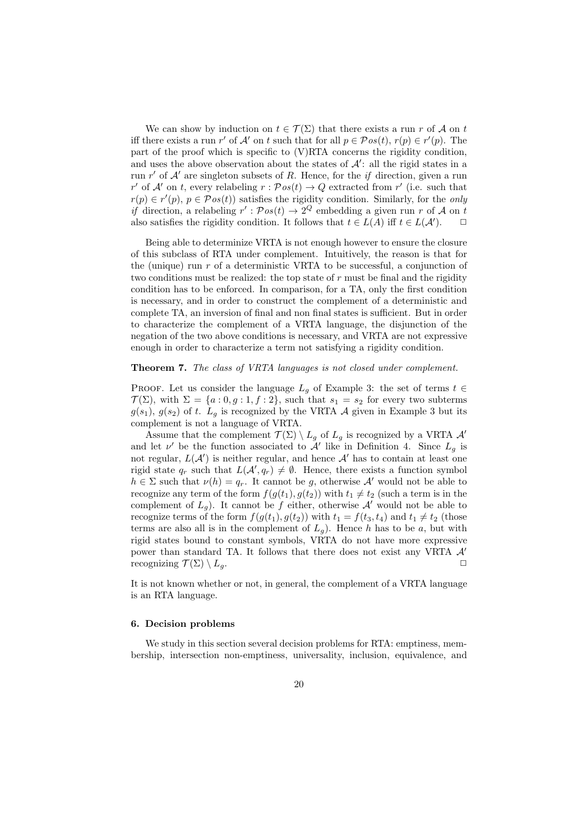We can show by induction on  $t \in \mathcal{T}(\Sigma)$  that there exists a run r of A on t iff there exists a run r' of A' on t such that for all  $p \in \mathcal{P}os(t)$ ,  $r(p) \in r'(p)$ . The part of the proof which is specific to (V)RTA concerns the rigidity condition, and uses the above observation about the states of  $A'$ : all the rigid states in a run  $r'$  of  $\mathcal{A}'$  are singleton subsets of R. Hence, for the if direction, given a run r' of A' on t, every relabeling  $r: \mathcal{P}os(t) \to Q$  extracted from r' (i.e. such that  $r(p) \in r'(p)$ ,  $p \in \mathcal{P}os(t)$  satisfies the rigidity condition. Similarly, for the only *if* direction, a relabeling  $r' : Pos(t) \to 2^Q$  embedding a given run r of A on t also satisfies the rigidity condition. It follows that  $t \in L(A)$  iff  $t \in L(A')$ .  $\Box$ 

Being able to determinize VRTA is not enough however to ensure the closure of this subclass of RTA under complement. Intuitively, the reason is that for the (unique) run r of a deterministic VRTA to be successful, a conjunction of two conditions must be realized: the top state of  $r$  must be final and the rigidity condition has to be enforced. In comparison, for a TA, only the first condition is necessary, and in order to construct the complement of a deterministic and complete TA, an inversion of final and non final states is sufficient. But in order to characterize the complement of a VRTA language, the disjunction of the negation of the two above conditions is necessary, and VRTA are not expressive enough in order to characterize a term not satisfying a rigidity condition.

# Theorem 7. The class of VRTA languages is not closed under complement.

PROOF. Let us consider the language  $L_g$  of Example 3: the set of terms  $t \in$  $\mathcal{T}(\Sigma)$ , with  $\Sigma = \{a:0,g:1,f:2\}$ , such that  $s_1 = s_2$  for every two subterms  $g(s_1)$ ,  $g(s_2)$  of t.  $L_g$  is recognized by the VRTA A given in Example 3 but its complement is not a language of VRTA.

Assume that the complement  $\mathcal{T}(\Sigma) \setminus L_q$  of  $L_q$  is recognized by a VRTA  $\mathcal{A}'$ and let  $\nu'$  be the function associated to  $\mathcal{A}'$  like in Definition 4. Since  $L_g$  is not regular,  $L(\mathcal{A}')$  is neither regular, and hence  $\mathcal{A}'$  has to contain at least one rigid state  $q_r$  such that  $L(\mathcal{A}', q_r) \neq \emptyset$ . Hence, there exists a function symbol  $h \in \Sigma$  such that  $\nu(h) = q_r$ . It cannot be g, otherwise A' would not be able to recognize any term of the form  $f(g(t_1), g(t_2))$  with  $t_1 \neq t_2$  (such a term is in the complement of  $L_g$ ). It cannot be f either, otherwise  $A'$  would not be able to recognize terms of the form  $f(g(t_1), g(t_2))$  with  $t_1 = f(t_3, t_4)$  and  $t_1 \neq t_2$  (those terms are also all is in the complement of  $L_q$ ). Hence h has to be a, but with rigid states bound to constant symbols, VRTA do not have more expressive power than standard TA. It follows that there does not exist any VRTA A′ recognizing  $\mathcal{T}(\Sigma) \setminus L_q$ .

It is not known whether or not, in general, the complement of a VRTA language is an RTA language.

# 6. Decision problems

We study in this section several decision problems for RTA: emptiness, membership, intersection non-emptiness, universality, inclusion, equivalence, and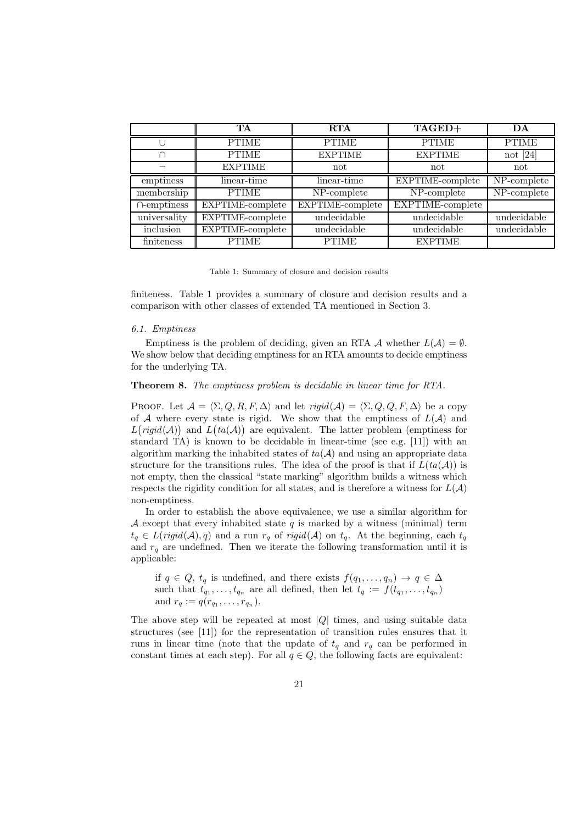|                   | TA               | <b>RTA</b>       | TAGED+                  | DA                              |
|-------------------|------------------|------------------|-------------------------|---------------------------------|
|                   | <b>PTIME</b>     | <b>PTIME</b>     | <b>PTIME</b>            | <b>PTIME</b>                    |
| ┌                 | <b>PTIME</b>     | <b>EXPTIME</b>   | <b>EXPTIME</b>          | not $[24]$                      |
|                   | <b>EXPTIME</b>   | not              | not                     | not                             |
| emptiness         | linear-time      | linear-time      | EXPTIME-complete        | NP-complete                     |
| membership        | <b>PTIME</b>     | NP-complete      | NP-complete             | $\overline{\text{NP-complete}}$ |
| $\cap$ -emptiness | EXPTIME-complete | EXPTIME-complete | <b>EXPTIME-complete</b> |                                 |
| universality      | EXPTIME-complete | undecidable      | undecidable             | undecidable                     |
| inclusion         | EXPTIME-complete | undecidable      | undecidable             | undecidable                     |
| finiteness        | <b>PTIME</b>     | <b>PTIME</b>     | <b>EXPTIME</b>          |                                 |

Table 1: Summary of closure and decision results

finiteness. Table 1 provides a summary of closure and decision results and a comparison with other classes of extended TA mentioned in Section 3.

# 6.1. Emptiness

Emptiness is the problem of deciding, given an RTA  $\mathcal A$  whether  $L(\mathcal A) = \emptyset$ . We show below that deciding emptiness for an RTA amounts to decide emptiness for the underlying TA.

#### Theorem 8. The emptiness problem is decidable in linear time for RTA.

PROOF. Let  $\mathcal{A} = \langle \Sigma, Q, R, F, \Delta \rangle$  and let  $\text{rigid}(\mathcal{A}) = \langle \Sigma, Q, Q, F, \Delta \rangle$  be a copy of  $A$  where every state is rigid. We show that the emptiness of  $L(A)$  and  $L(rigid(\mathcal{A}))$  and  $L(ta(\mathcal{A}))$  are equivalent. The latter problem (emptiness for standard TA) is known to be decidable in linear-time (see e.g.  $[11]$ ) with an algorithm marking the inhabited states of  $ta(A)$  and using an appropriate data structure for the transitions rules. The idea of the proof is that if  $L(ta(\mathcal{A}))$  is not empty, then the classical "state marking" algorithm builds a witness which respects the rigidity condition for all states, and is therefore a witness for  $L(\mathcal{A})$ non-emptiness.

In order to establish the above equivalence, we use a similar algorithm for A except that every inhabited state q is marked by a witness (minimal) term  $t_q \in L(rigid(\mathcal{A}), q)$  and a run  $r_q$  of  $rigid(\mathcal{A})$  on  $t_q$ . At the beginning, each  $t_q$ and  $r_q$  are undefined. Then we iterate the following transformation until it is applicable:

if  $q \in Q$ ,  $t_q$  is undefined, and there exists  $f(q_1, \ldots, q_n) \to q \in \Delta$ such that  $t_{q_1}, \ldots, t_{q_n}$  are all defined, then let  $t_q := f(t_{q_1}, \ldots, t_{q_n})$ and  $r_q := q(r_{q_1}, \ldots, r_{q_n}).$ 

The above step will be repeated at most  $|Q|$  times, and using suitable data structures (see [11]) for the representation of transition rules ensures that it runs in linear time (note that the update of  $t_q$  and  $r_q$  can be performed in constant times at each step). For all  $q \in Q$ , the following facts are equivalent: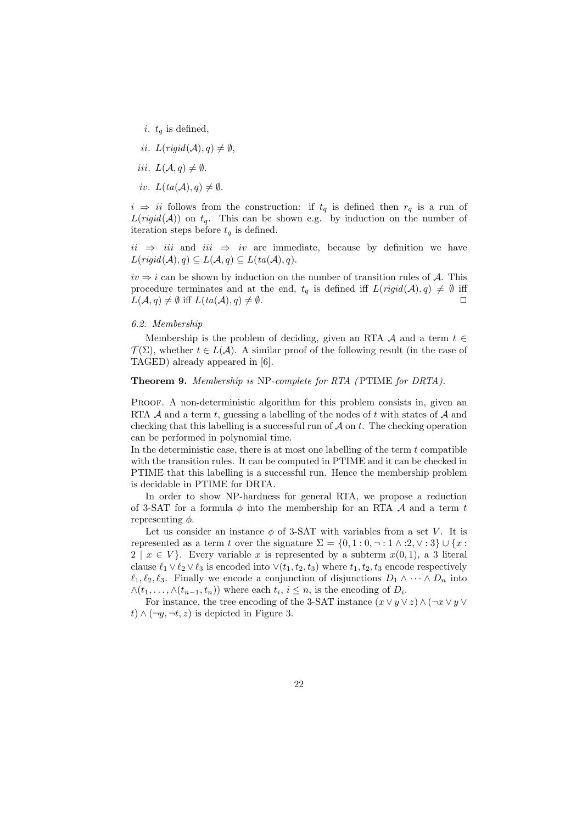- i.  $t_q$  is defined,
- ii.  $L(rigid(\mathcal{A}), q) \neq \emptyset$ ,
- iii.  $L(A, q) \neq \emptyset$ .
- iv.  $L(ta(\mathcal{A}), q) \neq \emptyset$ .

 $i \Rightarrow ii$  follows from the construction: if  $t_q$  is defined then  $r_q$  is a run of  $L(rigid(\mathcal{A}))$  on  $t_q$ . This can be shown e.g. by induction on the number of iteration steps before  $t<sub>q</sub>$  is defined.

 $ii \Rightarrow iii$  and  $iii \Rightarrow iv$  are immediate, because by definition we have  $L(rigid(\mathcal{A}), q) \subseteq L(\mathcal{A}, q) \subseteq L(ta(\mathcal{A}), q).$ 

 $iv \Rightarrow i$  can be shown by induction on the number of transition rules of A. This procedure terminates and at the end,  $t_q$  is defined iff  $L(rigid(\mathcal{A}), q) \neq \emptyset$  iff  $L(\mathcal{A}, q) \neq \emptyset$  iff  $L(ta(\mathcal{A}), q) \neq \emptyset$ .

# 6.2. Membership

Membership is the problem of deciding, given an RTA  $\mathcal A$  and a term  $t \in$  $\mathcal{T}(\Sigma)$ , whether  $t \in L(\mathcal{A})$ . A similar proof of the following result (in the case of TAGED) already appeared in [6].

# Theorem 9. Membership is NP-complete for RTA (PTIME for DRTA).

Proof. A non-deterministic algorithm for this problem consists in, given an RTA  $\mathcal A$  and a term t, guessing a labelling of the nodes of t with states of  $\mathcal A$  and checking that this labelling is a successful run of  $A$  on  $t$ . The checking operation can be performed in polynomial time.

In the deterministic case, there is at most one labelling of the term  $t$  compatible with the transition rules. It can be computed in PTIME and it can be checked in PTIME that this labelling is a successful run. Hence the membership problem is decidable in PTIME for DRTA.

In order to show NP-hardness for general RTA, we propose a reduction of 3-SAT for a formula  $\phi$  into the membership for an RTA  $\mathcal A$  and a term t representing  $\phi$ .

Let us consider an instance  $\phi$  of 3-SAT with variables from a set V. It is represented as a term t over the signature  $\Sigma = \{0, 1 : 0, \neg : 1 \wedge : 2, \vee : 3\} \cup \{x :$  $2 \mid x \in V$ . Every variable x is represented by a subterm  $x(0,1)$ , a 3 literal clause  $\ell_1 \vee \ell_2 \vee \ell_3$  is encoded into  $\vee (t_1, t_2, t_3)$  where  $t_1, t_2, t_3$  encode respectively  $\ell_1, \ell_2, \ell_3$ . Finally we encode a conjunction of disjunctions  $D_1 \wedge \cdots \wedge D_n$  into  $\wedge (t_1,\ldots,\wedge(t_{n-1},t_n))$  where each  $t_i, i \leq n$ , is the encoding of  $D_i$ .

For instance, the tree encoding of the 3-SAT instance  $(x \vee y \vee z) \wedge (\neg x \vee y \vee z)$ *t*) ∧ (¬*y*, ¬*t*, *z*) is depicted in Figure 3.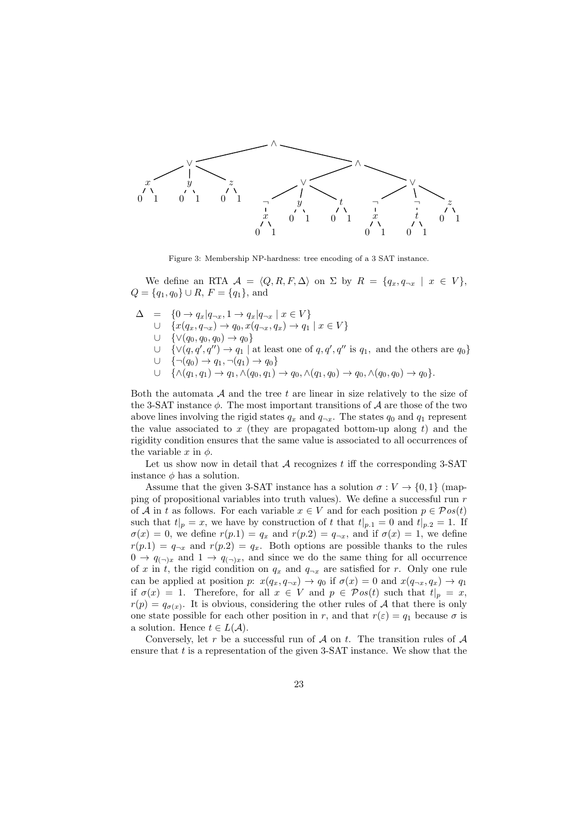

Figure 3: Membership NP-hardness: tree encoding of a 3 SAT instance.

We define an RTA  $\mathcal{A} = \langle Q, R, F, \Delta \rangle$  on  $\Sigma$  by  $R = \{q_x, q_{\neg x} \mid x \in V \}$ ,  $Q = \{q_1, q_0\} \cup R$ ,  $F = \{q_1\}$ , and

- $\Delta = \{0 \to q_x | q_{\neg x}, 1 \to q_x | q_{\neg x} \mid x \in V\}$ ∪  $\{x(q_x, q_{\neg x}) \rightarrow q_0, x(q_{\neg x}, q_x) \rightarrow q_1 \mid x \in V\}$ ∪  $\{ \vee (q_0, q_0, q_0) \to q_0 \}$ ∪ { $\vee$ (q, q', q'') → q<sub>1</sub> | at least one of q, q', q'' is q<sub>1</sub>, and the others are q<sub>0</sub>} ∪  $\{\neg(q_0) \to q_1, \neg(q_1) \to q_0\}$ 
	- $\cup \{\wedge (q_1, q_1) \to q_1, \wedge (q_0, q_1) \to q_0, \wedge (q_1, q_0) \to q_0, \wedge (q_0, q_0) \to q_0\}.$

Both the automata  $A$  and the tree  $t$  are linear in size relatively to the size of the 3-SAT instance  $\phi$ . The most important transitions of A are those of the two above lines involving the rigid states  $q_x$  and  $q_{\neg x}$ . The states  $q_0$  and  $q_1$  represent the value associated to  $x$  (they are propagated bottom-up along  $t$ ) and the rigidity condition ensures that the same value is associated to all occurrences of the variable x in  $\phi$ .

Let us show now in detail that  $A$  recognizes t iff the corresponding 3-SAT instance  $\phi$  has a solution.

Assume that the given 3-SAT instance has a solution  $\sigma: V \to \{0, 1\}$  (mapping of propositional variables into truth values). We define a successful run  $r$ of A in t as follows. For each variable  $x \in V$  and for each position  $p \in \mathcal{P}os(t)$ such that  $t|_p = x$ , we have by construction of t that  $t|_{p,1} = 0$  and  $t|_{p,2} = 1$ . If  $\sigma(x) = 0$ , we define  $r(p,1) = q_x$  and  $r(p,2) = q_{\neg x}$ , and if  $\sigma(x) = 1$ , we define  $r(p.1) = q_{\neg x}$  and  $r(p.2) = q_x$ . Both options are possible thanks to the rules  $0 \to q_{(\neg)x}$  and  $1 \to q_{(\neg)x}$ , and since we do the same thing for all occurrence of x in t, the rigid condition on  $q_x$  and  $q_{\neg x}$  are satisfied for r. Only one rule can be applied at position p:  $x(q_x, q_{\neg x}) \rightarrow q_0$  if  $\sigma(x) = 0$  and  $x(q_{\neg x}, q_x) \rightarrow q_1$ if  $\sigma(x) = 1$ . Therefore, for all  $x \in V$  and  $p \in \mathcal{P}os(t)$  such that  $t|_p = x$ ,  $r(p) = q_{\sigma(x)}$ . It is obvious, considering the other rules of A that there is only one state possible for each other position in r, and that  $r(\varepsilon) = q_1$  because  $\sigma$  is a solution. Hence  $t \in L(\mathcal{A})$ .

Conversely, let r be a successful run of  $A$  on t. The transition rules of  $A$ ensure that t is a representation of the given  $3\text{-SAT}$  instance. We show that the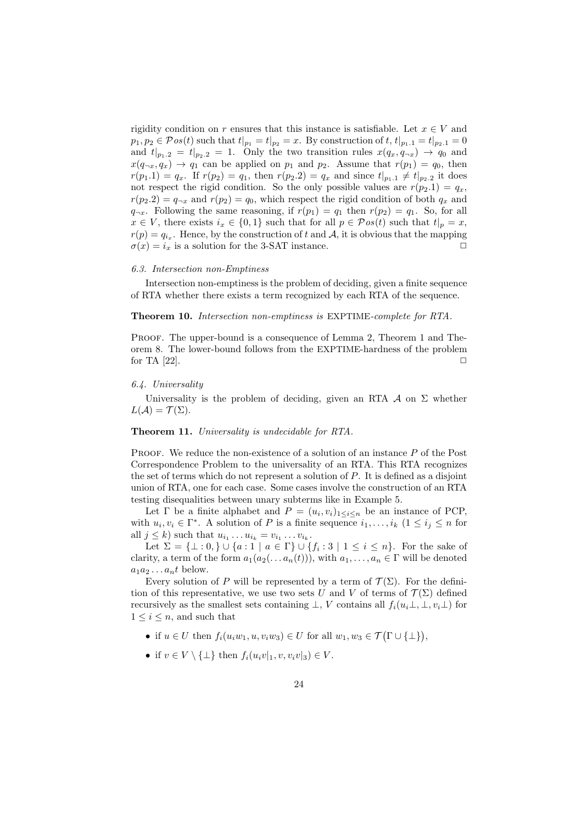rigidity condition on r ensures that this instance is satisfiable. Let  $x \in V$  and  $p_1, p_2 \in \mathcal{P}os(t)$  such that  $t|_{p_1} = t|_{p_2} = x$ . By construction of  $t, t|_{p_1,1} = t|_{p_2,1} = 0$ and  $t|_{p_1,2} = t|_{p_2,2} = 1$ . Only the two transition rules  $x(q_x, q_{\neg x}) \rightarrow q_0$  and  $x(q_{\neg x}, q_x) \rightarrow q_1$  can be applied on  $p_1$  and  $p_2$ . Assume that  $r(p_1) = q_0$ , then  $r(p_1.1) = q_x$ . If  $r(p_2) = q_1$ , then  $r(p_2.2) = q_x$  and since  $t|_{p_1.1} \neq t|_{p_2.2}$  it does not respect the rigid condition. So the only possible values are  $r(p_2.1) = q_x$ ,  $r(p_2.2) = q_{\neg x}$  and  $r(p_2) = q_0$ , which respect the rigid condition of both  $q_x$  and  $q_{\neg x}$ . Following the same reasoning, if  $r(p_1) = q_1$  then  $r(p_2) = q_1$ . So, for all  $x \in V$ , there exists  $i_x \in \{0,1\}$  such that for all  $p \in \mathcal{P}os(t)$  such that  $t|_p = x$ ,  $r(p) = q_{i_x}$ . Hence, by the construction of t and A, it is obvious that the mapping  $\sigma(x) = i_x$  is a solution for the 3-SAT instance.

#### 6.3. Intersection non-Emptiness

Intersection non-emptiness is the problem of deciding, given a finite sequence of RTA whether there exists a term recognized by each RTA of the sequence.

Theorem 10. Intersection non-emptiness is EXPTIME-complete for RTA.

PROOF. The upper-bound is a consequence of Lemma 2, Theorem 1 and Theorem 8. The lower-bound follows from the EXPTIME-hardness of the problem for TA  $[22]$ .

# 6.4. Universality

Universality is the problem of deciding, given an RTA  $\mathcal A$  on  $\Sigma$  whether  $L(\mathcal{A}) = \mathcal{T}(\Sigma).$ 

# Theorem 11. Universality is undecidable for RTA.

PROOF. We reduce the non-existence of a solution of an instance P of the Post Correspondence Problem to the universality of an RTA. This RTA recognizes the set of terms which do not represent a solution of P. It is defined as a disjoint union of RTA, one for each case. Some cases involve the construction of an RTA testing disequalities between unary subterms like in Example 5.

Let  $\Gamma$  be a finite alphabet and  $P = (u_i, v_i)_{1 \leq i \leq n}$  be an instance of PCP, with  $u_i, v_i \in \Gamma^*$ . A solution of P is a finite sequence  $i_1, \ldots, i_k$   $(1 \le i_j \le n$  for all  $j \leq k$ ) such that  $u_{i_1} \ldots u_{i_k} = v_{i_1} \ldots v_{i_k}$ .

Let  $\Sigma = {\{\perp: 0, \} \cup \{a: 1 \mid a \in \Gamma\} \cup \{f_i : 3 \mid 1 \leq i \leq n\}}$ . For the sake of clarity, a term of the form  $a_1(a_2(\ldots a_n(t)))$ , with  $a_1, \ldots, a_n \in \Gamma$  will be denoted  $a_1a_2 \ldots a_nt$  below.

Every solution of P will be represented by a term of  $\mathcal{T}(\Sigma)$ . For the definition of this representative, we use two sets U and V of terms of  $\mathcal{T}(\Sigma)$  defined recursively as the smallest sets containing  $\bot$ , V contains all  $f_i(u_i\bot, \bot, v_i\bot)$  for  $1 \leq i \leq n$ , and such that

- if  $u \in U$  then  $f_i(u_iw_1, u, v_iw_3) \in U$  for all  $w_1, w_3 \in \mathcal{T}(\Gamma \cup \{\perp\}),$
- if  $v \in V \setminus {\{\perp\}}$  then  $f_i(u_i v|_1, v, v_i v|_3) \in V$ .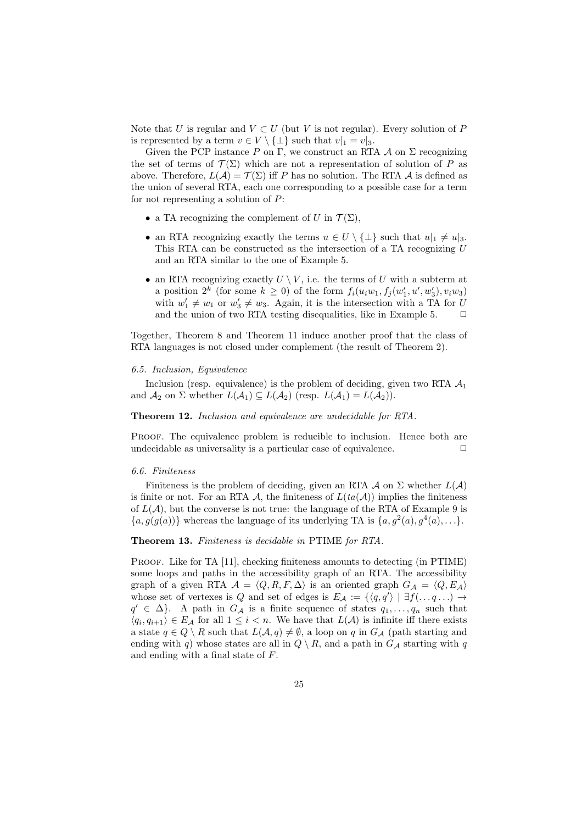Note that U is regular and  $V \subset U$  (but V is not regular). Every solution of P is represented by a term  $v \in V \setminus {\{\perp\}}$  such that  $v|_1 = v|_3$ .

Given the PCP instance P on  $\Gamma$ , we construct an RTA A on  $\Sigma$  recognizing the set of terms of  $\mathcal{T}(\Sigma)$  which are not a representation of solution of P as above. Therefore,  $L(\mathcal{A}) = \mathcal{T}(\Sigma)$  iff P has no solution. The RTA  $\mathcal A$  is defined as the union of several RTA, each one corresponding to a possible case for a term for not representing a solution of P:

- a TA recognizing the complement of U in  $\mathcal{T}(\Sigma)$ ,
- an RTA recognizing exactly the terms  $u \in U \setminus {\{\perp\}}$  such that  $u|_1 \neq u|_3$ . This RTA can be constructed as the intersection of a TA recognizing U and an RTA similar to the one of Example 5.
- an RTA recognizing exactly  $U \setminus V$ , i.e. the terms of U with a subterm at a position  $2^k$  (for some  $k \geq 0$ ) of the form  $f_i(u_iw_1, f_j(w'_1, u', w'_3), v_iw_3)$ with  $w'_1 \neq w_1$  or  $w'_3 \neq w_3$ . Again, it is the intersection with a TA for U and the union of two RTA testing disequalities, like in Example 5.  $\Box$

Together, Theorem 8 and Theorem 11 induce another proof that the class of RTA languages is not closed under complement (the result of Theorem 2).

#### 6.5. Inclusion, Equivalence

Inclusion (resp. equivalence) is the problem of deciding, given two RTA  $A_1$ and  $\mathcal{A}_2$  on  $\Sigma$  whether  $L(\mathcal{A}_1) \subseteq L(\mathcal{A}_2)$  (resp.  $L(\mathcal{A}_1) = L(\mathcal{A}_2)$ ).

Theorem 12. Inclusion and equivalence are undecidable for RTA.

PROOF. The equivalence problem is reducible to inclusion. Hence both are undecidable as universality is a particular case of equivalence.  $\Box$ 

#### 6.6. Finiteness

Finiteness is the problem of deciding, given an RTA  $\mathcal A$  on  $\Sigma$  whether  $L(\mathcal A)$ is finite or not. For an RTA A, the finiteness of  $L(ta(\mathcal{A}))$  implies the finiteness of  $L(\mathcal{A})$ , but the converse is not true: the language of the RTA of Example 9 is  $\{a, g(g(a))\}$  whereas the language of its underlying TA is  $\{a, g^2(a), g^4(a), \ldots\}$ .

Theorem 13. Finiteness is decidable in PTIME for RTA.

PROOF. Like for TA [11], checking finiteness amounts to detecting (in PTIME) some loops and paths in the accessibility graph of an RTA. The accessibility graph of a given RTA  $A = \langle Q, R, F, \Delta \rangle$  is an oriented graph  $G_A = \langle Q, E_A \rangle$ whose set of vertexes is Q and set of edges is  $E_{\mathcal{A}} := \{ \langle q, q' \rangle \mid \exists f(\dots q \dots) \rightarrow$  $q' \in \Delta$ . A path in  $G_{\mathcal{A}}$  is a finite sequence of states  $q_1, \ldots, q_n$  such that  $\langle q_i, q_{i+1} \rangle \in E_{\mathcal{A}}$  for all  $1 \leq i < n$ . We have that  $L(\mathcal{A})$  is infinite iff there exists a state  $q \in Q \setminus R$  such that  $L(A, q) \neq \emptyset$ , a loop on q in  $G_{\mathcal{A}}$  (path starting and ending with q) whose states are all in  $Q \setminus R$ , and a path in  $G_A$  starting with q and ending with a final state of F.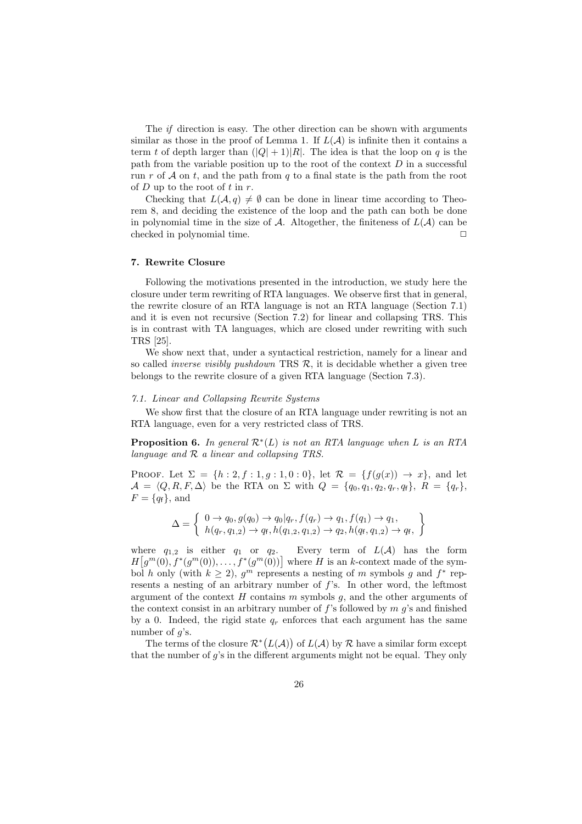The if direction is easy. The other direction can be shown with arguments similar as those in the proof of Lemma 1. If  $L(\mathcal{A})$  is infinite then it contains a term t of depth larger than  $(|Q| + 1)|R|$ . The idea is that the loop on q is the path from the variable position up to the root of the context  $D$  in a successful run r of  $A$  on t, and the path from q to a final state is the path from the root of  $D$  up to the root of  $t$  in  $r$ .

Checking that  $L(\mathcal{A}, q) \neq \emptyset$  can be done in linear time according to Theorem 8, and deciding the existence of the loop and the path can both be done in polynomial time in the size of A. Altogether, the finiteness of  $L(\mathcal{A})$  can be checked in polynomial time.

#### 7. Rewrite Closure

Following the motivations presented in the introduction, we study here the closure under term rewriting of RTA languages. We observe first that in general, the rewrite closure of an RTA language is not an RTA language (Section 7.1) and it is even not recursive (Section 7.2) for linear and collapsing TRS. This is in contrast with TA languages, which are closed under rewriting with such TRS [25].

We show next that, under a syntactical restriction, namely for a linear and so called *inverse visibly pushdown* TRS  $\mathcal{R}$ , it is decidable whether a given tree belongs to the rewrite closure of a given RTA language (Section 7.3).

#### 7.1. Linear and Collapsing Rewrite Systems

We show first that the closure of an RTA language under rewriting is not an RTA language, even for a very restricted class of TRS.

**Proposition 6.** In general  $\mathcal{R}^*(L)$  is not an RTA language when L is an RTA language and  $R$  a linear and collapsing TRS.

PROOF. Let  $\Sigma = \{h : 2, f : 1, g : 1, 0 : 0\}$ , let  $\mathcal{R} = \{f(g(x)) \to x\}$ , and let  $\mathcal{A} = \langle Q, R, F, \Delta \rangle$  be the RTA on  $\Sigma$  with  $Q = \{q_0, q_1, q_2, q_r, q_f\}, R = \{q_r\},\$  $F = \{q_f\}$ , and

$$
\Delta = \left\{ \begin{array}{l} 0 \to q_0, g(q_0) \to q_0 | q_r, f(q_r) \to q_1, f(q_1) \to q_1, \\ h(q_r, q_{1,2}) \to q_f, h(q_{1,2}, q_{1,2}) \to q_2, h(q_f, q_{1,2}) \to q_f, \end{array} \right\}
$$

where  $q_{1,2}$  is either  $q_1$  or  $q_2$ . Every term of  $L(\mathcal{A})$  has the form  $H[g^m(0), f^*(g^m(0)), \ldots, f^*(g^m(0))]$  where H is an k-context made of the symbol h only (with  $k \geq 2$ ),  $g^m$  represents a nesting of m symbols g and  $f^*$  represents a nesting of an arbitrary number of f's. In other word, the leftmost argument of the context  $H$  contains  $m$  symbols  $g$ , and the other arguments of the context consist in an arbitrary number of  $f$ 's followed by  $m$  g's and finished by a 0. Indeed, the rigid state  $q_r$  enforces that each argument has the same number of  $q$ 's.

The terms of the closure  $\mathcal{R}^*(L(\mathcal{A}))$  of  $L(\mathcal{A})$  by  $\mathcal R$  have a similar form except that the number of g's in the different arguments might not be equal. They only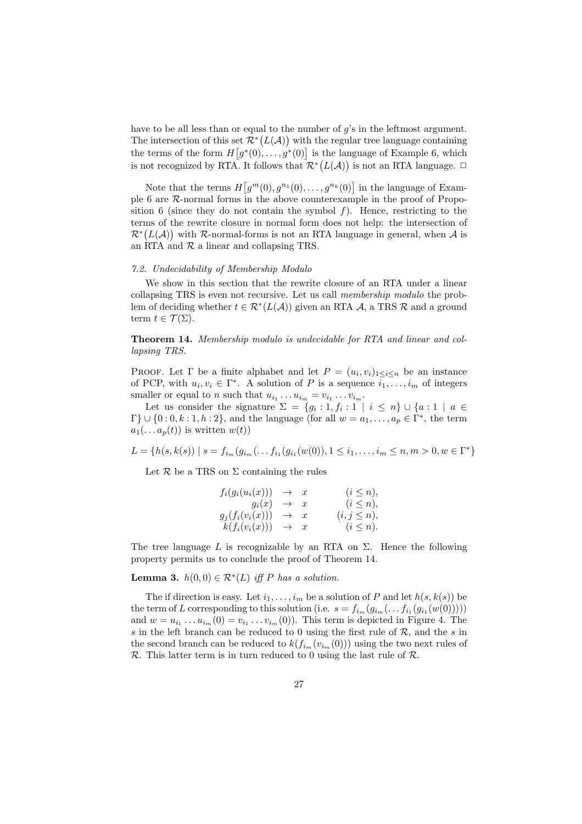have to be all less than or equal to the number of q's in the leftmost argument. The intersection of this set  $\mathcal{R}^*(L(\mathcal{A}))$  with the regular tree language containing the terms of the form  $H[g^*(0),..., g^*(0)]$  is the language of Example 6, which is not recognized by RTA. It follows that  $\mathcal{R}^*(L(\mathcal{A}))$  is not an RTA language.  $\Box$ 

Note that the terms  $H[g^m(0), g^{n_1}(0), \ldots, g^{n_k}(0)]$  in the language of Example 6 are R-normal forms in the above counterexample in the proof of Proposition 6 (since they do not contain the symbol  $f$ ). Hence, restricting to the terms of the rewrite closure in normal form does not help: the intersection of  $\mathcal{R}^*(L(\mathcal{A}))$  with R-normal-forms is not an RTA language in general, when A is an RTA and  $R$  a linear and collapsing TRS.

#### 7.2. Undecidability of Membership Modulo

We show in this section that the rewrite closure of an RTA under a linear collapsing TRS is even not recursive. Let us call membership modulo the problem of deciding whether  $t \in \mathcal{R}^*(L(\mathcal{A}))$  given an RTA  $\mathcal{A}$ , a TRS  $\mathcal{R}$  and a ground term  $t \in \mathcal{T}(\Sigma)$ .

Theorem 14. Membership modulo is undecidable for RTA and linear and collapsing TRS.

PROOF. Let  $\Gamma$  be a finite alphabet and let  $P = (u_i, v_i)_{1 \leq i \leq n}$  be an instance of PCP, with  $u_i, v_i \in \Gamma^*$ . A solution of P is a sequence  $\overline{i_1, \ldots, i_m}$  of integers smaller or equal to *n* such that  $u_{i_1} \ldots u_{i_m} = v_{i_1} \ldots v_{i_m}$ .

Let us consider the signature  $\Sigma = \{g_i : 1, f_i : 1 \mid i \leq n\} \cup \{a : 1 \mid a \in$  $\Gamma$ }  $\cup$  {0:0, k:1, h:2}, and the language (for all  $w = a_1, \ldots, a_p \in \Gamma^*$ , the term  $a_1(\ldots a_p(t))$  is written  $w(t)$ 

 $L = \{h(s, k(s)) \mid s = f_{i_m}(g_{i_m}(\ldots f_{i_1}(g_{i_1}(w(0)), 1 \leq i_1, \ldots, i_m \leq n, m > 0, w \in \Gamma^*)\}$ 

Let  $R$  be a TRS on  $\Sigma$  containing the rules

| $f_i(g_i(u_i(x)))$             | $\rightarrow$ x | $(i \leq n),$    |
|--------------------------------|-----------------|------------------|
| $g_i(x) \rightarrow x$         |                 | $(i \leq n),$    |
| $g_i(f_i(v_i(x)))$             | $\rightarrow$ x | $(i, j \leq n),$ |
| $k(f_i(v_i(x))) \rightarrow x$ |                 | $(i \leq n).$    |

The tree language L is recognizable by an RTA on  $\Sigma$ . Hence the following property permits us to conclude the proof of Theorem 14.

**Lemma 3.**  $h(0,0) \in \mathbb{R}^*(L)$  iff P has a solution.

The if direction is easy. Let  $i_1, \ldots, i_m$  be a solution of P and let  $h(s, k(s))$  be the term of L corresponding to this solution (i.e.  $s = f_{i_m}(g_{i_m}(\ldots f_{i_1}(g_{i_1}(w(0))))$ ) and  $w = u_{i_1} \dots u_{i_m}(0) = v_{i_1} \dots v_{i_m}(0)$ . This term is depicted in Figure 4. The s in the left branch can be reduced to 0 using the first rule of  $\mathcal{R}$ , and the s in the second branch can be reduced to  $k(f_{i_m}(v_{i_m}(0)))$  using the two next rules of  $\mathcal R$ . This latter term is in turn reduced to 0 using the last rule of  $\mathcal R$ .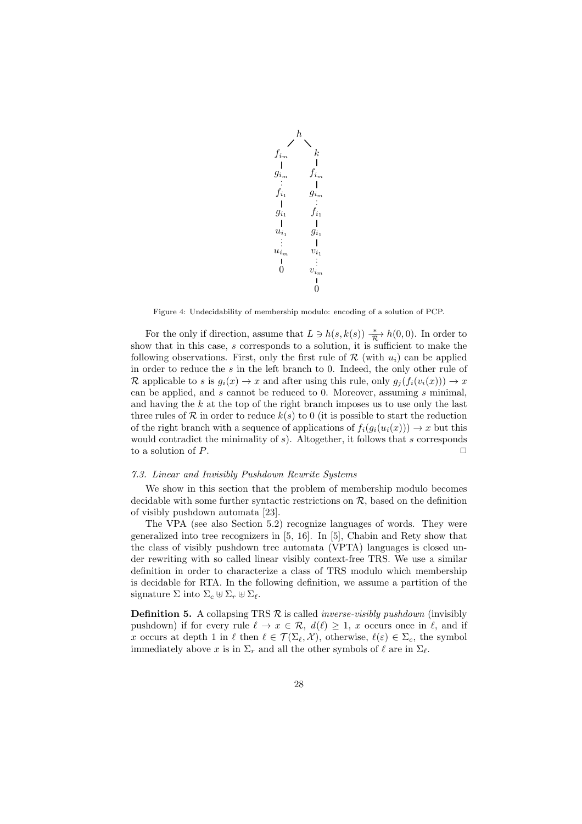$$
\begin{array}{ccccc} & & h & & \\ & & & k & \\ f_{i_m} & & f_{i_m} & \\ g_{i_m} & & f_{i_m} & \\ f_{i_1} & & g_{i_m} & \\ g_{i_1} & & f_{i_1} & \\ u_{i_1} & & g_{i_1} & \\ u_{i_m} & & v_{i_1} & \\ 0 & & & v_{i_m} & \\ 0 & & & & 0 \\ \end{array}
$$

Figure 4: Undecidability of membership modulo: encoding of a solution of PCP.

For the only if direction, assume that  $L \ni h(s, k(s)) \xrightarrow[\mathcal{R}]{} h(0, 0)$ . In order to show that in this case, s corresponds to a solution, it is sufficient to make the following observations. First, only the first rule of  $\mathcal R$  (with  $u_i$ ) can be applied in order to reduce the s in the left branch to 0. Indeed, the only other rule of R applicable to s is  $q_i(x) \to x$  and after using this rule, only  $q_i(f_i(v_i(x))) \to x$ can be applied, and s cannot be reduced to 0. Moreover, assuming s minimal, and having the  $k$  at the top of the right branch imposes us to use only the last three rules of  $R$  in order to reduce  $k(s)$  to 0 (it is possible to start the reduction of the right branch with a sequence of applications of  $f_i(g_i(u_i(x))) \to x$  but this would contradict the minimality of  $s$ ). Altogether, it follows that  $s$  corresponds to a solution of  $P$ .

#### 7.3. Linear and Invisibly Pushdown Rewrite Systems

We show in this section that the problem of membership modulo becomes decidable with some further syntactic restrictions on  $R$ , based on the definition of visibly pushdown automata [23].

The VPA (see also Section 5.2) recognize languages of words. They were generalized into tree recognizers in [5, 16]. In [5], Chabin and Rety show that the class of visibly pushdown tree automata (VPTA) languages is closed under rewriting with so called linear visibly context-free TRS. We use a similar definition in order to characterize a class of TRS modulo which membership is decidable for RTA. In the following definition, we assume a partition of the signature  $\Sigma$  into  $\Sigma_c \uplus \Sigma_r \uplus \Sigma_\ell$ .

**Definition 5.** A collapsing TRS  $\mathcal{R}$  is called *inverse-visibly pushdown* (invisibly pushdown) if for every rule  $\ell \to x \in \mathcal{R}$ ,  $d(\ell) \geq 1$ , x occurs once in  $\ell$ , and if x occurs at depth 1 in  $\ell$  then  $\ell \in \mathcal{T}(\Sigma_{\ell}, \mathcal{X})$ , otherwise,  $\ell(\varepsilon) \in \Sigma_c$ , the symbol immediately above x is in  $\Sigma_r$  and all the other symbols of  $\ell$  are in  $\Sigma_{\ell}$ .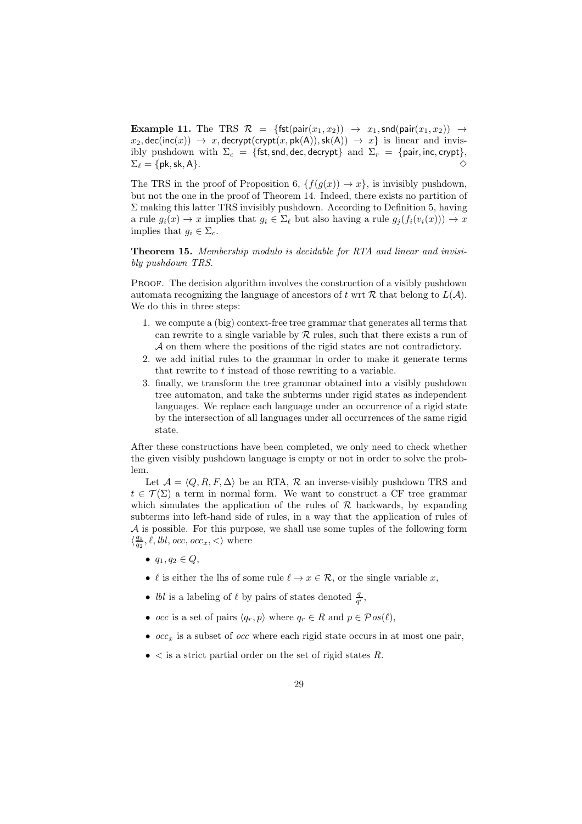**Example 11.** The TRS  $\mathcal{R} = \{ \text{fst}(\text{pair}(x_1, x_2)) \rightarrow x_1, \text{snd}(\text{pair}(x_1, x_2)) \rightarrow x_2, \text{rnd}(x_1, x_2) \}$  $x_2$ , dec(inc(x))  $\rightarrow x$ , decrypt(crypt(x, pk(A)), sk(A))  $\rightarrow x$ } is linear and invisibly pushdown with  $\Sigma_c = \{ \text{fst}, \text{snd}, \text{dec}, \text{decrypt} \}$  and  $\Sigma_r = \{ \text{pair}, \text{inc}, \text{crypt} \},$  $\Sigma_{\ell} = \{\mathsf{pk}, \mathsf{sk}, \mathsf{A}\}.$   $\diamond$ 

The TRS in the proof of Proposition 6,  $\{f(q(x)) \to x\}$ , is invisibly pushdown, but not the one in the proof of Theorem 14. Indeed, there exists no partition of Σ making this latter TRS invisibly pushdown. According to Definition 5, having a rule  $g_i(x) \to x$  implies that  $g_i \in \Sigma_{\ell}$  but also having a rule  $g_i(f_i(v_i(x))) \to x$ implies that  $g_i \in \Sigma_c$ .

Theorem 15. Membership modulo is decidable for RTA and linear and invisibly pushdown TRS.

PROOF. The decision algorithm involves the construction of a visibly pushdown automata recognizing the language of ancestors of t wrt  $R$  that belong to  $L(A)$ . We do this in three steps:

- 1. we compute a (big) context-free tree grammar that generates all terms that can rewrite to a single variable by  $R$  rules, such that there exists a run of A on them where the positions of the rigid states are not contradictory.
- 2. we add initial rules to the grammar in order to make it generate terms that rewrite to t instead of those rewriting to a variable.
- 3. finally, we transform the tree grammar obtained into a visibly pushdown tree automaton, and take the subterms under rigid states as independent languages. We replace each language under an occurrence of a rigid state by the intersection of all languages under all occurrences of the same rigid state.

After these constructions have been completed, we only need to check whether the given visibly pushdown language is empty or not in order to solve the problem.

Let  $\mathcal{A} = \langle Q, R, F, \Delta \rangle$  be an RTA, R an inverse-visibly pushdown TRS and  $t \in \mathcal{T}(\Sigma)$  a term in normal form. We want to construct a CF tree grammar which simulates the application of the rules of  $\mathcal R$  backwards, by expanding subterms into left-hand side of rules, in a way that the application of rules of A is possible. For this purpose, we shall use some tuples of the following form  $\langle \frac{q_1}{q_2}, \ell, \textit{lbl}, \textit{occ}, \textit{occ}_x, \lt \rangle$  where

- $q_1, q_2 \in Q$ ,
- $\ell$  is either the lhs of some rule  $\ell \to x \in \mathcal{R}$ , or the single variable x,
- *lbl* is a labeling of  $\ell$  by pairs of states denoted  $\frac{q}{q'}$ ,
- occ is a set of pairs  $\langle q_r, p \rangle$  where  $q_r \in R$  and  $p \in \mathcal{P}os(\ell)$ ,
- $occ_x$  is a subset of *occ* where each rigid state occurs in at most one pair,
- $\bullet$  < is a strict partial order on the set of rigid states R.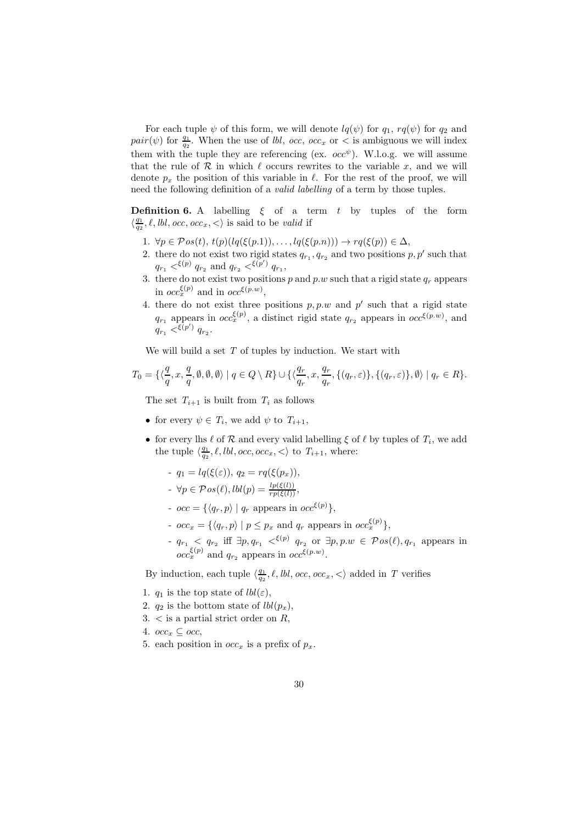For each tuple  $\psi$  of this form, we will denote  $lq(\psi)$  for  $q_1$ ,  $rq(\psi)$  for  $q_2$  and pair( $\psi$ ) for  $\frac{q_1}{q_2}$ . When the use of *lbl*, occ, occ<sub>x</sub> or < is ambiguous we will index them with the tuple they are referencing (ex.  $occ^{\psi}$ ). W.l.o.g. we will assume that the rule of  $R$  in which  $\ell$  occurs rewrites to the variable x, and we will denote  $p_x$  the position of this variable in  $\ell$ . For the rest of the proof, we will need the following definition of a valid labelling of a term by those tuples.

**Definition 6.** A labelling  $\xi$  of a term  $t$  by tuples of the form  $\langle \frac{q_1}{q_2}, \ell, \textit{lbl}, \textit{occ}, \textit{occ}_x, \lt \rangle$  is said to be valid if

- 1.  $\forall p \in \mathcal{P}os(t), t(p)(lq(\xi(p.1)), \ldots, lq(\xi(p.n))) \rightarrow rq(\xi(p)) \in \Delta,$
- 2. there do not exist two rigid states  $q_{r_1}, q_{r_2}$  and two positions  $p, p'$  such that  $q_{r_1} \lessdot^{\xi(p)} q_{r_2}$  and  $q_{r_2} \lessdot^{\xi(p')} q_{r_1}$ ,
- 3. there do not exist two positions p and p.w such that a rigid state  $q_r$  appears in  $occ_{x}^{\xi(p)}$  and in  $occ^{\xi(p,w)}$ ,
- 4. there do not exist three positions  $p, p.w$  and  $p'$  such that a rigid state  $q_{r_1}$  appears in  $occ_{x}^{\xi(p)}$ , a distinct rigid state  $q_{r_2}$  appears in  $occ^{\xi(p,w)}$ , and  $q_{r_1} <^{\xi(p')} q_{r_2}.$

We will build a set  $T$  of tuples by induction. We start with

$$
T_0=\{\langle \frac{q}{q},x,\frac{q}{q},\emptyset,\emptyset,\emptyset\rangle\mid q\in Q\setminus R\}\cup \{\langle \frac{q_r}{q_r},x,\frac{q_r}{q_r},\{(q_r,\varepsilon)\},\{(q_r,\varepsilon)\},\emptyset\rangle\mid q_r\in R\}.
$$

The set  $T_{i+1}$  is built from  $T_i$  as follows

- for every  $\psi \in T_i$ , we add  $\psi$  to  $T_{i+1}$ ,
- for every lhs  $\ell$  of  $\mathcal R$  and every valid labelling  $\xi$  of  $\ell$  by tuples of  $T_i$ , we add the tuple  $\langle \frac{q_1}{q_2}, \ell, \text{lbl}, \text{occ}, \text{occ}_x, \lt\rangle$  to  $T_{i+1}$ , where:
	- $q_1 = lq(\xi(\varepsilon)), q_2 = rq(\xi(p_x)),$
	- $\forall p \in \mathcal{P}os(\ell), lbl(p) = \frac{lp(\xi(l))}{rp(\xi(l))},$
	- $occ = \{ \langle q_r, p \rangle \mid q_r \text{ appears in } occ^{\xi(p)} \},$
	- $occ_x = \{ \langle q_r, p \rangle \mid p \leq p_x \text{ and } q_r \text{ appears in } occ_x^{\xi(p)} \},$
	- $q_{r_1}$   $\langle q_{r_2}$  iff  $\exists p, q_{r_1}$   $\langle \xi^{(p)} | q_{r_2}$  or  $\exists p, p.w \in \mathcal{P}os(\ell), q_{r_1}$  appears in  $occ_{x}^{\xi(p)}$  and  $q_{r_2}$  appears in  $occ^{\xi(p,w)}$ .

By induction, each tuple  $\langle \frac{q_1}{q_2}, \ell, \textit{lbl}, \textit{occ}, \textit{occ}_x, \lt \rangle$  added in T verifies

- 1.  $q_1$  is the top state of  $lbl(\varepsilon)$ ,
- 2.  $q_2$  is the bottom state of  $lbl(p_x)$ ,
- $3. <$  is a partial strict order on R,
- 4.  $occ_x \subseteq occ$
- 5. each position in  $occ_x$  is a prefix of  $p_x$ .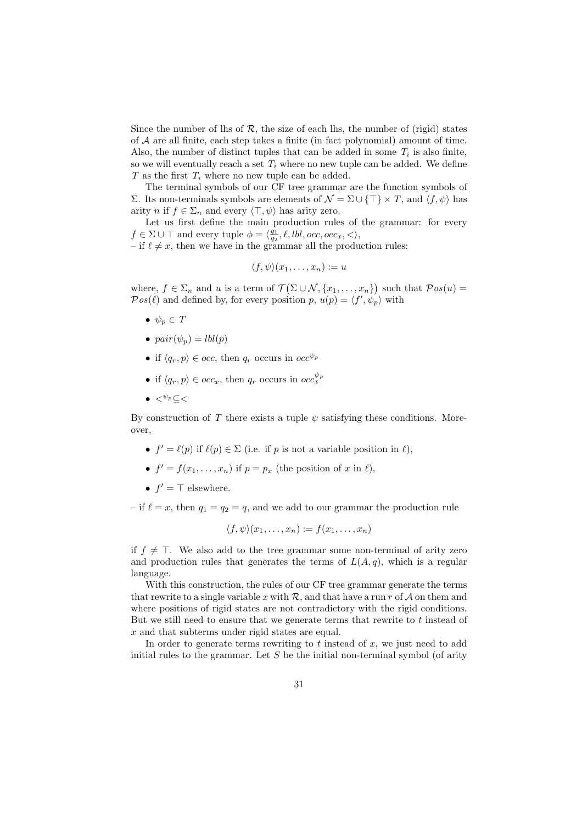Since the number of lhs of  $\mathcal R$ , the size of each lhs, the number of (rigid) states of A are all finite, each step takes a finite (in fact polynomial) amount of time. Also, the number of distinct tuples that can be added in some  $T_i$  is also finite, so we will eventually reach a set  $T_i$  where no new tuple can be added. We define  $T$  as the first  $T_i$  where no new tuple can be added.

The terminal symbols of our CF tree grammar are the function symbols of Σ. Its non-terminals symbols are elements of  $\mathcal{N} = \Sigma \cup \{\top\} \times T$ , and  $\langle f, \psi \rangle$  has arity *n* if  $f \in \Sigma_n$  and every  $\langle \top, \psi \rangle$  has arity zero.

Let us first define the main production rules of the grammar: for every  $f \in \Sigma \cup \top$  and every tuple  $\phi = \langle \frac{q_1}{q_2}, \ell, \textit{lbl}, \textit{occ}, \textit{occ}_x, \lt\rangle$ ,

– if  $\ell \neq x$ , then we have in the grammar all the production rules:

$$
\langle f, \psi \rangle (x_1, \dots, x_n) := u
$$

where,  $f \in \Sigma_n$  and u is a term of  $\mathcal{T}(\Sigma \cup \mathcal{N}, \{x_1, \ldots, x_n\})$  such that  $\mathcal{P}os(u)$  =  $Pos(\ell)$  and defined by, for every position p,  $u(p) = \langle f', \psi_p \rangle$  with

- $\bullet \ \psi_p \in T$
- $pair(\psi_p) = lbl(p)$
- if  $\langle q_r, p \rangle \in occ$ , then  $q_r$  occurs in  $occ^{\psi_p}$
- if  $\langle q_r, p \rangle \in occ_x$ , then  $q_r$  occurs in  $occ_x^{\psi_p}$
- $\bullet \lt^{ \psi_p} \lt \lt$

By construction of T there exists a tuple  $\psi$  satisfying these conditions. Moreover,

- $f' = \ell(p)$  if  $\ell(p) \in \Sigma$  (i.e. if p is not a variable position in  $\ell$ ),
- $f' = f(x_1, \ldots, x_n)$  if  $p = p_x$  (the position of x in  $\ell$ ),
- $f' = \top$  elsewhere.

– if  $\ell = x$ , then  $q_1 = q_2 = q$ , and we add to our grammar the production rule

$$
\langle f, \psi \rangle (x_1, \ldots, x_n) := f(x_1, \ldots, x_n)
$$

if  $f \neq$  ⊤. We also add to the tree grammar some non-terminal of arity zero and production rules that generates the terms of  $L(A, q)$ , which is a regular language.

With this construction, the rules of our CF tree grammar generate the terms that rewrite to a single variable x with  $\mathcal{R}$ , and that have a run r of  $\mathcal{A}$  on them and where positions of rigid states are not contradictory with the rigid conditions. But we still need to ensure that we generate terms that rewrite to t instead of x and that subterms under rigid states are equal.

In order to generate terms rewriting to  $t$  instead of  $x$ , we just need to add initial rules to the grammar. Let  $S$  be the initial non-terminal symbol (of arity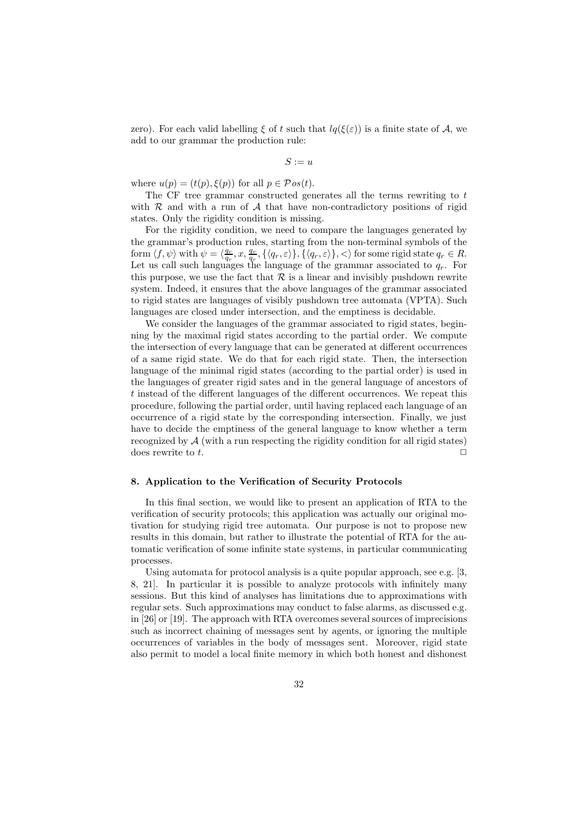zero). For each valid labelling  $\xi$  of t such that  $lq(\xi(\varepsilon))$  is a finite state of A, we add to our grammar the production rule:

 $S := u$ 

where  $u(p) = (t(p), \xi(p))$  for all  $p \in \mathcal{P}os(t)$ .

The CF tree grammar constructed generates all the terms rewriting to t with  $R$  and with a run of  $A$  that have non-contradictory positions of rigid states. Only the rigidity condition is missing.

For the rigidity condition, we need to compare the languages generated by the grammar's production rules, starting from the non-terminal symbols of the form  $\langle f, \psi \rangle$  with  $\psi = \langle \frac{q_r}{q_r}, x, \frac{q_r}{q_r}, \{\langle q_r, \varepsilon \rangle\}, \{\langle q_r, \varepsilon \rangle\}, \langle \rangle$  for some rigid state  $q_r \in R$ . Let us call such languages the language of the grammar associated to  $q_r$ . For this purpose, we use the fact that  $\mathcal R$  is a linear and invisibly pushdown rewrite system. Indeed, it ensures that the above languages of the grammar associated to rigid states are languages of visibly pushdown tree automata (VPTA). Such languages are closed under intersection, and the emptiness is decidable.

We consider the languages of the grammar associated to rigid states, beginning by the maximal rigid states according to the partial order. We compute the intersection of every language that can be generated at different occurrences of a same rigid state. We do that for each rigid state. Then, the intersection language of the minimal rigid states (according to the partial order) is used in the languages of greater rigid sates and in the general language of ancestors of t instead of the different languages of the different occurrences. We repeat this procedure, following the partial order, until having replaced each language of an occurrence of a rigid state by the corresponding intersection. Finally, we just have to decide the emptiness of the general language to know whether a term recognized by  $A$  (with a run respecting the rigidity condition for all rigid states) does rewrite to t.  $\Box$ 

#### 8. Application to the Verification of Security Protocols

In this final section, we would like to present an application of RTA to the verification of security protocols; this application was actually our original motivation for studying rigid tree automata. Our purpose is not to propose new results in this domain, but rather to illustrate the potential of RTA for the automatic verification of some infinite state systems, in particular communicating processes.

Using automata for protocol analysis is a quite popular approach, see e.g. [3, 8, 21]. In particular it is possible to analyze protocols with infinitely many sessions. But this kind of analyses has limitations due to approximations with regular sets. Such approximations may conduct to false alarms, as discussed e.g. in [26] or [19]. The approach with RTA overcomes several sources of imprecisions such as incorrect chaining of messages sent by agents, or ignoring the multiple occurrences of variables in the body of messages sent. Moreover, rigid state also permit to model a local finite memory in which both honest and dishonest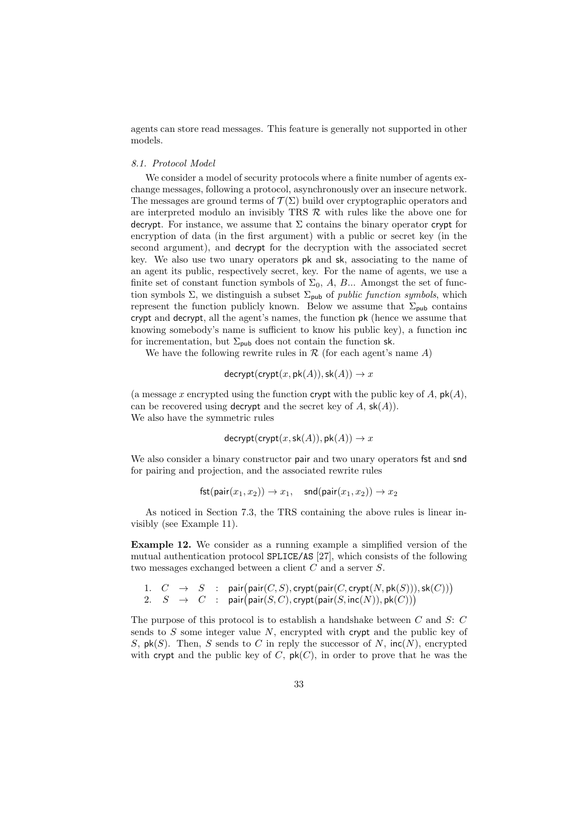agents can store read messages. This feature is generally not supported in other models.

#### 8.1. Protocol Model

We consider a model of security protocols where a finite number of agents exchange messages, following a protocol, asynchronously over an insecure network. The messages are ground terms of  $\mathcal{T}(\Sigma)$  build over cryptographic operators and are interpreted modulo an invisibly TRS  $R$  with rules like the above one for decrypt. For instance, we assume that  $\Sigma$  contains the binary operator crypt for encryption of data (in the first argument) with a public or secret key (in the second argument), and decrypt for the decryption with the associated secret key. We also use two unary operators pk and sk, associating to the name of an agent its public, respectively secret, key. For the name of agents, we use a finite set of constant function symbols of  $\Sigma_0$ , A, B... Amongst the set of function symbols  $\Sigma$ , we distinguish a subset  $\Sigma_{\text{pub}}$  of *public function symbols*, which represent the function publicly known. Below we assume that  $\Sigma_{\text{pub}}$  contains crypt and decrypt, all the agent's names, the function pk (hence we assume that knowing somebody's name is sufficient to know his public key), a function inc for incrementation, but  $\Sigma_{\text{pub}}$  does not contain the function sk.

We have the following rewrite rules in  $\mathcal R$  (for each agent's name A)

$$
decrypt(crypt(x, pk(A)), sk(A)) \rightarrow x
$$

(a message x encrypted using the function crypt with the public key of A,  $pk(A)$ , can be recovered using **decrypt** and the secret key of A,  $\mathsf{sk}(A)$ ). We also have the symmetric rules

$$
decrypt(crypt(x, sk(A)), pk(A)) \rightarrow x
$$

We also consider a binary constructor pair and two unary operators fst and snd for pairing and projection, and the associated rewrite rules

$$
\mathsf{fst}(\mathsf{pair}(x_1,x_2)) \to x_1, \quad \mathsf{snd}(\mathsf{pair}(x_1,x_2)) \to x_2
$$

As noticed in Section 7.3, the TRS containing the above rules is linear invisibly (see Example 11).

Example 12. We consider as a running example a simplified version of the mutual authentication protocol SPLICE/AS [27], which consists of the following two messages exchanged between a client C and a server S.

1. 
$$
C \rightarrow S
$$
 : pair(pair(C, S), crypt(pair(C, crypt(N, pk(S))), sk(C)))  
2.  $S \rightarrow C$  : pair(pair(S, C), crypt(pair(S, inc(N)), pk(C)))

The purpose of this protocol is to establish a handshake between C and S: C sends to  $S$  some integer value  $N$ , encrypted with crypt and the public key of S,  $\mathsf{pk}(S)$ . Then, S sends to C in reply the successor of N,  $\mathsf{inc}(N)$ , encrypted with crypt and the public key of C,  $pk(C)$ , in order to prove that he was the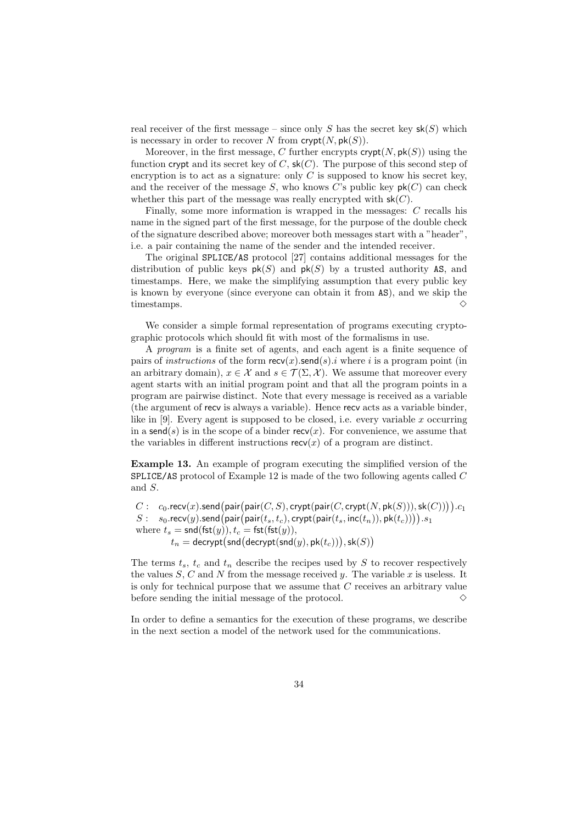real receiver of the first message – since only S has the secret key  $\mathsf{sk}(S)$  which is necessary in order to recover N from  $\text{crypt}(N, \text{pk}(S)).$ 

Moreover, in the first message, C further encrypts  $\text{crypt}(N, \text{pk}(S))$  using the function crypt and its secret key of C,  $sk(C)$ . The purpose of this second step of encryption is to act as a signature: only  $C$  is supposed to know his secret key, and the receiver of the message  $S$ , who knows  $C$ 's public key  $\mathsf{pk}(C)$  can check whether this part of the message was really encrypted with  $sk(C)$ .

Finally, some more information is wrapped in the messages: C recalls his name in the signed part of the first message, for the purpose of the double check of the signature described above; moreover both messages start with a "header", i.e. a pair containing the name of the sender and the intended receiver.

The original SPLICE/AS protocol [27] contains additional messages for the distribution of public keys  $pk(S)$  and  $pk(S)$  by a trusted authority AS, and timestamps. Here, we make the simplifying assumption that every public key is known by everyone (since everyone can obtain it from AS), and we skip the timestamps.  $\Diamond$ 

We consider a simple formal representation of programs executing cryptographic protocols which should fit with most of the formalisms in use.

A program is a finite set of agents, and each agent is a finite sequence of pairs of *instructions* of the form  $\text{recv}(x)$ .send(s).*i* where *i* is a program point (in an arbitrary domain),  $x \in \mathcal{X}$  and  $s \in \mathcal{T}(\Sigma, \mathcal{X})$ . We assume that moreover every agent starts with an initial program point and that all the program points in a program are pairwise distinct. Note that every message is received as a variable (the argument of recv is always a variable). Hence recv acts as a variable binder, like in  $[9]$ . Every agent is supposed to be closed, i.e. every variable x occurring in a send(s) is in the scope of a binder recv(x). For convenience, we assume that the variables in different instructions  $\operatorname{recv}(x)$  of a program are distinct.

Example 13. An example of program executing the simplified version of the SPLICE/AS protocol of Example 12 is made of the two following agents called C and S.

$$
\begin{array}{rl} C:& c_0.\mathsf{recv}(x).\mathsf{send}\big(\mathsf{pair}\big(\mathsf{pair}(C,S),\mathsf{crypt}\big(\mathsf{pair}(C,\mathsf{crypt}(N,\mathsf{pk}(S))),\mathsf{sk}(C))\big)).c_1\\ S:& s_0.\mathsf{recv}(y).\mathsf{send}\big(\mathsf{pair}\big(\mathsf{pair}(t_s,t_c),\mathsf{crypt}\big(\mathsf{pair}(t_s,\mathsf{inc}(t_n)),\mathsf{pk}(t_c))\big)).s_1\\ \text{where} \; t_s = \mathsf{snd}(\mathsf{fst}(y)), t_c = \mathsf{fst}(\mathsf{fst}(y)),\\ & t_n = \mathsf{decrypt}\big(\mathsf{snd}\big(\mathsf{decrypt}(\mathsf{snd}(y),\mathsf{pk}(t_c))\big),\mathsf{sk}(S)\big) \end{array}
$$

The terms  $t_s$ ,  $t_c$  and  $t_n$  describe the recipes used by S to recover respectively the values S, C and N from the message received  $y$ . The variable x is useless. It is only for technical purpose that we assume that C receives an arbitrary value before sending the initial message of the protocol.  $\Diamond$ 

In order to define a semantics for the execution of these programs, we describe in the next section a model of the network used for the communications.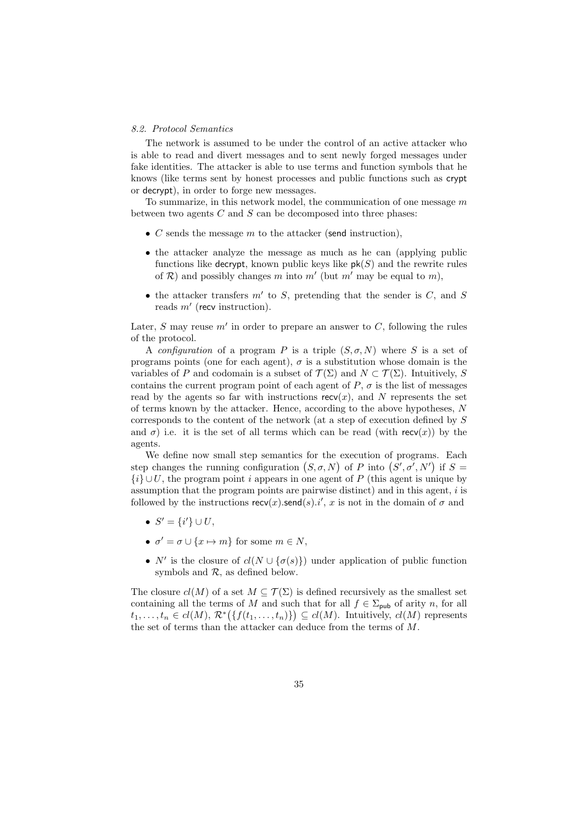#### 8.2. Protocol Semantics

The network is assumed to be under the control of an active attacker who is able to read and divert messages and to sent newly forged messages under fake identities. The attacker is able to use terms and function symbols that he knows (like terms sent by honest processes and public functions such as crypt or decrypt), in order to forge new messages.

To summarize, in this network model, the communication of one message  $m$ between two agents  $C$  and  $S$  can be decomposed into three phases:

- $C$  sends the message  $m$  to the attacker (send instruction),
- the attacker analyze the message as much as he can (applying public functions like decrypt, known public keys like  $pk(S)$  and the rewrite rules of  $R$ ) and possibly changes m into m' (but m' may be equal to m),
- the attacker transfers  $m'$  to  $S$ , pretending that the sender is  $C$ , and  $S$ reads m′ (recv instruction).

Later,  $S$  may reuse  $m'$  in order to prepare an answer to  $C$ , following the rules of the protocol.

A configuration of a program P is a triple  $(S, \sigma, N)$  where S is a set of programs points (one for each agent),  $\sigma$  is a substitution whose domain is the variables of P and codomain is a subset of  $\mathcal{T}(\Sigma)$  and  $N \subset \mathcal{T}(\Sigma)$ . Intuitively, S contains the current program point of each agent of  $P$ ,  $\sigma$  is the list of messages read by the agents so far with instructions  $rev(x)$ , and N represents the set of terms known by the attacker. Hence, according to the above hypotheses, N corresponds to the content of the network (at a step of execution defined by S and  $\sigma$ ) i.e. it is the set of all terms which can be read (with recv(x)) by the agents.

We define now small step semantics for the execution of programs. Each step changes the running configuration  $(S, \sigma, N)$  of P into  $(S', \sigma', N')$  if  $S =$  ${i} \cup U$ , the program point i appears in one agent of P (this agent is unique by assumption that the program points are pairwise distinct) and in this agent, i is followed by the instructions  $\mathsf{recv}(x)$ .send $(s)$ .i', x is not in the domain of  $\sigma$  and

- $S' = \{i'\} \cup U,$
- $\sigma' = \sigma \cup \{x \mapsto m\}$  for some  $m \in N$ ,
- N' is the closure of  $cl(N \cup \{\sigma(s)\})$  under application of public function symbols and  $R$ , as defined below.

The closure  $cl(M)$  of a set  $M \subseteq \mathcal{T}(\Sigma)$  is defined recursively as the smallest set containing all the terms of M and such that for all  $f \in \Sigma_{\text{pub}}$  of arity n, for all  $t_1, \ldots, t_n \in cl(M), \mathcal{R}^*\big(\{f(t_1, \ldots, t_n)\}\big) \subseteq cl(M)$ . Intuitively,  $cl(M)$  represents the set of terms than the attacker can deduce from the terms of M.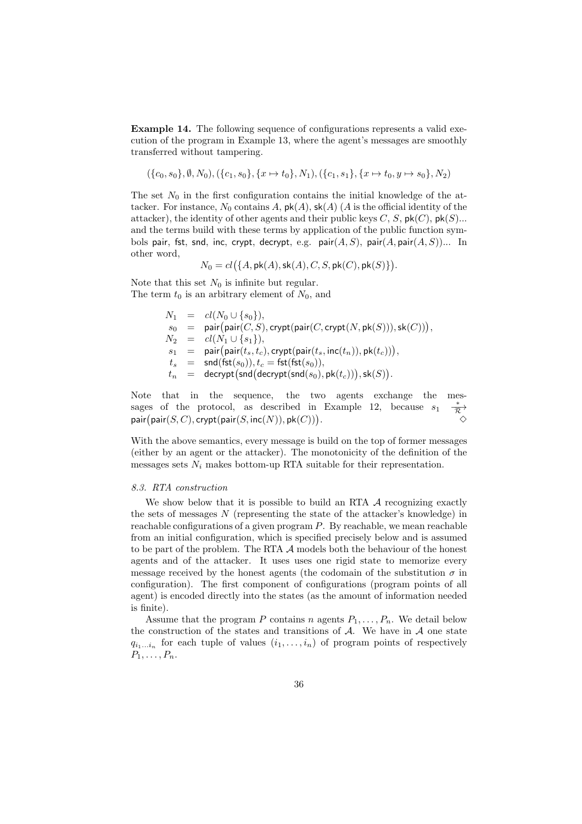Example 14. The following sequence of configurations represents a valid execution of the program in Example 13, where the agent's messages are smoothly transferred without tampering.

 $({c_0, s_0}, \emptyset, N_0), ({c_1, s_0}, {x \mapsto t_0}, N_1), ({c_1, s_1}, {x \mapsto t_0}, y \mapsto s_0}, N_2)$ 

The set  $N_0$  in the first configuration contains the initial knowledge of the attacker. For instance,  $N_0$  contains A,  $\mathsf{pk}(A)$ ,  $\mathsf{sk}(A)$  (A is the official identity of the attacker), the identity of other agents and their public keys  $C, S$ ,  $\mathsf{pk}(C)$ ,  $\mathsf{pk}(S)$ ... and the terms build with these terms by application of the public function symbols pair, fst, snd, inc, crypt, decrypt, e.g.  $pair(A, S)$ , pair $(A, pair(A, S))$ ... In other word,

$$
N_0=cl\big(\{A, {\sf pk}(A), {\sf sk}(A), C, S, {\sf pk}(C), {\sf pk}(S)\}\big).
$$

Note that this set  $N_0$  is infinite but regular. The term  $t_0$  is an arbitrary element of  $N_0$ , and

> $N_1 = cl(N_0 \cup \{s_0\}),$  $s_0$  = pair $\big(\mathsf{pair}(C,S), \mathsf{crypt}(\mathsf{pair}(C,\mathsf{crypt}(N,\mathsf{pk}(S))), \mathsf{sk}(C))\big),$  $N_2 = cl(N_1 \cup \{s_1\}),$  $s_1 =$  $\mathsf{pair}(t_s, t_c), \mathsf{crypt}(\mathsf{pair}(t_s, \mathsf{inc}(t_n)), \mathsf{pk}(t_c))),$  $t_s \quad = \quad \mathsf{snd}(\mathsf{fst}(s_0)), t_c = \mathsf{fst}(\mathsf{fst}(s_0)),$  $t_n \hspace{2mm} = \hspace{2mm} \mathsf{decrypt}\big(\mathsf{snd}\big(\mathsf{decrypt}(\mathsf{snd}(s_0), \mathsf{pk}(t_c))\big), \mathsf{sk}(S)\big).$

Note that in the sequence, the two agents exchange the messages of the protocol, as described in Example 12, because  $s_1$  $\stackrel{*}{\overrightarrow{\mathcal{R}}} \diamond$  $\mathsf{pair}(\mathsf{pair}(S,C),\mathsf{crypt}(\mathsf{pair}(S,\mathsf{inc}(N)),\mathsf{pk}(C)))$ .  $\sim$ 

With the above semantics, every message is build on the top of former messages (either by an agent or the attacker). The monotonicity of the definition of the messages sets  $N_i$  makes bottom-up RTA suitable for their representation.

#### 8.3. RTA construction

We show below that it is possible to build an RTA  $\mathcal A$  recognizing exactly the sets of messages  $N$  (representing the state of the attacker's knowledge) in reachable configurations of a given program  $P$ . By reachable, we mean reachable from an initial configuration, which is specified precisely below and is assumed to be part of the problem. The RTA A models both the behaviour of the honest agents and of the attacker. It uses uses one rigid state to memorize every message received by the honest agents (the codomain of the substitution  $\sigma$  in configuration). The first component of configurations (program points of all agent) is encoded directly into the states (as the amount of information needed is finite).

Assume that the program P contains n agents  $P_1, \ldots, P_n$ . We detail below the construction of the states and transitions of  $A$ . We have in  $A$  one state  $q_{i_1...i_n}$  for each tuple of values  $(i_1,...,i_n)$  of program points of respectively  $P_1, \ldots, P_n$ .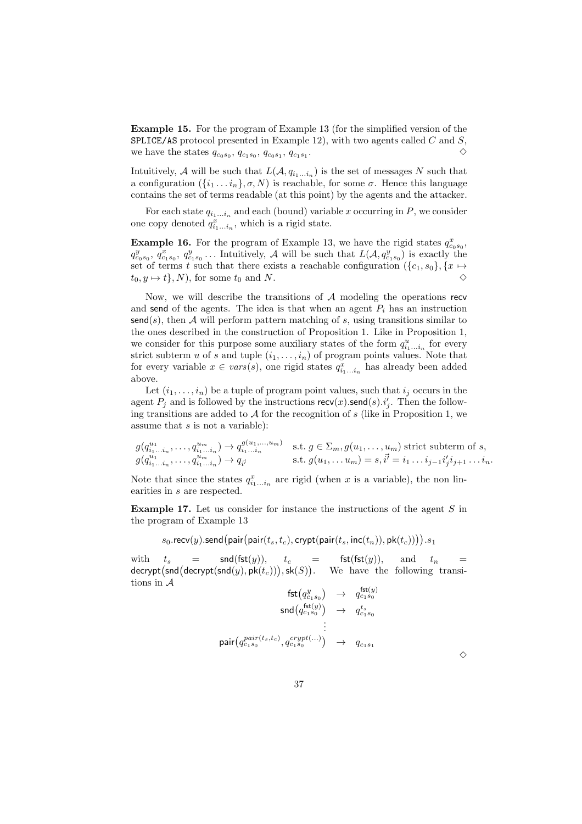Example 15. For the program of Example 13 (for the simplified version of the SPLICE/AS protocol presented in Example 12), with two agents called  $C$  and  $S$ , we have the states  $q_{c_0s_0}, q_{c_1s_0}, q_{c_0s_1}, q_{c_1s_1}$ .  $\Diamond$ 

Intuitively, A will be such that  $L(A, q_{i_1...i_n})$  is the set of messages N such that a configuration  $({i_1 \dots i_n}, \sigma, N)$  is reachable, for some  $\sigma$ . Hence this language contains the set of terms readable (at this point) by the agents and the attacker.

For each state  $q_{i_1...i_n}$  and each (bound) variable x occurring in P, we consider one copy denoted  $q_{i_1...i_n}^x$ , which is a rigid state.

**Example 16.** For the program of Example 13, we have the rigid states  $q_{c_0s_0}^x$ ,  $q_{c_0s_0}^y, q_{c_1s_0}^x, q_{c_1s_0}^y \dots$  Intuitively, A will be such that  $L(\mathcal{A}, q_{c_1s_0}^y)$  is exactly the set of terms t such that there exists a reachable configuration  $({c_1, s_0}, {x \mapsto}$  $t_0, y \mapsto t$ , N), for some  $t_0$  and N.

Now, we will describe the transitions of  $A$  modeling the operations recv and send of the agents. The idea is that when an agent  $P_i$  has an instruction  $\mathsf{send}(s)$ , then A will perform pattern matching of s, using transitions similar to the ones described in the construction of Proposition 1. Like in Proposition 1, we consider for this purpose some auxiliary states of the form  $q_{i_1...i_n}^u$  for every strict subterm u of s and tuple  $(i_1, \ldots, i_n)$  of program points values. Note that for every variable  $x \in vars(s)$ , one rigid states  $q_{i_1...i_n}^x$  has already been added above.

Let  $(i_1, \ldots, i_n)$  be a tuple of program point values, such that  $i_j$  occurs in the agent  $P_j$  and is followed by the instructions  $\operatorname{recv}(x)$ . send $(s)$ .i'<sub>j</sub>. Then the following transitions are added to  $A$  for the recognition of s (like in Proposition 1, we assume that  $s$  is not a variable):

$$
g(q_{i_1...i_n}^{u_1}, \ldots, q_{i_1...i_n}^{u_m}) \to q_{i_1...i_n}^{g(u_1,...,u_m)}
$$
 s.t.  $g \in \Sigma_m$ ,  $g(u_1, \ldots, u_m)$  strict subterm of  $s$ ,  
\n
$$
g(q_{i_1...i_n}^{u_1}, \ldots, q_{i_1...i_n}^{u_m}) \to q_{\vec{i}}
$$
 s.t.  $g(u_1, \ldots, u_m) = s, \vec{i}' = i_1 \ldots i_{j-1} i'_j i_{j+1} \ldots i_n$ .

Note that since the states  $q_{i_1...i_n}^x$  are rigid (when x is a variable), the non linearities in s are respected.

**Example 17.** Let us consider for instance the instructions of the agent  $S$  in the program of Example 13

$$
s_0.\mathsf{recv}(y).\mathsf{send}\big(\mathsf{pair}\big(\mathsf{pair}(t_s, t_c), \mathsf{crypt}\big(\mathsf{pair}(t_s, \mathsf{inc}(t_n)), \mathsf{pk}(t_c)\big)\big)).s_1
$$

with  $t_s =$  snd(fst(y)),  $t_c =$  fst(fst(y)), and  $t_n =$  $\mathsf{decrypt}(\mathsf{snd}(\mathsf{decrypt}(\mathsf{snd}(y), \mathsf{pk}(t_c))), \mathsf{sk}(S))$ . We have the following transitions in A  $\mathcal{L}$ 

$$
\begin{array}{ccc}\n\mathsf{fst}\big(q^y_{c_1s_0}\big)&\to&q^{ \mathsf{tst}(y)}_{c_1s_0} \\
\mathsf{snd}\big(q^{ \mathsf{fst}(y)}_{c_1s_0}\big)&\to&q^{ t_s}_{c_1s_0} \\
&\vdots&&\\ \mathsf{pair}\big(q^{pair}_{c_1s_0}(t_s,t_c),q^{crypt(\ldots)}_{c_1s_0}\big)&\to&q_{c_1s_1}\n\end{array}
$$

| I<br>I<br>I<br>I<br>I<br>I           |
|--------------------------------------|
| I<br>I<br>٦<br>I<br>I<br>I<br>٦<br>I |
|                                      |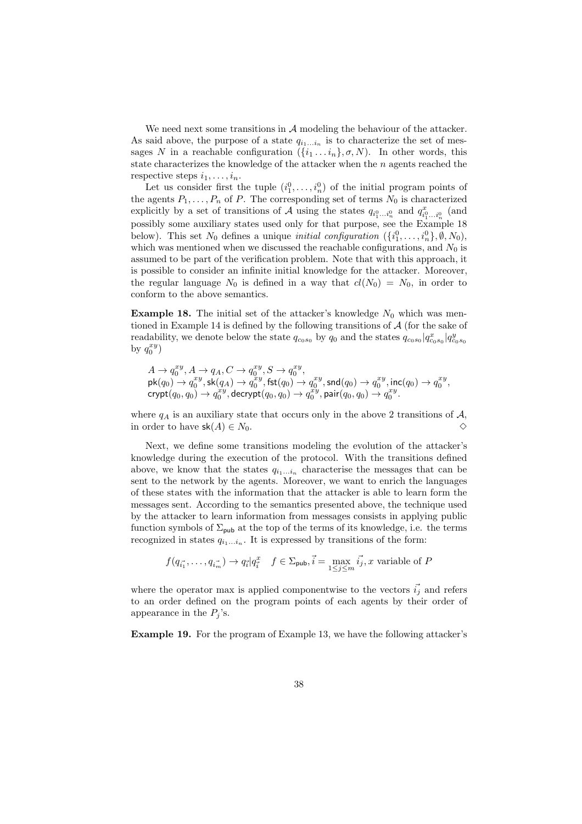We need next some transitions in  $A$  modeling the behaviour of the attacker. As said above, the purpose of a state  $q_{i_1...i_n}$  is to characterize the set of messages N in a reachable configuration  $({i_1 \dots i_n}, \sigma, N)$ . In other words, this state characterizes the knowledge of the attacker when the n agents reached the respective steps  $i_1, \ldots, i_n$ .

Let us consider first the tuple  $(i_1^0, \ldots, i_n^0)$  of the initial program points of the agents  $P_1, \ldots, P_n$  of P. The corresponding set of terms  $N_0$  is characterized explicitly by a set of transitions of A using the states  $q_{i_1^0...i_n^0}$  and  $q_{i_1^0...i_n^0}^x$  (and possibly some auxiliary states used only for that purpose, see the Example 18 below). This set  $N_0$  defines a unique *initial configuration*  $({i_1^0, \ldots, i_n^0}, \emptyset, N_0)$ , which was mentioned when we discussed the reachable configurations, and  $N_0$  is assumed to be part of the verification problem. Note that with this approach, it is possible to consider an infinite initial knowledge for the attacker. Moreover, the regular language  $N_0$  is defined in a way that  $cl(N_0) = N_0$ , in order to conform to the above semantics.

**Example 18.** The initial set of the attacker's knowledge  $N_0$  which was mentioned in Example 14 is defined by the following transitions of  $A$  (for the sake of readability, we denote below the state  $q_{c_0s_0}$  by  $q_0$  and the states  $q_{c_0s_0}|q^x_{c_0s_0}|q^y_{c_0s_0}$ by  $q_0^{xy}$ )

 $A \to q_0^{xy}, A \to q_A, C \to q_0^{xy}, S \to q_0^{xy},$  $\mathsf{pk}(q_0) \to q_0^{xy}, \mathsf{sk}(q_A) \to \widetilde{q_0^{xy}}, \mathsf{fst}(q_0) \to q_0^{xy}, \mathsf{snd}(q_0) \to q_0^{xy}, \mathsf{inc}(q_0) \to q_0^{xy},$  $\mathrm{crypt}(q_0,q_0) \to q_0^{xy}, \mathrm{decrypt}(q_0,q_0) \to q_0^{xy}, \mathrm{pair}(q_0,q_0) \to q_0^{xy}.$ 

where  $q_A$  is an auxiliary state that occurs only in the above 2 transitions of  $A$ , in order to have  $\mathsf{sk}(A) \in N_0$ .

Next, we define some transitions modeling the evolution of the attacker's knowledge during the execution of the protocol. With the transitions defined above, we know that the states  $q_{i_1...i_n}$  characterise the messages that can be sent to the network by the agents. Moreover, we want to enrich the languages of these states with the information that the attacker is able to learn form the messages sent. According to the semantics presented above, the technique used by the attacker to learn information from messages consists in applying public function symbols of  $\Sigma_{\text{pub}}$  at the top of the terms of its knowledge, i.e. the terms recognized in states  $q_{i_1...i_n}$ . It is expressed by transitions of the form:

$$
f(q_{\vec{i_1}},\ldots,q_{\vec{i_m}}) \to q_{\vec{i}} | q_{\vec{i}}^x \quad f \in \Sigma_{\text{pub}}, \vec{i} = \max_{1 \leq j \leq m} \vec{i_j}, x \text{ variable of } P
$$

where the operator max is applied componentwise to the vectors  $\vec{i}_j$  and refers to an order defined on the program points of each agents by their order of appearance in the  $P_j$ 's.

Example 19. For the program of Example 13, we have the following attacker's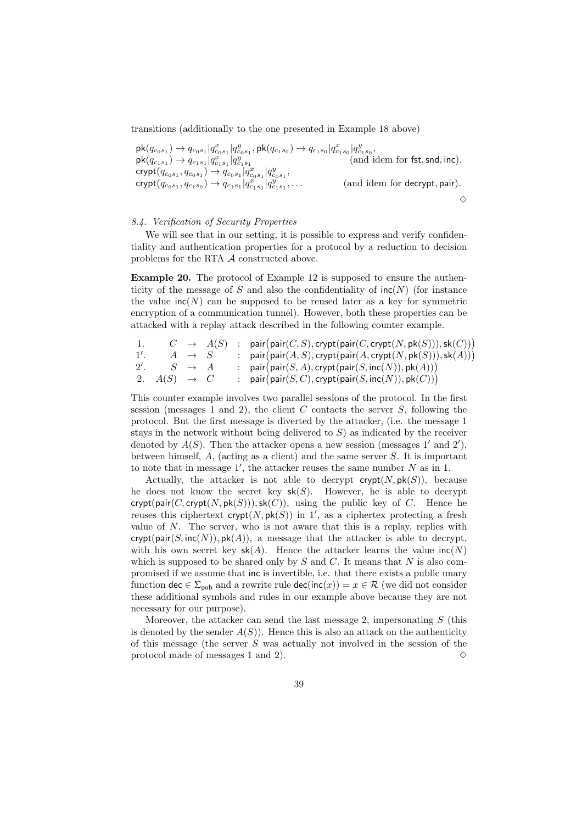transitions (additionally to the one presented in Example 18 above)

 $\mathsf{pk}(q_{c_0s_1}) \to q_{c_0s_1}|q^x_{c_0s_1}|q^y_{c_0s_1},\mathsf{pk}(q_{c_1s_0}) \to q_{c_1s_0}|q^x_{c_1s_0}|q^y_{c_1s_0},$  $\mathsf{pk}(q_{c_1 s_1}) \to q_{c_1 s_1} | q_{c_1 s_1}^x | q_{c_1 s_1}^y$  (and idem for fst, snd, inc),  $\mathrm{crypt}(q_{c_0s_1},q_{c_0s_1}) \to q_{c_0s_1}|q^x_{c_0s_1}|q^y_{c_0s_1},$  $\mathrm{crypt}(q_{c_0s_1},q_{c_1s_0})\to q_{c_1s_1}|q^x_{c_1s_1}|q^y_{c_1s_1}|$ (and idem for decrypt, pair).  $\Diamond$ 

# 8.4. Verification of Security Properties

We will see that in our setting, it is possible to express and verify confidentiality and authentication properties for a protocol by a reduction to decision problems for the RTA A constructed above.

Example 20. The protocol of Example 12 is supposed to ensure the authenticity of the message of S and also the confidentiality of  $\text{inc}(N)$  (for instance the value  $\text{inc}(N)$  can be supposed to be reused later as a key for symmetric encryption of a communication tunnel). However, both these properties can be attacked with a replay attack described in the following counter example.

| -1.            |                         |                   | $C \rightarrow A(S)$ | : pair(pair $(C, S)$ , crypt(pair $(C, \text{crypt}(N, \text{pk}(S))), \text{sk}(C))$ )                   |
|----------------|-------------------------|-------------------|----------------------|-----------------------------------------------------------------------------------------------------------|
| $\frac{1}{2}$  |                         | $A \rightarrow S$ |                      | : $pair(pair(A, S), crypt(pair(A, crypt(N, pk(S))), sk(A)))$                                              |
| $2^{\prime}$ . |                         | $S \rightarrow A$ |                      | : $\textsf{pair}(\textsf{pair}(S, A), \textsf{crypt}(\textsf{pair}(S, \textsf{inc}(N)), \textsf{pk}(A)))$ |
|                | 2. $A(S) \rightarrow C$ |                   |                      | : $\textsf{pair}(\textsf{pair}(S,C),\textsf{crypt}(\textsf{pair}(S,\textsf{inc}(N)),\textsf{pk}(C)))$     |

This counter example involves two parallel sessions of the protocol. In the first session (messages 1 and 2), the client  $C$  contacts the server  $S$ , following the protocol. But the first message is diverted by the attacker, (i.e. the message 1 stays in the network without being delivered to  $S$ ) as indicated by the receiver denoted by  $A(S)$ . Then the attacker opens a new session (messages 1' and 2'), between himself,  $A$ , (acting as a client) and the same server  $S$ . It is important to note that in message  $1'$ , the attacker reuses the same number  $N$  as in 1.

Actually, the attacker is not able to decrypt  $\text{crypt}(N, \text{pk}(S))$ , because he does not know the secret key  $sk(S)$ . However, he is able to decrypt crypt(pair(C, crypt(N, pk(S))), sk(C)), using the public key of C. Hence he reuses this ciphertext crypt $(N, \mathsf{pk}(S))$  in 1', as a ciphertex protecting a fresh value of  $N$ . The server, who is not aware that this is a replay, replies with crypt(pair(S, inc(N)),  $pk(A)$ , a message that the attacker is able to decrypt, with his own secret key  $sk(A)$ . Hence the attacker learns the value  $inc(N)$ which is supposed to be shared only by  $S$  and  $C$ . It means that  $N$  is also compromised if we assume that inc is invertible, i.e. that there exists a public unary function dec  $\in \Sigma_{\text{pub}}$  and a rewrite rule dec(inc(x)) =  $x \in \mathcal{R}$  (we did not consider these additional symbols and rules in our example above because they are not necessary for our purpose).

Moreover, the attacker can send the last message 2, impersonating  $S$  (this is denoted by the sender  $A(S)$ ). Hence this is also an attack on the authenticity of this message (the server S was actually not involved in the session of the protocol made of messages 1 and 2).  $\diamond$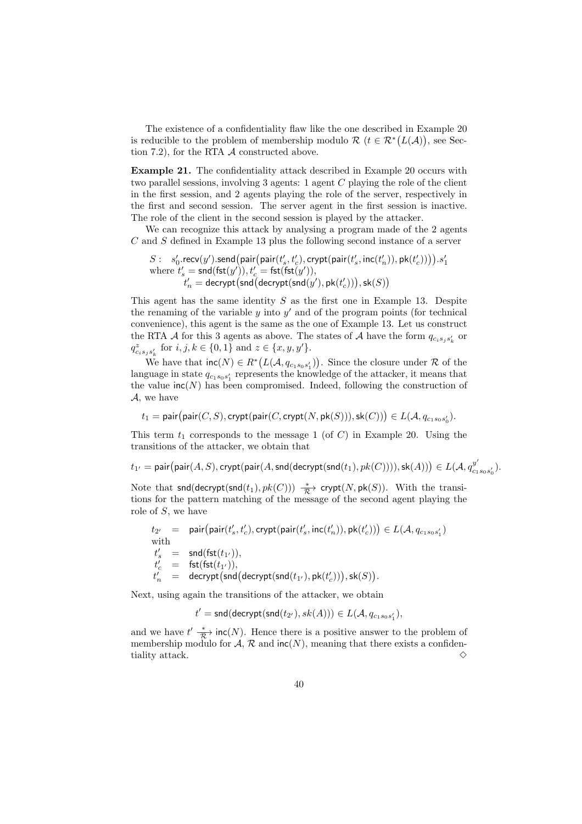The existence of a confidentiality flaw like the one described in Example 20 is reducible to the problem of membership modulo  $\mathcal{R}$   $(t \in \mathcal{R}^*(L(\mathcal{A}))$ , see Section 7.2), for the RTA A constructed above.

Example 21. The confidentiality attack described in Example 20 occurs with two parallel sessions, involving 3 agents: 1 agent C playing the role of the client in the first session, and 2 agents playing the role of the server, respectively in the first and second session. The server agent in the first session is inactive. The role of the client in the second session is played by the attacker.

We can recognize this attack by analysing a program made of the 2 agents C and S defined in Example 13 plus the following second instance of a server

$$
\begin{array}{ll} S : & s'_0.\mathsf{recv}(y').\mathsf{send}\big(\mathsf{pair}\big(\mathsf{pair}\big(t'_s,t'_c\big),\mathsf{crypt}\big(\mathsf{pair}\big(t'_s,\mathsf{inc}\big(t'_n\big)\big),\mathsf{pk}\big(t'_c\big)\big)\big).s'_1\\ \text{where } t'_s = \mathsf{snd}(\mathsf{fst}(y')), t'_c = \mathsf{fst}(\mathsf{fst}(y')),\\ & t'_n = \mathsf{decrypt}\big(\mathsf{snd}\big(\mathsf{decrypt}\big(\mathsf{snd}\big(\mathsf{y'}\big),\mathsf{pk}\big(t'_c\big)\big)\big), \mathsf{sk}(S)\big) \end{array}
$$

This agent has the same identity  $S$  as the first one in Example 13. Despite the renaming of the variable  $y$  into  $y'$  and of the program points (for technical convenience), this agent is the same as the one of Example 13. Let us construct the RTA A for this 3 agents as above. The states of A have the form  $q_{c_i s_j s'_k}$  or  $q^z_{c_i s_j s'_k}$  for  $i, j, k \in \{0, 1\}$  and  $z \in \{x, y, y'\}.$ 

We have that  $\text{inc}(N) \in R^* (L(\mathcal{A}, q_{c_1 s_0 s'_1}))$ . Since the closure under  $\mathcal{R}$  of the language in state  $q_{c_1s_0s'_1}$  represents the knowledge of the attacker, it means that the value  $\textsf{inc}(N)$  has been compromised. Indeed, following the construction of A, we have

 $t_1 = \mathsf{pair}\big(\mathsf{pair}(C,S), \mathsf{crypt}(\mathsf{pair}(C,\mathsf{crypt}(N,\mathsf{pk}(S))), \mathsf{sk}(C))\big) \in L(\mathcal{A}, q_{c_1s_0s_0'}).$ 

This term  $t_1$  corresponds to the message 1 (of C) in Example 20. Using the transitions of the attacker, we obtain that

 $t_{1'} = \mathsf{pair}\big(\mathsf{pair}(A, S), \mathsf{crypt}(\mathsf{pair}(A, \mathsf{snd}(\mathsf{decrypt}(\mathsf{snd}(t_1), pk(C)))), \mathsf{sk}(A))\big) \in L(\mathcal{A}, q_{\text{cat}}^{y'})$  $_{c_1s_0s'_0}).$ 

Note that snd(decrypt(snd(t<sub>1</sub>),  $pk(C)$ ))  $\frac{*}{\mathcal{R}}$  crypt(N, pk(S)). With the transitions for the pattern matching of the message of the second agent playing the role of S, we have

$$
\begin{array}{lcl} t_{2'} & = & \operatorname{pair}\bigl(\operatorname{pair}(t'_{s},t'_{c}),\operatorname{crypt}(\operatorname{pair}(t'_{s},\operatorname{inc}(t'_{n})),\operatorname{pk}(t'_{c}))\bigr) \in L(\mathcal{A},q_{c_{1}s_{0}s'_{1}}) \\ \text{with} & \\ t'_{s} & = & \operatorname{snd}(\operatorname{fst}(t_{1'})),\\ t'_{c} & = & \operatorname{fst}(\operatorname{fst}(t_{1'})),\\ t'_{n} & = & \operatorname{decrypt}\bigl(\operatorname{snd}\bigl(\operatorname{decrypt}(\operatorname{snd}(t_{1'}),\operatorname{pk}(t'_{c}))\bigr),\operatorname{sk}(S)\bigr). \end{array}
$$

Next, using again the transitions of the attacker, we obtain

 $t' = \mathsf{snd}(\mathsf{decrypt}(\mathsf{snd}(t_{2'}), \mathit{sk}(A))) \in L(\mathcal{A}, q_{c_1 s_0 s'_1}),$ 

and we have  $t'(\frac{*}{\mathcal{R}})$  inc(N). Hence there is a positive answer to the problem of membership modulo for  $A$ ,  $R$  and  $\text{inc}(N)$ , meaning that there exists a confidentiality attack.  $\Diamond$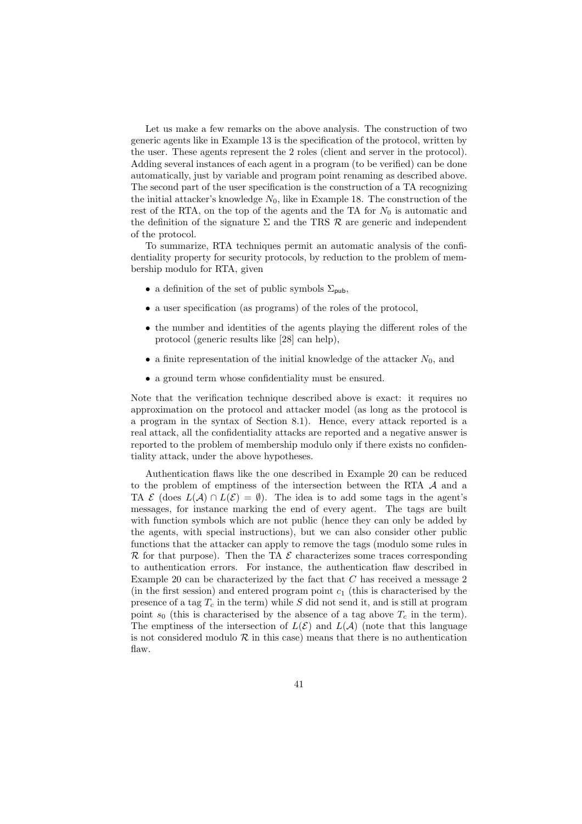Let us make a few remarks on the above analysis. The construction of two generic agents like in Example 13 is the specification of the protocol, written by the user. These agents represent the 2 roles (client and server in the protocol). Adding several instances of each agent in a program (to be verified) can be done automatically, just by variable and program point renaming as described above. The second part of the user specification is the construction of a TA recognizing the initial attacker's knowledge  $N_0$ , like in Example 18. The construction of the rest of the RTA, on the top of the agents and the TA for  $N_0$  is automatic and the definition of the signature  $\Sigma$  and the TRS  $\mathcal R$  are generic and independent of the protocol.

To summarize, RTA techniques permit an automatic analysis of the confidentiality property for security protocols, by reduction to the problem of membership modulo for RTA, given

- a definition of the set of public symbols  $\Sigma_{\text{pub}}$ ,
- a user specification (as programs) of the roles of the protocol,
- the number and identities of the agents playing the different roles of the protocol (generic results like [28] can help),
- a finite representation of the initial knowledge of the attacker  $N_0$ , and
- a ground term whose confidentiality must be ensured.

Note that the verification technique described above is exact: it requires no approximation on the protocol and attacker model (as long as the protocol is a program in the syntax of Section 8.1). Hence, every attack reported is a real attack, all the confidentiality attacks are reported and a negative answer is reported to the problem of membership modulo only if there exists no confidentiality attack, under the above hypotheses.

Authentication flaws like the one described in Example 20 can be reduced to the problem of emptiness of the intersection between the RTA A and a TA  $\mathcal E$  (does  $L(\mathcal A) \cap L(\mathcal E) = \emptyset$ ). The idea is to add some tags in the agent's messages, for instance marking the end of every agent. The tags are built with function symbols which are not public (hence they can only be added by the agents, with special instructions), but we can also consider other public functions that the attacker can apply to remove the tags (modulo some rules in  $\mathcal R$  for that purpose). Then the TA  $\mathcal E$  characterizes some traces corresponding to authentication errors. For instance, the authentication flaw described in Example 20 can be characterized by the fact that C has received a message 2 (in the first session) and entered program point  $c_1$  (this is characterised by the presence of a tag  $T_c$  in the term) while S did not send it, and is still at program point  $s_0$  (this is characterised by the absence of a tag above  $T_c$  in the term). The emptiness of the intersection of  $L(\mathcal{E})$  and  $L(\mathcal{A})$  (note that this language is not considered modulo  $R$  in this case) means that there is no authentication flaw.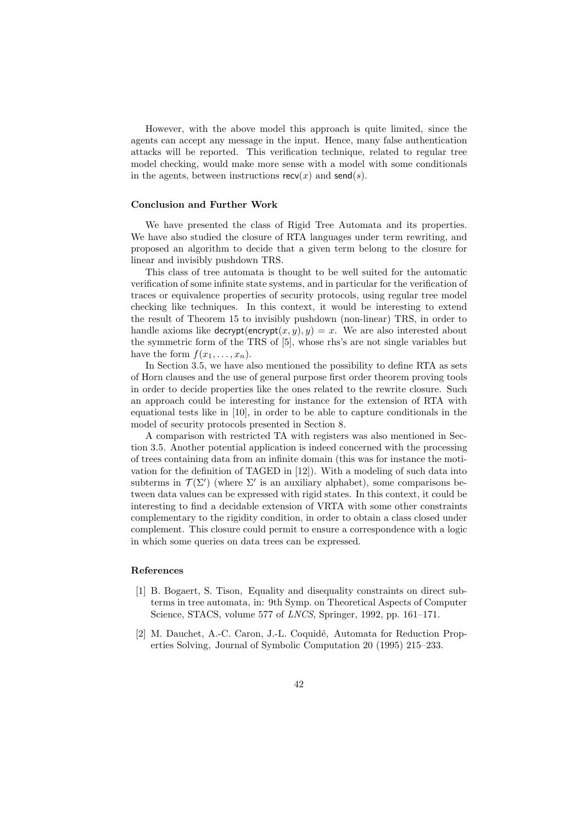However, with the above model this approach is quite limited, since the agents can accept any message in the input. Hence, many false authentication attacks will be reported. This verification technique, related to regular tree model checking, would make more sense with a model with some conditionals in the agents, between instructions  $\text{recv}(x)$  and  $\text{send}(s)$ .

#### Conclusion and Further Work

We have presented the class of Rigid Tree Automata and its properties. We have also studied the closure of RTA languages under term rewriting, and proposed an algorithm to decide that a given term belong to the closure for linear and invisibly pushdown TRS.

This class of tree automata is thought to be well suited for the automatic verification of some infinite state systems, and in particular for the verification of traces or equivalence properties of security protocols, using regular tree model checking like techniques. In this context, it would be interesting to extend the result of Theorem 15 to invisibly pushdown (non-linear) TRS, in order to handle axioms like decrypt(encrypt(x, y), y) = x. We are also interested about the symmetric form of the TRS of [5], whose rhs's are not single variables but have the form  $f(x_1, \ldots, x_n)$ .

In Section 3.5, we have also mentioned the possibility to define RTA as sets of Horn clauses and the use of general purpose first order theorem proving tools in order to decide properties like the ones related to the rewrite closure. Such an approach could be interesting for instance for the extension of RTA with equational tests like in [10], in order to be able to capture conditionals in the model of security protocols presented in Section 8.

A comparison with restricted TA with registers was also mentioned in Section 3.5. Another potential application is indeed concerned with the processing of trees containing data from an infinite domain (this was for instance the motivation for the definition of TAGED in [12]). With a modeling of such data into subterms in  $\mathcal{T}(\Sigma')$  (where  $\Sigma'$  is an auxiliary alphabet), some comparisons between data values can be expressed with rigid states. In this context, it could be interesting to find a decidable extension of VRTA with some other constraints complementary to the rigidity condition, in order to obtain a class closed under complement. This closure could permit to ensure a correspondence with a logic in which some queries on data trees can be expressed.

#### References

- [1] B. Bogaert, S. Tison, Equality and disequality constraints on direct subterms in tree automata, in: 9th Symp. on Theoretical Aspects of Computer Science, STACS, volume 577 of LNCS, Springer, 1992, pp. 161–171.
- [2] M. Dauchet, A.-C. Caron, J.-L. Coquidé, Automata for Reduction Properties Solving, Journal of Symbolic Computation 20 (1995) 215–233.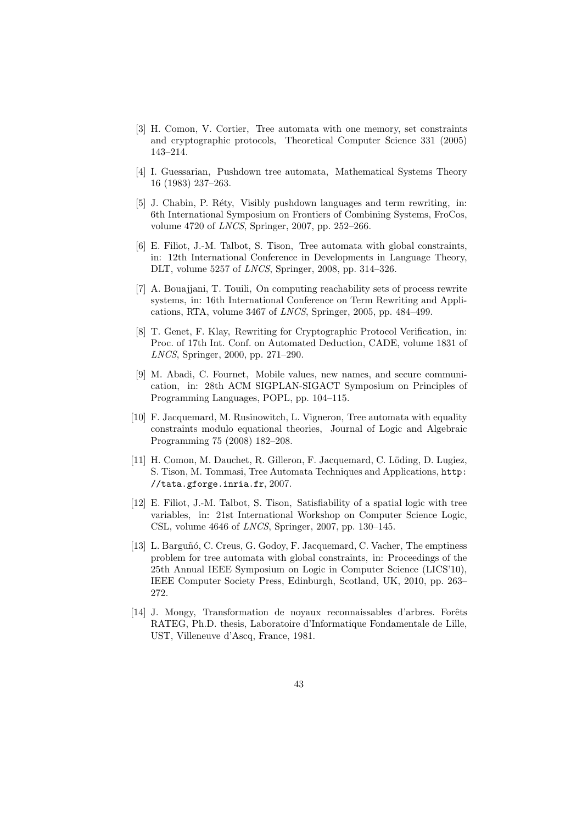- [3] H. Comon, V. Cortier, Tree automata with one memory, set constraints and cryptographic protocols, Theoretical Computer Science 331 (2005) 143–214.
- [4] I. Guessarian, Pushdown tree automata, Mathematical Systems Theory 16 (1983) 237–263.
- [5] J. Chabin, P. Réty, Visibly pushdown languages and term rewriting, in: 6th International Symposium on Frontiers of Combining Systems, FroCos, volume 4720 of LNCS, Springer, 2007, pp. 252–266.
- [6] E. Filiot, J.-M. Talbot, S. Tison, Tree automata with global constraints, in: 12th International Conference in Developments in Language Theory, DLT, volume 5257 of LNCS, Springer, 2008, pp. 314–326.
- [7] A. Bouajjani, T. Touili, On computing reachability sets of process rewrite systems, in: 16th International Conference on Term Rewriting and Applications, RTA, volume 3467 of LNCS, Springer, 2005, pp. 484–499.
- [8] T. Genet, F. Klay, Rewriting for Cryptographic Protocol Verification, in: Proc. of 17th Int. Conf. on Automated Deduction, CADE, volume 1831 of LNCS, Springer, 2000, pp. 271–290.
- [9] M. Abadi, C. Fournet, Mobile values, new names, and secure communication, in: 28th ACM SIGPLAN-SIGACT Symposium on Principles of Programming Languages, POPL, pp. 104–115.
- [10] F. Jacquemard, M. Rusinowitch, L. Vigneron, Tree automata with equality constraints modulo equational theories, Journal of Logic and Algebraic Programming 75 (2008) 182–208.
- [11] H. Comon, M. Dauchet, R. Gilleron, F. Jacquemard, C. Löding, D. Lugiez, S. Tison, M. Tommasi, Tree Automata Techniques and Applications, http: //tata.gforge.inria.fr, 2007.
- [12] E. Filiot, J.-M. Talbot, S. Tison, Satisfiability of a spatial logic with tree variables, in: 21st International Workshop on Computer Science Logic, CSL, volume  $4646$  of *LNCS*, Springer, 2007, pp. 130–145.
- [13] L. Barguñó, C. Creus, G. Godoy, F. Jacquemard, C. Vacher, The emptiness problem for tree automata with global constraints, in: Proceedings of the 25th Annual IEEE Symposium on Logic in Computer Science (LICS'10), IEEE Computer Society Press, Edinburgh, Scotland, UK, 2010, pp. 263– 272.
- [14] J. Mongy, Transformation de noyaux reconnaissables d'arbres. Forêts RATEG, Ph.D. thesis, Laboratoire d'Informatique Fondamentale de Lille, UST, Villeneuve d'Ascq, France, 1981.